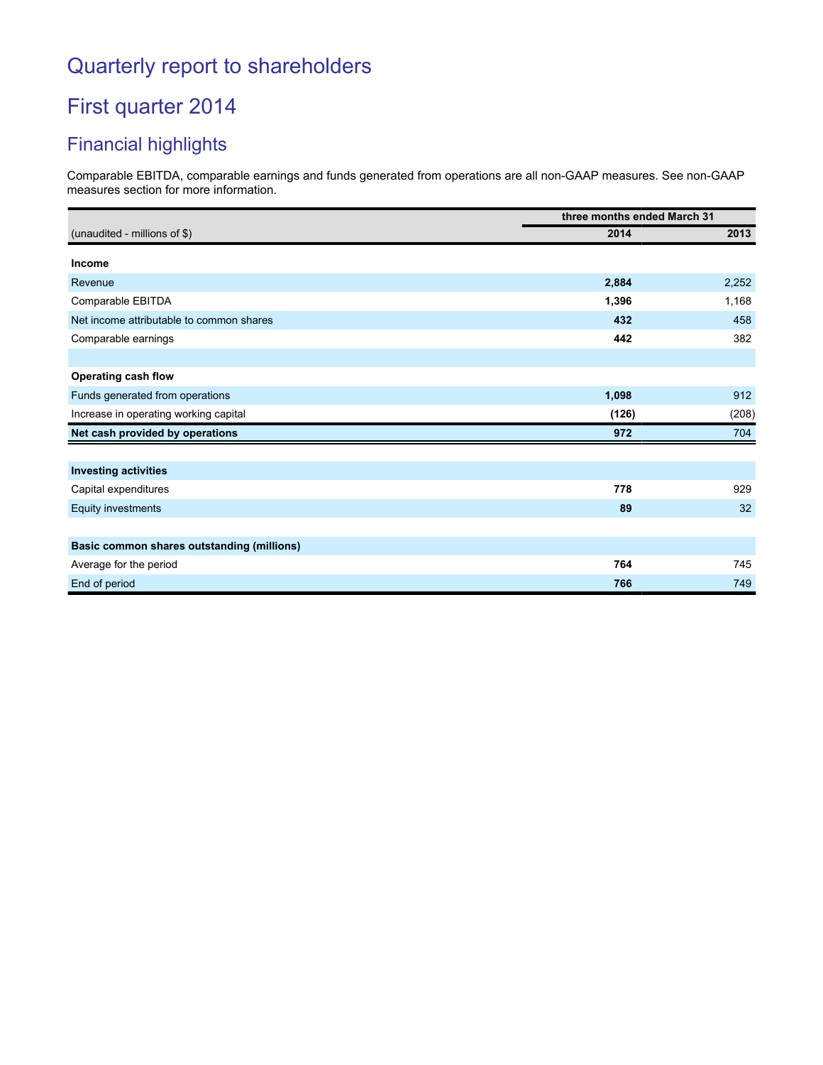# Quarterly report to shareholders

## First quarter 2014

## Financial highlights

Comparable EBITDA, comparable earnings and funds generated from operations are all non-GAAP measures. See non-GAAP measures section for more information.

|                                            | three months ended March 31 |       |
|--------------------------------------------|-----------------------------|-------|
| (unaudited - millions of \$)               | 2014                        | 2013  |
| Income                                     |                             |       |
| Revenue                                    | 2,884                       | 2,252 |
| Comparable EBITDA                          | 1,396                       | 1,168 |
| Net income attributable to common shares   | 432                         | 458   |
| Comparable earnings                        | 442                         | 382   |
|                                            |                             |       |
| <b>Operating cash flow</b>                 |                             |       |
| Funds generated from operations            | 1,098                       | 912   |
| Increase in operating working capital      | (126)                       | (208) |
| Net cash provided by operations            | 972                         | 704   |
|                                            |                             |       |
| <b>Investing activities</b>                |                             |       |
| Capital expenditures                       | 778                         | 929   |
| Equity investments                         | 89                          | 32    |
|                                            |                             |       |
| Basic common shares outstanding (millions) |                             |       |
| Average for the period                     | 764                         | 745   |
| End of period                              | 766                         | 749   |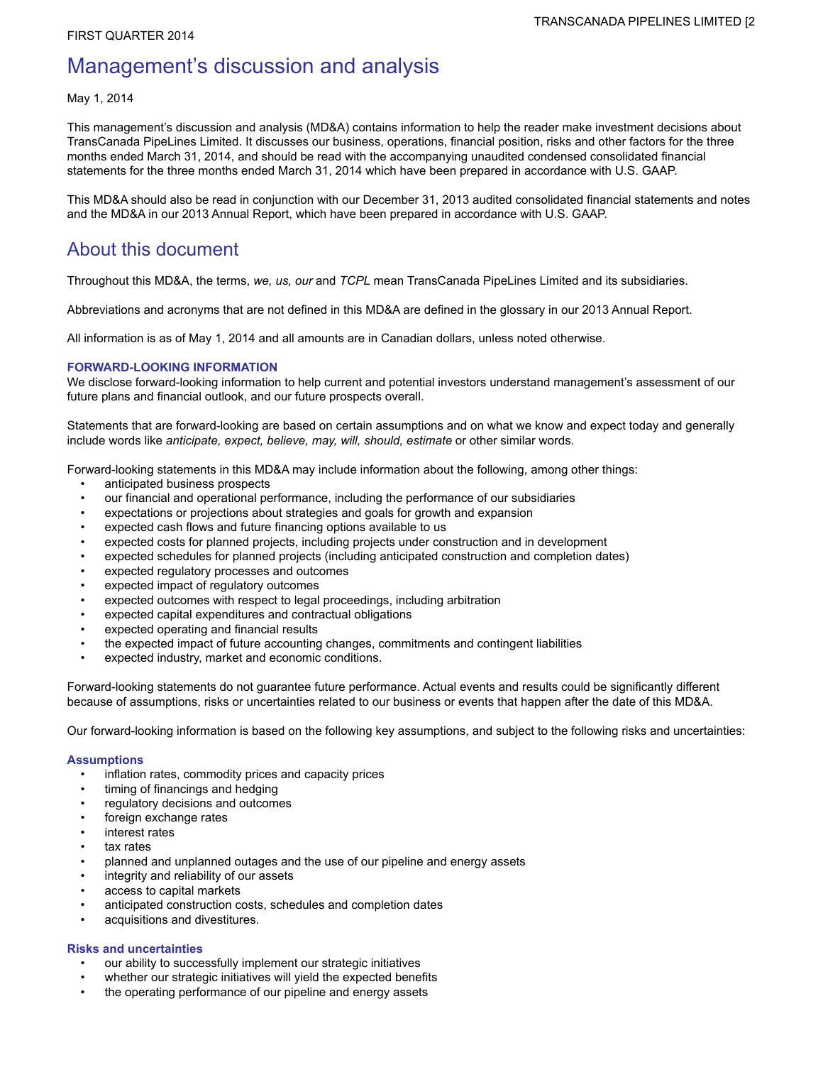## Management's discussion and analysis

May 1, 2014

This management's discussion and analysis (MD&A) contains information to help the reader make investment decisions about TransCanada PipeLines Limited. It discusses our business, operations, financial position, risks and other factors for the three months ended March 31, 2014, and should be read with the accompanying unaudited condensed consolidated financial statements for the three months ended March 31, 2014 which have been prepared in accordance with U.S. GAAP.

This MD&A should also be read in conjunction with our December 31, 2013 audited consolidated financial statements and notes and the MD&A in our 2013 Annual Report, which have been prepared in accordance with U.S. GAAP.

## About this document

Throughout this MD&A, the terms, *we, us, our* and *TCPL* mean TransCanada PipeLines Limited and its subsidiaries.

Abbreviations and acronyms that are not defined in this MD&A are defined in the glossary in our 2013 Annual Report.

All information is as of May 1, 2014 and all amounts are in Canadian dollars, unless noted otherwise.

## **FORWARD-LOOKING INFORMATION**

We disclose forward-looking information to help current and potential investors understand management's assessment of our future plans and financial outlook, and our future prospects overall.

Statements that are forward-looking are based on certain assumptions and on what we know and expect today and generally include words like *anticipate, expect, believe, may, will, should, estimate* or other similar words.

Forward-looking statements in this MD&A may include information about the following, among other things:

- anticipated business prospects
- our financial and operational performance, including the performance of our subsidiaries
- expectations or projections about strategies and goals for growth and expansion
- expected cash flows and future financing options available to us
- expected costs for planned projects, including projects under construction and in development
- expected schedules for planned projects (including anticipated construction and completion dates)
- expected regulatory processes and outcomes
- expected impact of regulatory outcomes
- expected outcomes with respect to legal proceedings, including arbitration
- expected capital expenditures and contractual obligations
- expected operating and financial results
- the expected impact of future accounting changes, commitments and contingent liabilities
- expected industry, market and economic conditions.

Forward-looking statements do not guarantee future performance. Actual events and results could be significantly different because of assumptions, risks or uncertainties related to our business or events that happen after the date of this MD&A.

Our forward-looking information is based on the following key assumptions, and subject to the following risks and uncertainties:

#### **Assumptions**

- inflation rates, commodity prices and capacity prices
- timing of financings and hedging
- regulatory decisions and outcomes
- foreign exchange rates
- interest rates
- tax rates
- planned and unplanned outages and the use of our pipeline and energy assets
- integrity and reliability of our assets
- access to capital markets
- anticipated construction costs, schedules and completion dates
- acquisitions and divestitures.

## **Risks and uncertainties**

- our ability to successfully implement our strategic initiatives
- whether our strategic initiatives will yield the expected benefits
- the operating performance of our pipeline and energy assets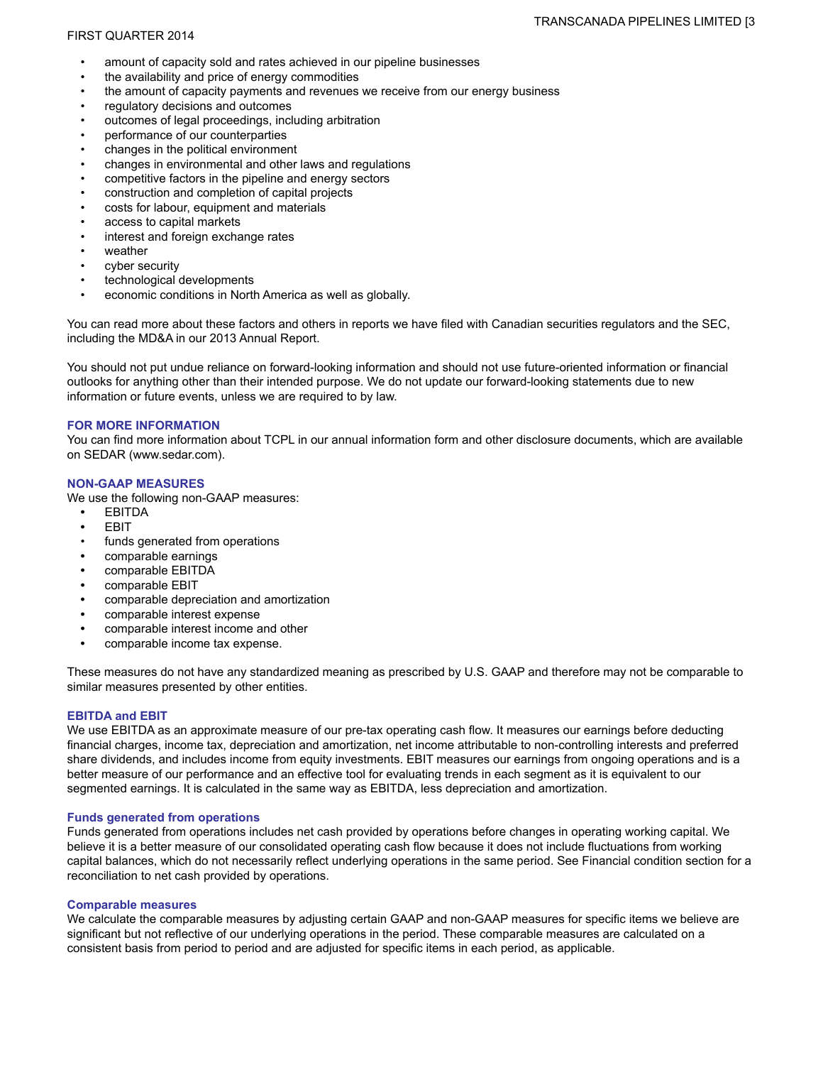## FIRST QUARTER 2014

- amount of capacity sold and rates achieved in our pipeline businesses
- the availability and price of energy commodities
- the amount of capacity payments and revenues we receive from our energy business
- regulatory decisions and outcomes
- outcomes of legal proceedings, including arbitration
- performance of our counterparties
- changes in the political environment
- changes in environmental and other laws and regulations
- competitive factors in the pipeline and energy sectors
- construction and completion of capital projects
- costs for labour, equipment and materials
- access to capital markets
- interest and foreign exchange rates
- weather
- cyber security
- technological developments
- economic conditions in North America as well as globally.

You can read more about these factors and others in reports we have filed with Canadian securities regulators and the SEC, including the MD&A in our 2013 Annual Report.

You should not put undue reliance on forward-looking information and should not use future-oriented information or financial outlooks for anything other than their intended purpose. We do not update our forward-looking statements due to new information or future events, unless we are required to by law.

### **FOR MORE INFORMATION**

You can find more information about TCPL in our annual information form and other disclosure documents, which are available on SEDAR (www.sedar.com).

#### **NON-GAAP MEASURES**

We use the following non-GAAP measures:

- EBITDA
- EBIT
- funds generated from operations
- comparable earnings
- comparable EBITDA
- comparable EBIT
- comparable depreciation and amortization
- comparable interest expense
- comparable interest income and other
- comparable income tax expense.

These measures do not have any standardized meaning as prescribed by U.S. GAAP and therefore may not be comparable to similar measures presented by other entities.

## **EBITDA and EBIT**

We use EBITDA as an approximate measure of our pre-tax operating cash flow. It measures our earnings before deducting financial charges, income tax, depreciation and amortization, net income attributable to non-controlling interests and preferred share dividends, and includes income from equity investments. EBIT measures our earnings from ongoing operations and is a better measure of our performance and an effective tool for evaluating trends in each segment as it is equivalent to our segmented earnings. It is calculated in the same way as EBITDA, less depreciation and amortization.

### **Funds generated from operations**

Funds generated from operations includes net cash provided by operations before changes in operating working capital. We believe it is a better measure of our consolidated operating cash flow because it does not include fluctuations from working capital balances, which do not necessarily reflect underlying operations in the same period. See Financial condition section for a reconciliation to net cash provided by operations.

#### **Comparable measures**

We calculate the comparable measures by adjusting certain GAAP and non-GAAP measures for specific items we believe are significant but not reflective of our underlying operations in the period. These comparable measures are calculated on a consistent basis from period to period and are adjusted for specific items in each period, as applicable.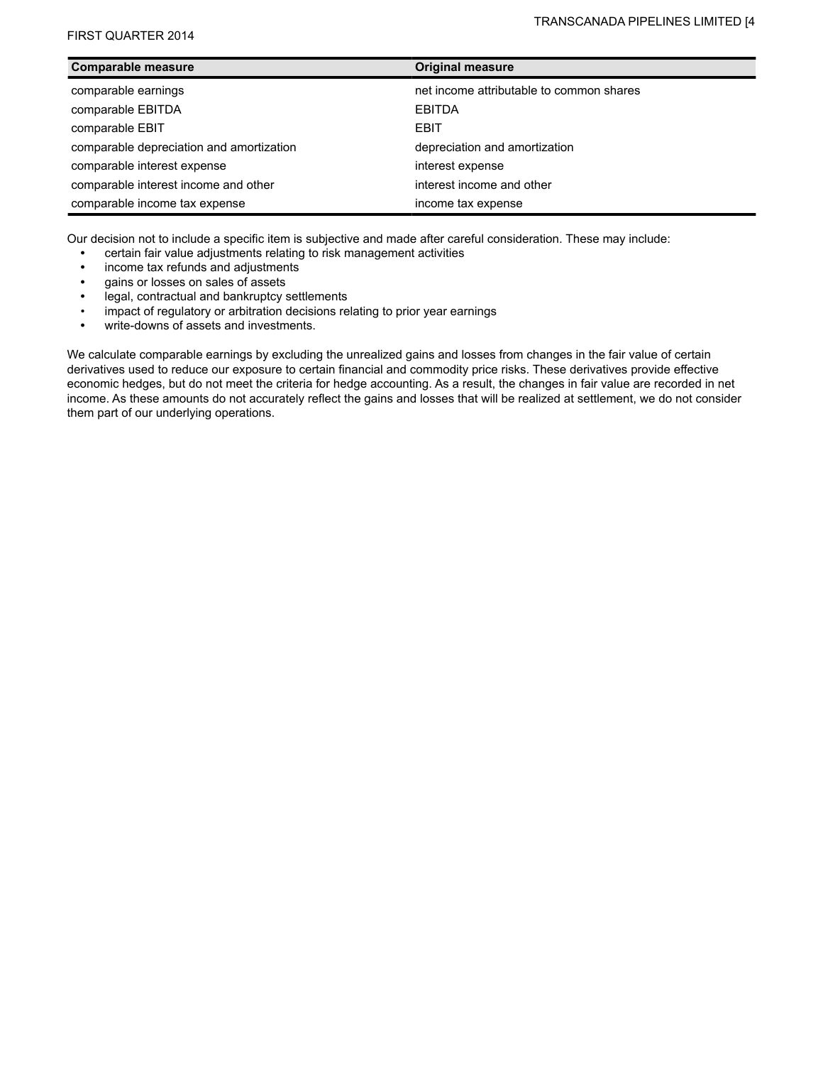| <b>Comparable measure</b>                | <b>Original measure</b>                  |
|------------------------------------------|------------------------------------------|
| comparable earnings                      | net income attributable to common shares |
| comparable EBITDA                        | <b>EBITDA</b>                            |
| comparable EBIT                          | <b>EBIT</b>                              |
| comparable depreciation and amortization | depreciation and amortization            |
| comparable interest expense              | interest expense                         |
| comparable interest income and other     | interest income and other                |
| comparable income tax expense            | income tax expense                       |

Our decision not to include a specific item is subjective and made after careful consideration. These may include:

- certain fair value adjustments relating to risk management activities
- income tax refunds and adjustments
- gains or losses on sales of assets
- legal, contractual and bankruptcy settlements
- impact of regulatory or arbitration decisions relating to prior year earnings
- write-downs of assets and investments.

We calculate comparable earnings by excluding the unrealized gains and losses from changes in the fair value of certain derivatives used to reduce our exposure to certain financial and commodity price risks. These derivatives provide effective economic hedges, but do not meet the criteria for hedge accounting. As a result, the changes in fair value are recorded in net income. As these amounts do not accurately reflect the gains and losses that will be realized at settlement, we do not consider them part of our underlying operations.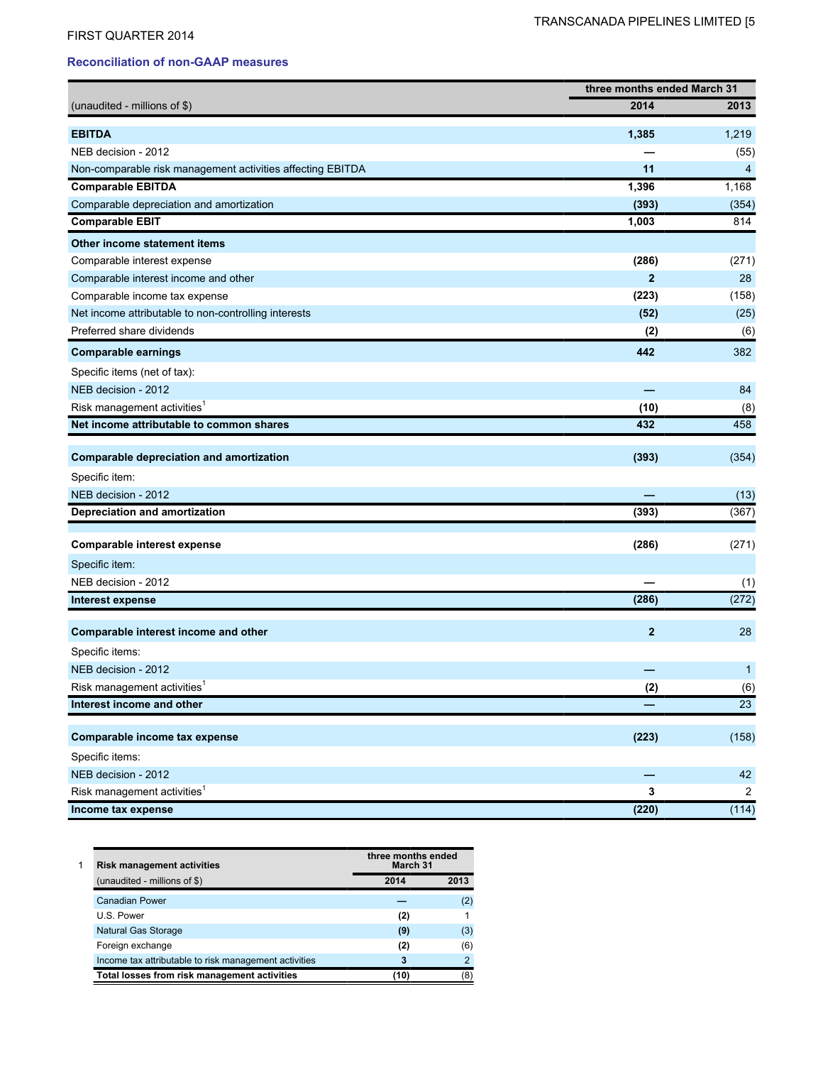## FIRST QUARTER 2014

## **Reconciliation of non-GAAP measures**

|                                                            |                  | three months ended March 31 |  |  |
|------------------------------------------------------------|------------------|-----------------------------|--|--|
| (unaudited - millions of \$)                               | 2014             | 2013                        |  |  |
| <b>EBITDA</b>                                              | 1,385            | 1,219                       |  |  |
| NEB decision - 2012                                        |                  | (55)                        |  |  |
| Non-comparable risk management activities affecting EBITDA | 11               | 4                           |  |  |
| <b>Comparable EBITDA</b>                                   | 1,396            | 1,168                       |  |  |
| Comparable depreciation and amortization                   | (393)            | (354)                       |  |  |
| <b>Comparable EBIT</b>                                     | 1,003            | 814                         |  |  |
| Other income statement items                               |                  |                             |  |  |
| Comparable interest expense                                | (286)            | (271)                       |  |  |
| Comparable interest income and other                       | $\overline{2}$   | 28                          |  |  |
| Comparable income tax expense                              | (223)            | (158)                       |  |  |
| Net income attributable to non-controlling interests       | (52)             | (25)                        |  |  |
| Preferred share dividends                                  | (2)              | (6)                         |  |  |
| <b>Comparable earnings</b>                                 | 442              | 382                         |  |  |
| Specific items (net of tax):                               |                  |                             |  |  |
| NEB decision - 2012                                        |                  | 84                          |  |  |
| Risk management activities <sup>1</sup>                    | (10)             | (8)                         |  |  |
| Net income attributable to common shares                   | 432              | 458                         |  |  |
|                                                            |                  |                             |  |  |
| <b>Comparable depreciation and amortization</b>            | (393)            | (354)                       |  |  |
| Specific item:                                             |                  |                             |  |  |
| NEB decision - 2012                                        |                  | (13)                        |  |  |
| Depreciation and amortization                              | (393)            | (367)                       |  |  |
|                                                            |                  |                             |  |  |
| <b>Comparable interest expense</b>                         | (286)            | (271)                       |  |  |
| Specific item:                                             |                  |                             |  |  |
| NEB decision - 2012                                        |                  | (1)                         |  |  |
| Interest expense                                           | (286)            | (272)                       |  |  |
| Comparable interest income and other                       | $\boldsymbol{2}$ | 28                          |  |  |
| Specific items:                                            |                  |                             |  |  |
| NEB decision - 2012                                        |                  | $\mathbf{1}$                |  |  |
| Risk management activities                                 | (2)              | (6)                         |  |  |
| Interest income and other                                  |                  | $\overline{23}$             |  |  |
|                                                            |                  |                             |  |  |
| Comparable income tax expense                              | (223)            | (158)                       |  |  |
| Specific items:                                            |                  |                             |  |  |
| NEB decision - 2012                                        |                  | 42                          |  |  |
| Risk management activities <sup>1</sup>                    | 3                | 2                           |  |  |
| Income tax expense                                         | (220)            | (114)                       |  |  |

| <b>Risk management activities</b>                     | three months ended<br>March 31 |                |  |
|-------------------------------------------------------|--------------------------------|----------------|--|
| (unaudited - millions of \$)                          | 2014                           | 2013           |  |
| <b>Canadian Power</b>                                 |                                | (2)            |  |
| U.S. Power                                            | (2)                            |                |  |
| <b>Natural Gas Storage</b>                            | (9)                            | (3)            |  |
| Foreign exchange                                      | (2)                            | (6)            |  |
| Income tax attributable to risk management activities | 3                              | $\mathfrak{p}$ |  |
| Total losses from risk management activities          | (10)                           | (8)            |  |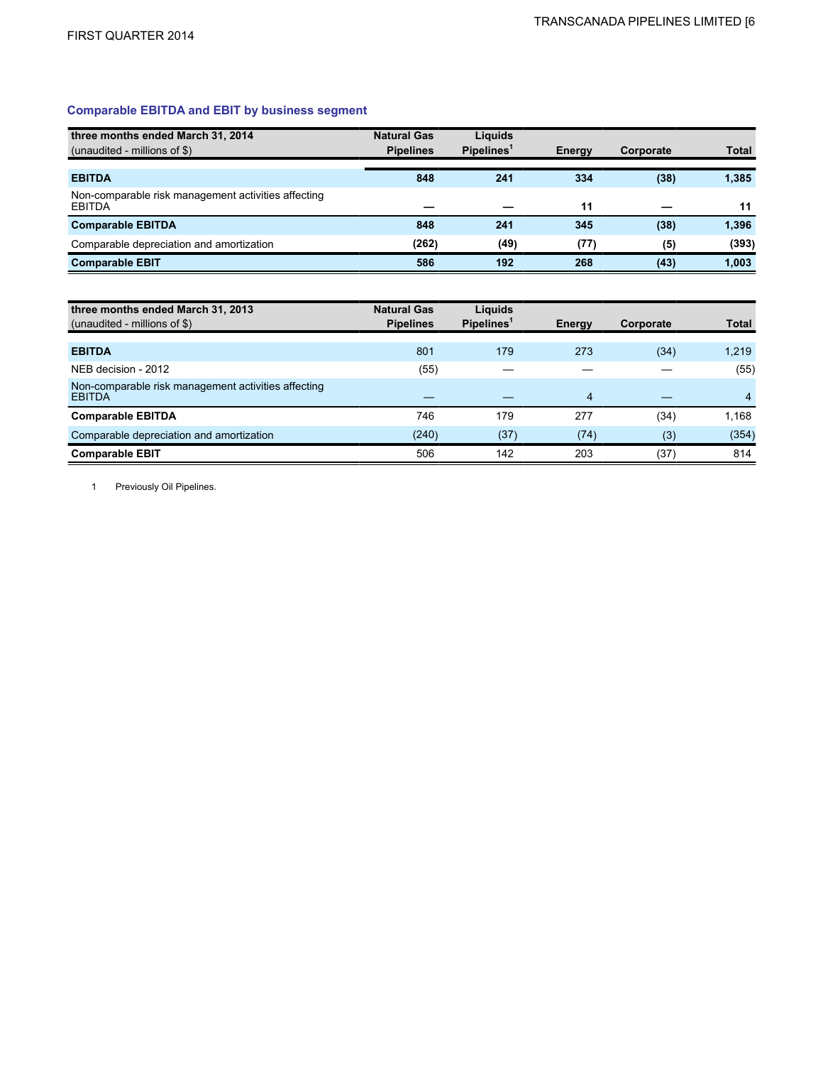## **Comparable EBITDA and EBIT by business segment**

| three months ended March 31, 2014<br>(unaudited - millions of \$)    | <b>Natural Gas</b><br><b>Pipelines</b> | Liguids<br>Pipelines <sup>1</sup> | Energy | Corporate | <b>Total</b> |
|----------------------------------------------------------------------|----------------------------------------|-----------------------------------|--------|-----------|--------------|
| <b>EBITDA</b>                                                        | 848                                    | 241                               | 334    | (38)      | 1,385        |
| Non-comparable risk management activities affecting<br><b>EBITDA</b> |                                        |                                   | 11     |           | 11           |
| <b>Comparable EBITDA</b>                                             | 848                                    | 241                               | 345    | (38)      | 1,396        |
| Comparable depreciation and amortization                             | (262)                                  | (49)                              | (77)   | (5)       | (393)        |
| <b>Comparable EBIT</b>                                               | 586                                    | 192                               | 268    | (43)      | 1,003        |

| three months ended March 31, 2013                                    | <b>Natural Gas</b> | Liguids                |                |           |              |
|----------------------------------------------------------------------|--------------------|------------------------|----------------|-----------|--------------|
| (unaudited - millions of $\$\$ )                                     | <b>Pipelines</b>   | Pipelines <sup>1</sup> | Energy         | Corporate | <b>Total</b> |
| <b>EBITDA</b>                                                        | 801                | 179                    | 273            | (34)      | 1,219        |
| NEB decision - 2012                                                  | (55)               |                        |                |           | (55)         |
| Non-comparable risk management activities affecting<br><b>EBITDA</b> |                    |                        | $\overline{4}$ |           | 4            |
| <b>Comparable EBITDA</b>                                             | 746                | 179                    | 277            | (34)      | 1.168        |
| Comparable depreciation and amortization                             | (240)              | (37)                   | (74)           | (3)       | (354)        |
| <b>Comparable EBIT</b>                                               | 506                | 142                    | 203            | (37)      | 814          |

1 Previously Oil Pipelines.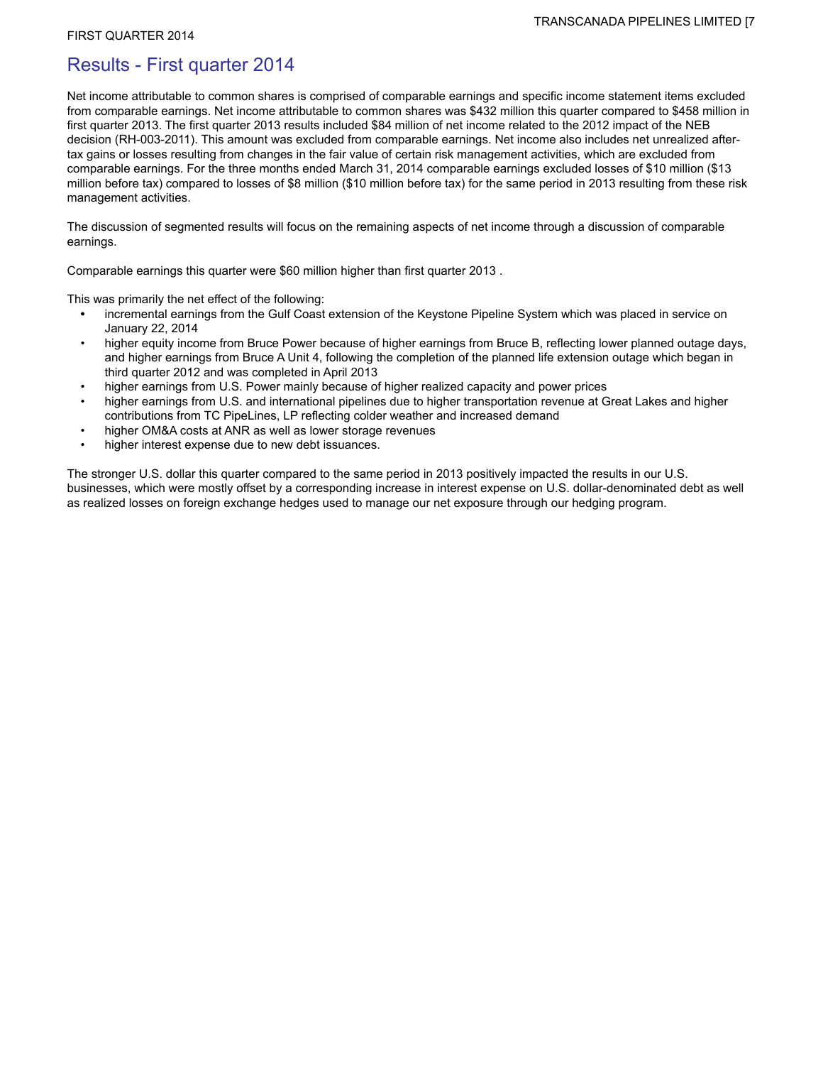## Results - First quarter 2014

Net income attributable to common shares is comprised of comparable earnings and specific income statement items excluded from comparable earnings. Net income attributable to common shares was \$432 million this quarter compared to \$458 million in first quarter 2013. The first quarter 2013 results included \$84 million of net income related to the 2012 impact of the NEB decision (RH-003-2011). This amount was excluded from comparable earnings. Net income also includes net unrealized aftertax gains or losses resulting from changes in the fair value of certain risk management activities, which are excluded from comparable earnings. For the three months ended March 31, 2014 comparable earnings excluded losses of \$10 million (\$13 million before tax) compared to losses of \$8 million (\$10 million before tax) for the same period in 2013 resulting from these risk management activities.

The discussion of segmented results will focus on the remaining aspects of net income through a discussion of comparable earnings.

Comparable earnings this quarter were \$60 million higher than first quarter 2013 .

This was primarily the net effect of the following:

- incremental earnings from the Gulf Coast extension of the Keystone Pipeline System which was placed in service on January 22, 2014
- higher equity income from Bruce Power because of higher earnings from Bruce B, reflecting lower planned outage days, and higher earnings from Bruce A Unit 4, following the completion of the planned life extension outage which began in third quarter 2012 and was completed in April 2013
- higher earnings from U.S. Power mainly because of higher realized capacity and power prices
- higher earnings from U.S. and international pipelines due to higher transportation revenue at Great Lakes and higher contributions from TC PipeLines, LP reflecting colder weather and increased demand
- higher OM&A costs at ANR as well as lower storage revenues
- higher interest expense due to new debt issuances.

The stronger U.S. dollar this quarter compared to the same period in 2013 positively impacted the results in our U.S. businesses, which were mostly offset by a corresponding increase in interest expense on U.S. dollar-denominated debt as well as realized losses on foreign exchange hedges used to manage our net exposure through our hedging program.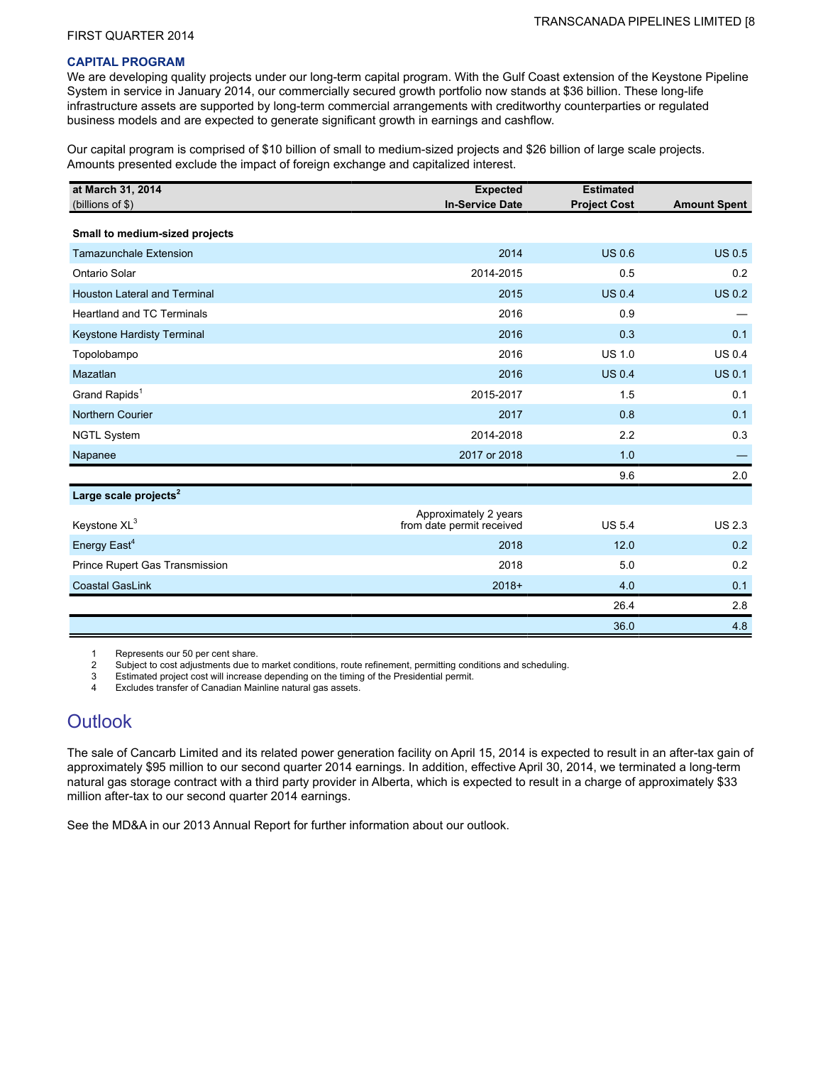#### **CAPITAL PROGRAM**

We are developing quality projects under our long-term capital program. With the Gulf Coast extension of the Keystone Pipeline System in service in January 2014, our commercially secured growth portfolio now stands at \$36 billion. These long-life infrastructure assets are supported by long-term commercial arrangements with creditworthy counterparties or regulated business models and are expected to generate significant growth in earnings and cashflow.

Our capital program is comprised of \$10 billion of small to medium-sized projects and \$26 billion of large scale projects. Amounts presented exclude the impact of foreign exchange and capitalized interest.

| at March 31, 2014                   | <b>Expected</b>                                    | <b>Estimated</b>    |                     |
|-------------------------------------|----------------------------------------------------|---------------------|---------------------|
| (billions of $$$ )                  | <b>In-Service Date</b>                             | <b>Project Cost</b> | <b>Amount Spent</b> |
| Small to medium-sized projects      |                                                    |                     |                     |
| <b>Tamazunchale Extension</b>       | 2014                                               | <b>US 0.6</b>       | <b>US 0.5</b>       |
| Ontario Solar                       | 2014-2015                                          | 0.5                 | 0.2                 |
| <b>Houston Lateral and Terminal</b> | 2015                                               | <b>US 0.4</b>       | <b>US 0.2</b>       |
| <b>Heartland and TC Terminals</b>   | 2016                                               | 0.9                 |                     |
| Keystone Hardisty Terminal          | 2016                                               | 0.3                 | 0.1                 |
| Topolobampo                         | 2016                                               | <b>US 1.0</b>       | <b>US 0.4</b>       |
| Mazatlan                            | 2016                                               | <b>US 0.4</b>       | <b>US 0.1</b>       |
| Grand Rapids <sup>1</sup>           | 2015-2017                                          | 1.5                 | 0.1                 |
| Northern Courier                    | 2017                                               | 0.8                 | 0.1                 |
| <b>NGTL System</b>                  | 2014-2018                                          | 2.2                 | 0.3                 |
| Napanee                             | 2017 or 2018                                       | 1.0                 |                     |
|                                     |                                                    | 9.6                 | 2.0                 |
| Large scale projects <sup>2</sup>   |                                                    |                     |                     |
| Keystone XL <sup>3</sup>            | Approximately 2 years<br>from date permit received | <b>US 5.4</b>       | <b>US 2.3</b>       |
| Energy East <sup>4</sup>            | 2018                                               | 12.0                | 0.2                 |
| Prince Rupert Gas Transmission      | 2018                                               | 5.0                 | 0.2                 |
| <b>Coastal GasLink</b>              | $2018+$                                            | 4.0                 | 0.1                 |
|                                     |                                                    | 26.4                | 2.8                 |
|                                     |                                                    | 36.0                | 4.8                 |

1 Represents our 50 per cent share.<br>2 Subject to cost adjustments due to

2 Subject to cost adjustments due to market conditions, route refinement, permitting conditions and scheduling.

3 Estimated project cost will increase depending on the timing of the Presidential permit.

4 Excludes transfer of Canadian Mainline natural gas assets.

## **Outlook**

The sale of Cancarb Limited and its related power generation facility on April 15, 2014 is expected to result in an after-tax gain of approximately \$95 million to our second quarter 2014 earnings. In addition, effective April 30, 2014, we terminated a long-term natural gas storage contract with a third party provider in Alberta, which is expected to result in a charge of approximately \$33 million after-tax to our second quarter 2014 earnings.

See the MD&A in our 2013 Annual Report for further information about our outlook.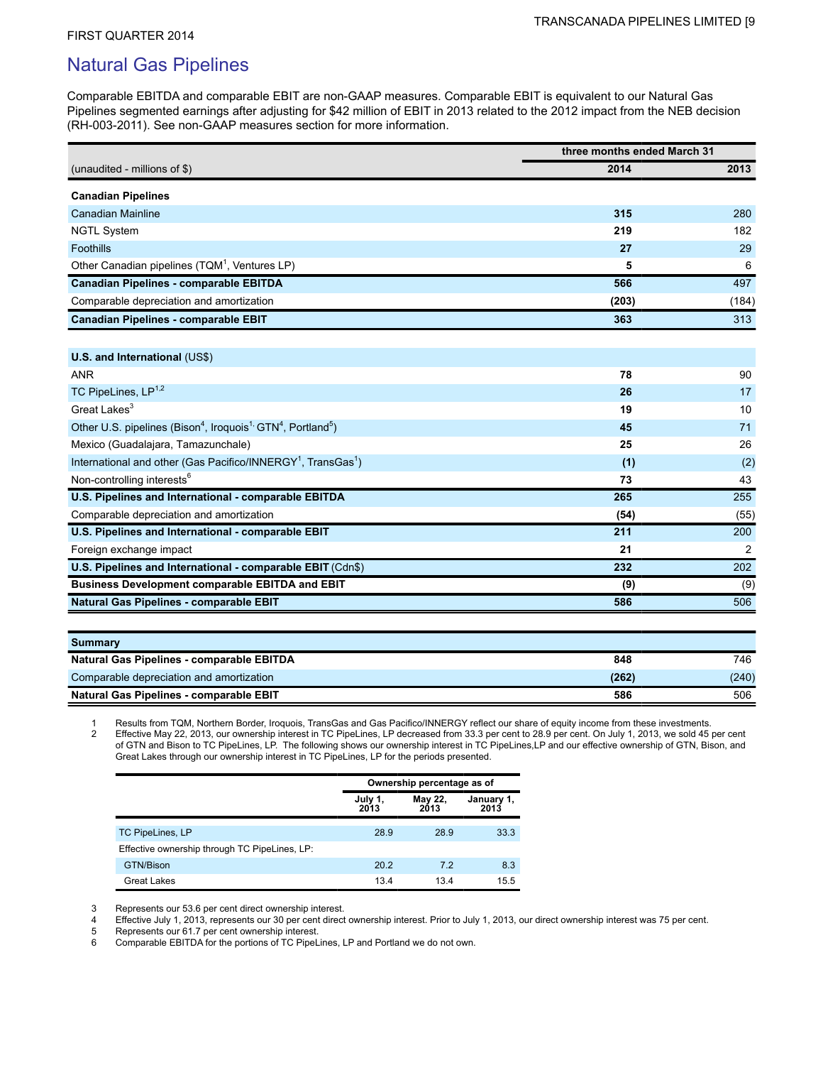**73** 43

) **(1)** (2)

## Natural Gas Pipelines

Comparable EBITDA and comparable EBIT are non-GAAP measures. Comparable EBIT is equivalent to our Natural Gas Pipelines segmented earnings after adjusting for \$42 million of EBIT in 2013 related to the 2012 impact from the NEB decision (RH-003-2011). See non-GAAP measures section for more information.

|                                                                                                              | three months ended March 31 |       |
|--------------------------------------------------------------------------------------------------------------|-----------------------------|-------|
| (unaudited - millions of $\$\$ )                                                                             | 2014                        | 2013  |
| <b>Canadian Pipelines</b>                                                                                    |                             |       |
| <b>Canadian Mainline</b>                                                                                     | 315                         | 280   |
| <b>NGTL System</b>                                                                                           | 219                         | 182   |
| <b>Foothills</b>                                                                                             | 27                          | 29    |
| Other Canadian pipelines (TQM <sup>1</sup> , Ventures LP)                                                    | 5                           | 6     |
| <b>Canadian Pipelines - comparable EBITDA</b>                                                                | 566                         | 497   |
| Comparable depreciation and amortization                                                                     | (203)                       | (184) |
| <b>Canadian Pipelines - comparable EBIT</b>                                                                  | 363                         | 313   |
|                                                                                                              |                             |       |
| U.S. and International (US\$)                                                                                |                             |       |
| <b>ANR</b>                                                                                                   | 78                          | 90    |
| TC PipeLines, LP <sup>1,2</sup>                                                                              | 26                          | 17    |
| Great Lakes <sup>3</sup>                                                                                     | 19                          | 10    |
| Other U.S. pipelines (Bison <sup>4</sup> , Iroquois <sup>1,</sup> GTN <sup>4</sup> , Portland <sup>5</sup> ) | 45                          | 71    |
| Mexico (Guadalajara, Tamazunchale)                                                                           | 25                          | 26    |

| Summary                                        |       |       |
|------------------------------------------------|-------|-------|
| Natural Gas Pipelines - comparable EBITDA      | 848   | 746   |
| Comparable depreciation and amortization       | (262) | (240) |
| <b>Natural Gas Pipelines - comparable EBIT</b> | 586   | 506   |

**U.S. Pipelines and International - comparable EBITDA 265** 255 Comparable depreciation and amortization **(54)** (55) **U.S. Pipelines and International - comparable EBIT 211** 200 Foreign exchange impact **21** 2 **U.S. Pipelines and International - comparable EBIT** (Cdn\$) **232** 202 **Business Development comparable EBITDA and EBIT (9)** (9) **Natural Gas Pipelines - comparable EBIT 586** 506

1 Results from TQM, Northern Border, Iroquois, TransGas and Gas Pacifico/INNERGY reflect our share of equity income from these investments.

2 Effective May 22, 2013, our ownership interest in TC PipeLines, LP decreased from 33.3 per cent to 28.9 per cent. On July 1, 2013, we sold 45 per cent of GTN and Bison to TC PipeLines, LP. The following shows our ownership interest in TC PipeLines,LP and our effective ownership of GTN, Bison, and Great Lakes through our ownership interest in TC PipeLines, LP for the periods presented.

|                                               | Ownership percentage as of |                 |                    |  |
|-----------------------------------------------|----------------------------|-----------------|--------------------|--|
|                                               | July 1,<br>2013            | May 22,<br>2013 | January 1,<br>2013 |  |
| TC PipeLines, LP                              | 28.9                       | 28.9            | 33.3               |  |
| Effective ownership through TC PipeLines, LP: |                            |                 |                    |  |
| <b>GTN/Bison</b>                              | 20.2                       | 7.2             | 8.3                |  |
| <b>Great Lakes</b>                            | 13.4                       | 13.4            | 15.5               |  |

3 Represents our 53.6 per cent direct ownership interest.

International and other (Gas Pacifico/INNERGY<sup>1</sup>, TransGas<sup>1</sup>

Non-controlling interests<sup>6</sup>

4 Effective July 1, 2013, represents our 30 per cent direct ownership interest. Prior to July 1, 2013, our direct ownership interest was 75 per cent.

5 Represents our 61.7 per cent ownership interest.

6 Comparable EBITDA for the portions of TC PipeLines, LP and Portland we do not own.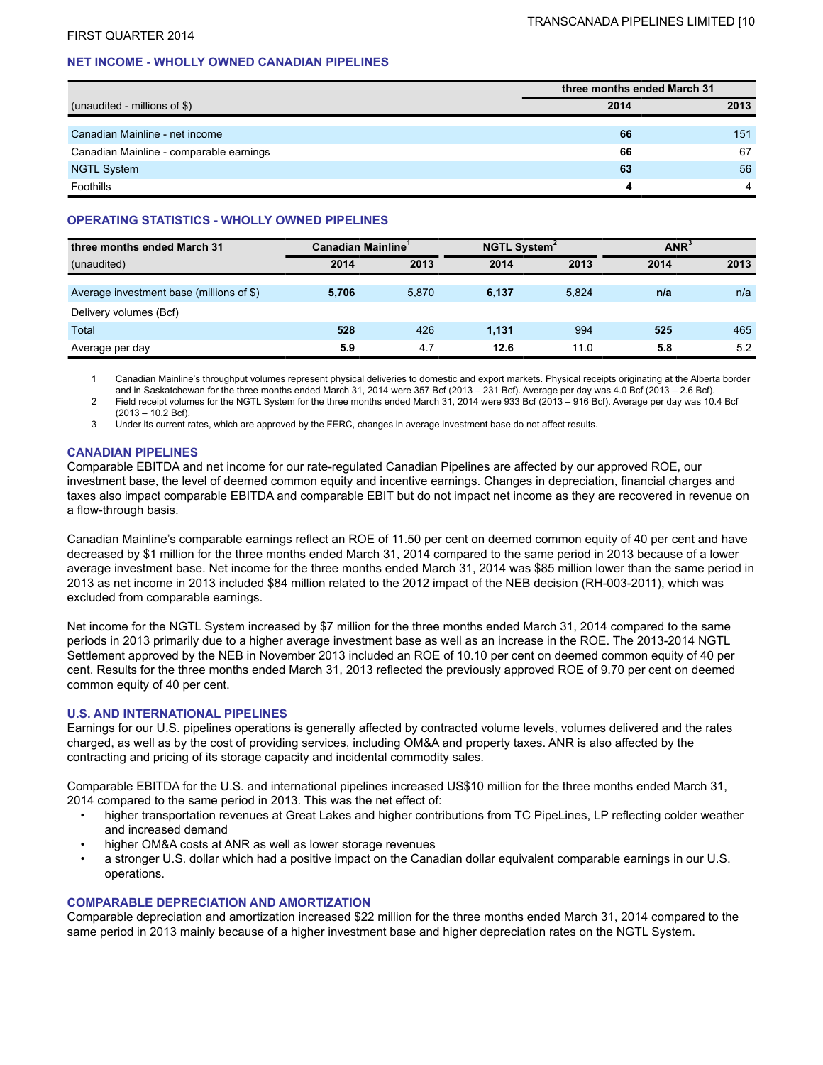## **NET INCOME - WHOLLY OWNED CANADIAN PIPELINES**

|                                         | three months ended March 31 |                |
|-----------------------------------------|-----------------------------|----------------|
| (unaudited - millions of $\$\$ )        | 2014                        | 2013           |
|                                         |                             |                |
| Canadian Mainline - net income          | 66                          | 151            |
| Canadian Mainline - comparable earnings | 66                          | 67             |
| <b>NGTL System</b>                      | 63                          | 56             |
| Foothills                               | 4                           | $\overline{4}$ |

## **OPERATING STATISTICS - WHOLLY OWNED PIPELINES**

| three months ended March 31              | Canadian Mainline <sup>1</sup> |       | <b>NGTL System<sup>2</sup></b> |       | ANR <sup>3</sup> |      |
|------------------------------------------|--------------------------------|-------|--------------------------------|-------|------------------|------|
| (unaudited)                              | 2014                           | 2013  | 2014                           | 2013  | 2014             | 2013 |
|                                          |                                |       |                                |       |                  |      |
| Average investment base (millions of \$) | 5.706                          | 5.870 | 6.137                          | 5.824 | n/a              | n/a  |
| Delivery volumes (Bcf)                   |                                |       |                                |       |                  |      |
| Total                                    | 528                            | 426   | 1,131                          | 994   | 525              | 465  |
| Average per day                          | 5.9                            | 4.7   | 12.6                           | 11.0  | 5.8              | 5.2  |

1 Canadian Mainline's throughput volumes represent physical deliveries to domestic and export markets. Physical receipts originating at the Alberta border and in Saskatchewan for the three months ended March 31, 2014 were 357 Bcf (2013 – 231 Bcf). Average per day was 4.0 Bcf (2013 – 2.6 Bcf).

2 Field receipt volumes for the NGTL System for the three months ended March 31, 2014 were 933 Bcf (2013 – 916 Bcf). Average per day was 10.4 Bcf (2013 – 10.2 Bcf).

3 Under its current rates, which are approved by the FERC, changes in average investment base do not affect results.

### **CANADIAN PIPELINES**

Comparable EBITDA and net income for our rate-regulated Canadian Pipelines are affected by our approved ROE, our investment base, the level of deemed common equity and incentive earnings. Changes in depreciation, financial charges and taxes also impact comparable EBITDA and comparable EBIT but do not impact net income as they are recovered in revenue on a flow-through basis.

Canadian Mainline's comparable earnings reflect an ROE of 11.50 per cent on deemed common equity of 40 per cent and have decreased by \$1 million for the three months ended March 31, 2014 compared to the same period in 2013 because of a lower average investment base. Net income for the three months ended March 31, 2014 was \$85 million lower than the same period in 2013 as net income in 2013 included \$84 million related to the 2012 impact of the NEB decision (RH-003-2011), which was excluded from comparable earnings.

Net income for the NGTL System increased by \$7 million for the three months ended March 31, 2014 compared to the same periods in 2013 primarily due to a higher average investment base as well as an increase in the ROE. The 2013-2014 NGTL Settlement approved by the NEB in November 2013 included an ROE of 10.10 per cent on deemed common equity of 40 per cent. Results for the three months ended March 31, 2013 reflected the previously approved ROE of 9.70 per cent on deemed common equity of 40 per cent.

#### **U.S. AND INTERNATIONAL PIPELINES**

Earnings for our U.S. pipelines operations is generally affected by contracted volume levels, volumes delivered and the rates charged, as well as by the cost of providing services, including OM&A and property taxes. ANR is also affected by the contracting and pricing of its storage capacity and incidental commodity sales.

Comparable EBITDA for the U.S. and international pipelines increased US\$10 million for the three months ended March 31, 2014 compared to the same period in 2013. This was the net effect of:

- higher transportation revenues at Great Lakes and higher contributions from TC PipeLines, LP reflecting colder weather and increased demand
- higher OM&A costs at ANR as well as lower storage revenues
- a stronger U.S. dollar which had a positive impact on the Canadian dollar equivalent comparable earnings in our U.S. operations.

### **COMPARABLE DEPRECIATION AND AMORTIZATION**

Comparable depreciation and amortization increased \$22 million for the three months ended March 31, 2014 compared to the same period in 2013 mainly because of a higher investment base and higher depreciation rates on the NGTL System.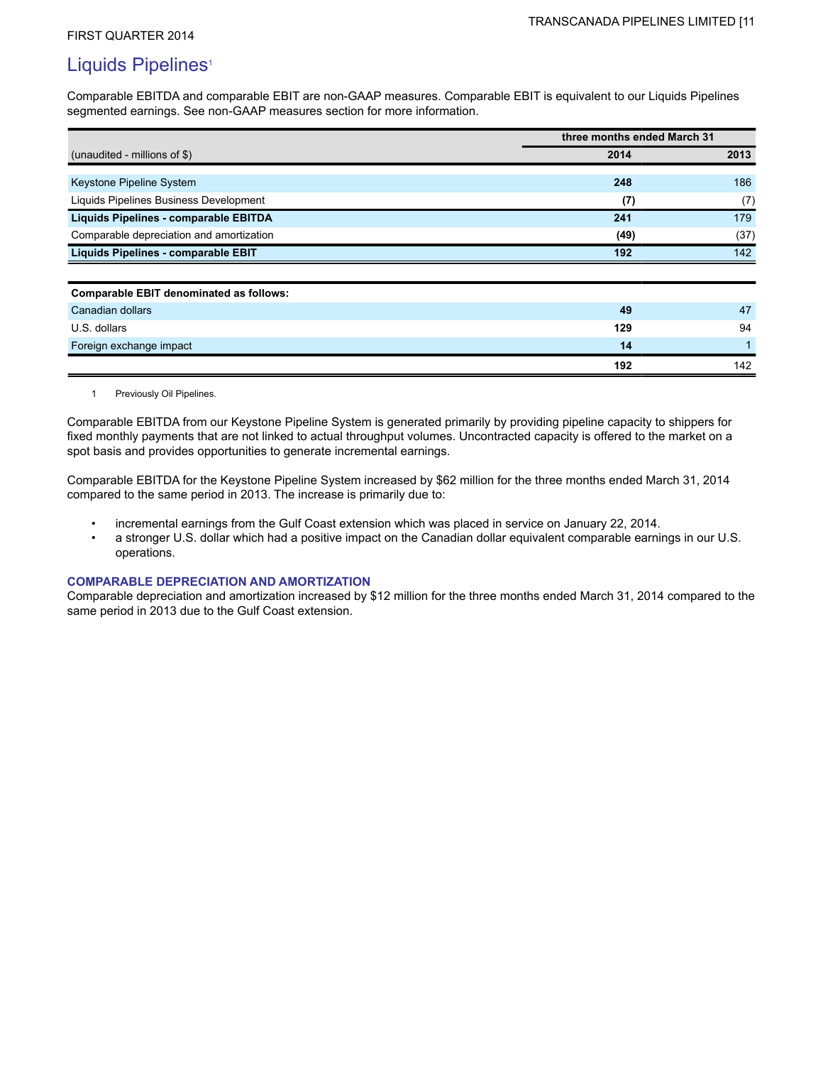## Liquids Pipelines<sup>1</sup>

Comparable EBITDA and comparable EBIT are non-GAAP measures. Comparable EBIT is equivalent to our Liquids Pipelines segmented earnings. See non-GAAP measures section for more information.

|                                          | three months ended March 31 |      |
|------------------------------------------|-----------------------------|------|
| (unaudited - millions of \$)             | 2014                        | 2013 |
|                                          |                             |      |
| Keystone Pipeline System                 | 248                         | 186  |
| Liquids Pipelines Business Development   | (7)                         | (7)  |
| Liquids Pipelines - comparable EBITDA    | 241                         | 179  |
| Comparable depreciation and amortization | (49)                        | (37) |
| Liquids Pipelines - comparable EBIT      | 192                         | 142  |
|                                          |                             |      |
| Composible FBIT departmented on follower |                             |      |

|                                         | 192 | 142 |
|-----------------------------------------|-----|-----|
| Foreign exchange impact                 | 14  |     |
| U.S. dollars                            | 129 | 94  |
| Canadian dollars                        | 49  | 47  |
| Comparable EBIT denominated as follows: |     |     |

1 Previously Oil Pipelines.

Comparable EBITDA from our Keystone Pipeline System is generated primarily by providing pipeline capacity to shippers for fixed monthly payments that are not linked to actual throughput volumes. Uncontracted capacity is offered to the market on a spot basis and provides opportunities to generate incremental earnings.

Comparable EBITDA for the Keystone Pipeline System increased by \$62 million for the three months ended March 31, 2014 compared to the same period in 2013. The increase is primarily due to:

- incremental earnings from the Gulf Coast extension which was placed in service on January 22, 2014.
- a stronger U.S. dollar which had a positive impact on the Canadian dollar equivalent comparable earnings in our U.S. operations.

### **COMPARABLE DEPRECIATION AND AMORTIZATION**

Comparable depreciation and amortization increased by \$12 million for the three months ended March 31, 2014 compared to the same period in 2013 due to the Gulf Coast extension.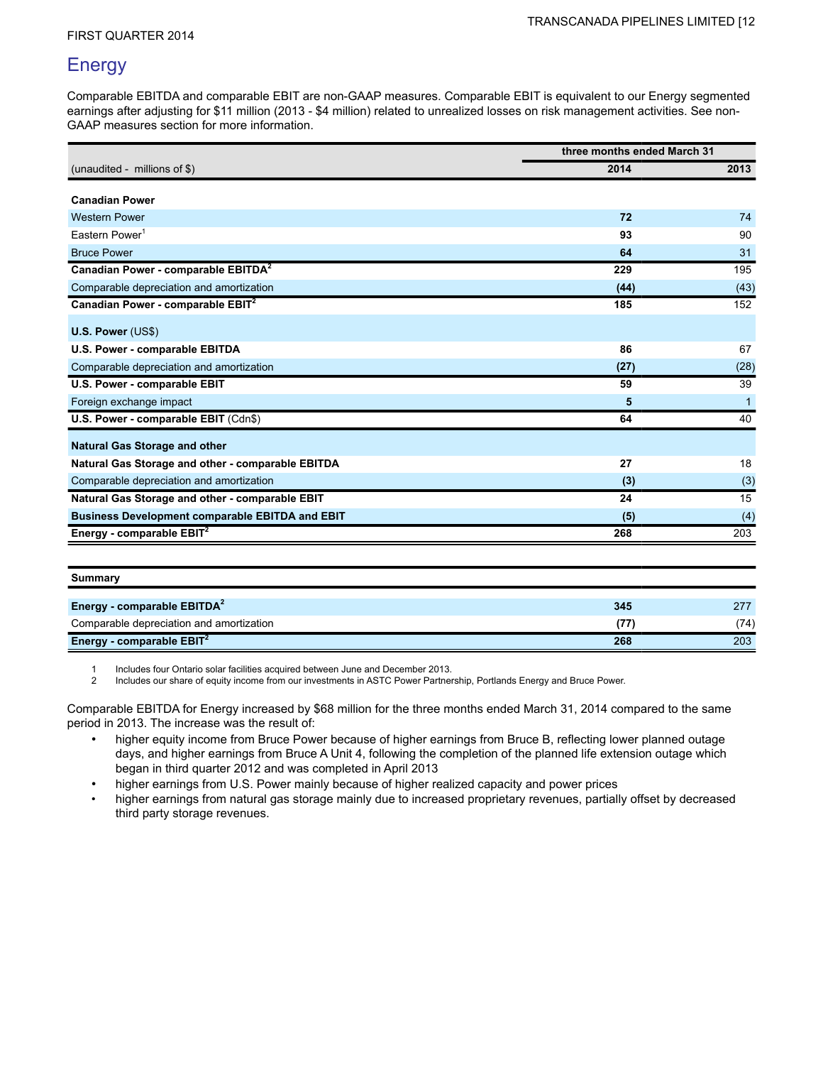## Energy

**Summary**

Comparable EBITDA and comparable EBIT are non-GAAP measures. Comparable EBIT is equivalent to our Energy segmented earnings after adjusting for \$11 million (2013 - \$4 million) related to unrealized losses on risk management activities. See non-GAAP measures section for more information.

|                                                        |      | three months ended March 31 |  |
|--------------------------------------------------------|------|-----------------------------|--|
| (unaudited - millions of $$$ )                         | 2014 | 2013                        |  |
| <b>Canadian Power</b>                                  |      |                             |  |
| <b>Western Power</b>                                   | 72   | 74                          |  |
| Eastern Power <sup>1</sup>                             | 93   | 90                          |  |
| <b>Bruce Power</b>                                     | 64   | 31                          |  |
| Canadian Power - comparable EBITDA <sup>2</sup>        | 229  | 195                         |  |
| Comparable depreciation and amortization               | (44) | (43)                        |  |
| Canadian Power - comparable EBIT <sup>2</sup>          | 185  | 152                         |  |
| U.S. Power (US\$)                                      |      |                             |  |
| U.S. Power - comparable EBITDA                         | 86   | 67                          |  |
| Comparable depreciation and amortization               | (27) | (28)                        |  |
| U.S. Power - comparable EBIT                           | 59   | 39                          |  |
| Foreign exchange impact                                | 5    | $\mathbf{1}$                |  |
| U.S. Power - comparable EBIT (Cdn\$)                   | 64   | 40                          |  |
| <b>Natural Gas Storage and other</b>                   |      |                             |  |
| Natural Gas Storage and other - comparable EBITDA      | 27   | 18                          |  |
| Comparable depreciation and amortization               | (3)  | (3)                         |  |
| Natural Gas Storage and other - comparable EBIT        | 24   | 15                          |  |
| <b>Business Development comparable EBITDA and EBIT</b> | (5)  | (4)                         |  |
| Energy - comparable EBIT <sup>2</sup>                  | 268  | 203                         |  |

| _________                                      |     |      |
|------------------------------------------------|-----|------|
|                                                |     |      |
| <b>Energy - comparable EBITDA</b> <sup>2</sup> | 345 |      |
| Comparable depreciation and amortization       |     | (74) |
| Energy - comparable EBIT <sup>2</sup>          | 268 | 203  |

1 Includes four Ontario solar facilities acquired between June and December 2013.

2 Includes our share of equity income from our investments in ASTC Power Partnership, Portlands Energy and Bruce Power.

Comparable EBITDA for Energy increased by \$68 million for the three months ended March 31, 2014 compared to the same period in 2013. The increase was the result of:

- higher equity income from Bruce Power because of higher earnings from Bruce B, reflecting lower planned outage days, and higher earnings from Bruce A Unit 4, following the completion of the planned life extension outage which began in third quarter 2012 and was completed in April 2013
- higher earnings from U.S. Power mainly because of higher realized capacity and power prices
- higher earnings from natural gas storage mainly due to increased proprietary revenues, partially offset by decreased third party storage revenues.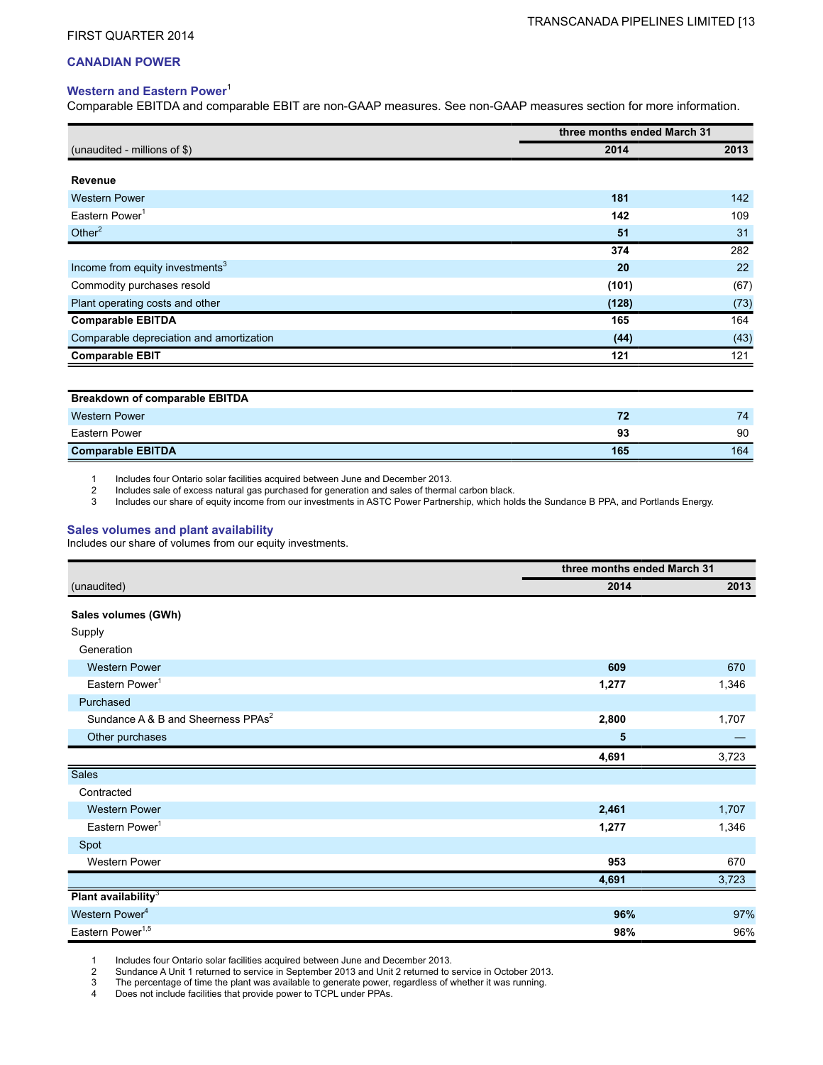### **CANADIAN POWER**

## **Western and Eastern Power**<sup>1</sup>

Comparable EBITDA and comparable EBIT are non-GAAP measures. See non-GAAP measures section for more information.

|                                             |       | three months ended March 31 |  |
|---------------------------------------------|-------|-----------------------------|--|
| (unaudited - millions of \$)                | 2014  | 2013                        |  |
| Revenue                                     |       |                             |  |
| <b>Western Power</b>                        | 181   | 142                         |  |
| Eastern Power <sup>1</sup>                  | 142   | 109                         |  |
| Other $2$                                   | 51    | 31                          |  |
|                                             | 374   | 282                         |  |
| Income from equity investments <sup>3</sup> | 20    | 22                          |  |
| Commodity purchases resold                  | (101) | (67)                        |  |
| Plant operating costs and other             | (128) | (73)                        |  |
| <b>Comparable EBITDA</b>                    | 165   | 164                         |  |
| Comparable depreciation and amortization    | (44)  | (43)                        |  |
| <b>Comparable EBIT</b>                      | 121   | 121                         |  |
|                                             |       |                             |  |
| <b>Breakdown of comparable EBITDA</b>       |       |                             |  |
| $\cdots$                                    |       | $-1$                        |  |

| <b>Western Power</b>     | $\sim$ | 74  |
|--------------------------|--------|-----|
| Eastern Power            | 93     | 90  |
| <b>Comparable EBITDA</b> | 165    | 164 |

1 Includes four Ontario solar facilities acquired between June and December 2013.

2 Includes sale of excess natural gas purchased for generation and sales of thermal carbon black.<br>3 Includes our share of equity income from our investments in ASTC Power Partnership, which hol

Includes our share of equity income from our investments in ASTC Power Partnership, which holds the Sundance B PPA, and Portlands Energy.

#### **Sales volumes and plant availability**

Includes our share of volumes from our equity investments.

|                                                |       | three months ended March 31 |  |
|------------------------------------------------|-------|-----------------------------|--|
| (unaudited)                                    | 2014  | 2013                        |  |
| Sales volumes (GWh)                            |       |                             |  |
| Supply                                         |       |                             |  |
| Generation                                     |       |                             |  |
| <b>Western Power</b>                           | 609   | 670                         |  |
| Eastern Power <sup>1</sup>                     | 1,277 | 1,346                       |  |
| Purchased                                      |       |                             |  |
| Sundance A & B and Sheerness PPAs <sup>2</sup> | 2,800 | 1,707                       |  |
| Other purchases                                | 5     |                             |  |
|                                                | 4,691 | 3,723                       |  |
| <b>Sales</b>                                   |       |                             |  |
| Contracted                                     |       |                             |  |
| <b>Western Power</b>                           | 2,461 | 1,707                       |  |
| Eastern Power <sup>1</sup>                     | 1,277 | 1,346                       |  |
| Spot                                           |       |                             |  |
| Western Power                                  | 953   | 670                         |  |
|                                                | 4,691 | 3,723                       |  |
| Plant availability <sup>3</sup>                |       |                             |  |
| Western Power <sup>4</sup>                     | 96%   | 97%                         |  |
| Eastern Power <sup>1,5</sup>                   | 98%   | 96%                         |  |

1 Includes four Ontario solar facilities acquired between June and December 2013.

2 Sundance A Unit 1 returned to service in September 2013 and Unit 2 returned to service in October 2013.

3 The percentage of time the plant was available to generate power, regardless of whether it was running.<br>4 Does not include facilities that provide power to TCPL under PPAs.

Does not include facilities that provide power to TCPL under PPAs.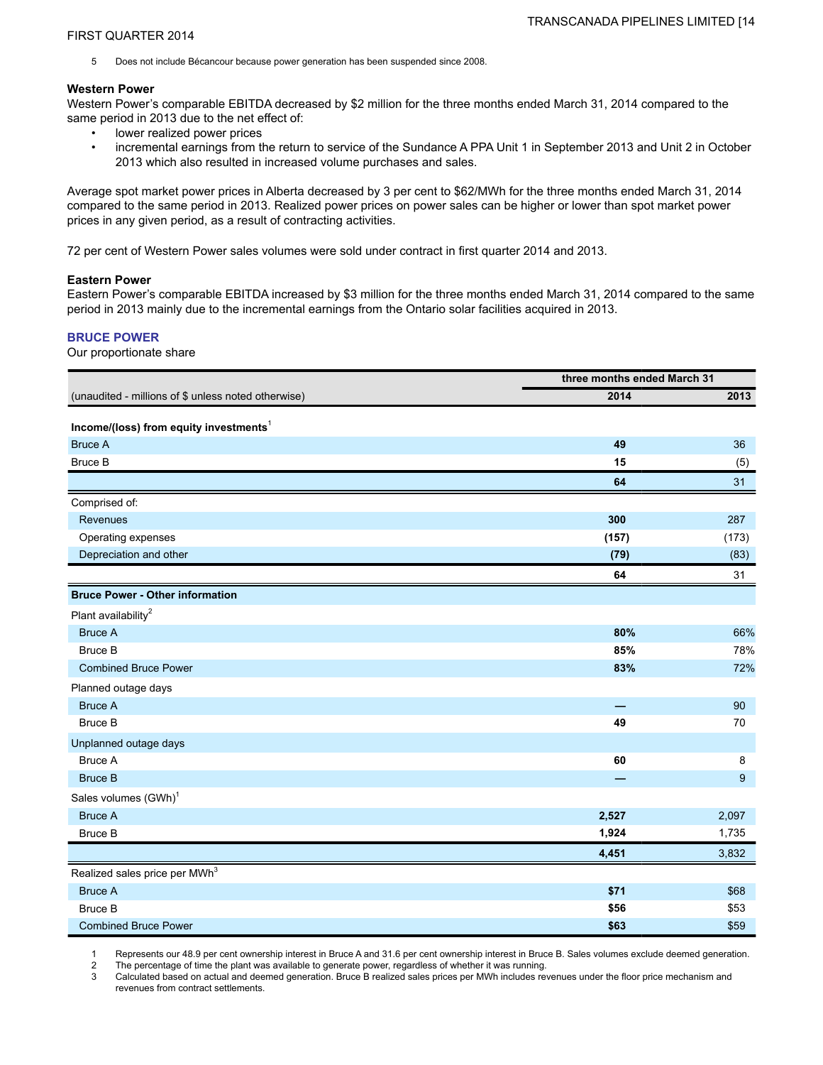5 Does not include Bécancour because power generation has been suspended since 2008.

#### **Western Power**

Western Power's comparable EBITDA decreased by \$2 million for the three months ended March 31, 2014 compared to the same period in 2013 due to the net effect of:

- lower realized power prices
- incremental earnings from the return to service of the Sundance A PPA Unit 1 in September 2013 and Unit 2 in October 2013 which also resulted in increased volume purchases and sales.

Average spot market power prices in Alberta decreased by 3 per cent to \$62/MWh for the three months ended March 31, 2014 compared to the same period in 2013. Realized power prices on power sales can be higher or lower than spot market power prices in any given period, as a result of contracting activities.

72 per cent of Western Power sales volumes were sold under contract in first quarter 2014 and 2013.

#### **Eastern Power**

Eastern Power's comparable EBITDA increased by \$3 million for the three months ended March 31, 2014 compared to the same period in 2013 mainly due to the incremental earnings from the Ontario solar facilities acquired in 2013.

#### **BRUCE POWER**

Our proportionate share

|                                                     |       | three months ended March 31 |  |
|-----------------------------------------------------|-------|-----------------------------|--|
| (unaudited - millions of \$ unless noted otherwise) | 2014  | 2013                        |  |
|                                                     |       |                             |  |
| Income/(loss) from equity investments <sup>1</sup>  |       |                             |  |
| <b>Bruce A</b>                                      | 49    | 36                          |  |
| <b>Bruce B</b>                                      | 15    | (5)                         |  |
|                                                     | 64    | 31                          |  |
| Comprised of:                                       |       |                             |  |
| Revenues                                            | 300   | 287                         |  |
| Operating expenses                                  | (157) | (173)                       |  |
| Depreciation and other                              | (79)  | (83)                        |  |
|                                                     | 64    | 31                          |  |
| <b>Bruce Power - Other information</b>              |       |                             |  |
| Plant availability <sup>2</sup>                     |       |                             |  |
| <b>Bruce A</b>                                      | 80%   | 66%                         |  |
| <b>Bruce B</b>                                      | 85%   | 78%                         |  |
| <b>Combined Bruce Power</b>                         | 83%   | 72%                         |  |
| Planned outage days                                 |       |                             |  |
| <b>Bruce A</b>                                      |       | 90                          |  |
| <b>Bruce B</b>                                      | 49    | 70                          |  |
| Unplanned outage days                               |       |                             |  |
| <b>Bruce A</b>                                      | 60    | 8                           |  |
| <b>Bruce B</b>                                      |       | 9                           |  |
| Sales volumes (GWh) <sup>1</sup>                    |       |                             |  |
| <b>Bruce A</b>                                      | 2,527 | 2,097                       |  |
| <b>Bruce B</b>                                      | 1,924 | 1,735                       |  |
|                                                     | 4,451 | 3,832                       |  |
| Realized sales price per MWh <sup>3</sup>           |       |                             |  |
| <b>Bruce A</b>                                      | \$71  | \$68                        |  |
| <b>Bruce B</b>                                      | \$56  | \$53                        |  |
| <b>Combined Bruce Power</b>                         | \$63  | \$59                        |  |

1 Represents our 48.9 per cent ownership interest in Bruce A and 31.6 per cent ownership interest in Bruce B. Sales volumes exclude deemed generation.

2 The percentage of time the plant was available to generate power, regardless of whether it was running.<br>3 Calculated based on actual and deemed generation. Bruce B realized sales prices per MWh includes rev

3 Calculated based on actual and deemed generation. Bruce B realized sales prices per MWh includes revenues under the floor price mechanism and revenues from contract settlements.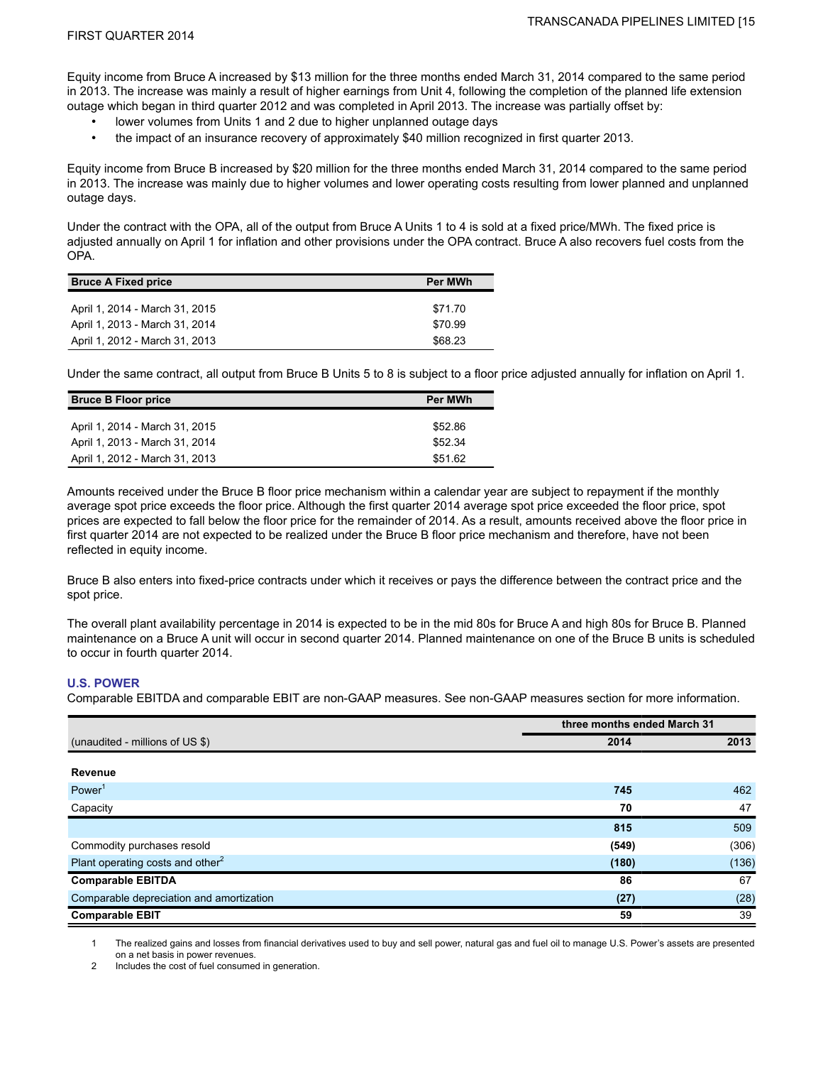Equity income from Bruce A increased by \$13 million for the three months ended March 31, 2014 compared to the same period in 2013. The increase was mainly a result of higher earnings from Unit 4, following the completion of the planned life extension outage which began in third quarter 2012 and was completed in April 2013. The increase was partially offset by:

- lower volumes from Units 1 and 2 due to higher unplanned outage days
- the impact of an insurance recovery of approximately \$40 million recognized in first quarter 2013.

Equity income from Bruce B increased by \$20 million for the three months ended March 31, 2014 compared to the same period in 2013. The increase was mainly due to higher volumes and lower operating costs resulting from lower planned and unplanned outage days.

Under the contract with the OPA, all of the output from Bruce A Units 1 to 4 is sold at a fixed price/MWh. The fixed price is adjusted annually on April 1 for inflation and other provisions under the OPA contract. Bruce A also recovers fuel costs from the OPA.

| <b>Bruce A Fixed price</b>     | <b>Per MWh</b> |
|--------------------------------|----------------|
| April 1, 2014 - March 31, 2015 | \$71.70        |
| April 1, 2013 - March 31, 2014 | \$70.99        |
| April 1, 2012 - March 31, 2013 | \$68.23        |

Under the same contract, all output from Bruce B Units 5 to 8 is subject to a floor price adjusted annually for inflation on April 1.

| <b>Bruce B Floor price</b>     | <b>Per MWh</b> |
|--------------------------------|----------------|
| April 1, 2014 - March 31, 2015 | \$52.86        |
| April 1, 2013 - March 31, 2014 | \$52.34        |
| April 1, 2012 - March 31, 2013 | \$51.62        |

Amounts received under the Bruce B floor price mechanism within a calendar year are subject to repayment if the monthly average spot price exceeds the floor price. Although the first quarter 2014 average spot price exceeded the floor price, spot prices are expected to fall below the floor price for the remainder of 2014. As a result, amounts received above the floor price in first quarter 2014 are not expected to be realized under the Bruce B floor price mechanism and therefore, have not been reflected in equity income.

Bruce B also enters into fixed-price contracts under which it receives or pays the difference between the contract price and the spot price.

The overall plant availability percentage in 2014 is expected to be in the mid 80s for Bruce A and high 80s for Bruce B. Planned maintenance on a Bruce A unit will occur in second quarter 2014. Planned maintenance on one of the Bruce B units is scheduled to occur in fourth quarter 2014.

### **U.S. POWER**

Comparable EBITDA and comparable EBIT are non-GAAP measures. See non-GAAP measures section for more information.

|                                              | three months ended March 31 |       |
|----------------------------------------------|-----------------------------|-------|
| (unaudited - millions of US \$)              | 2014                        | 2013  |
|                                              |                             |       |
| Revenue                                      |                             |       |
| Power <sup>1</sup>                           | 745                         | 462   |
| Capacity                                     | 70                          | 47    |
|                                              | 815                         | 509   |
| Commodity purchases resold                   | (549)                       | (306) |
| Plant operating costs and other <sup>2</sup> | (180)                       | (136) |
| <b>Comparable EBITDA</b>                     | 86                          | 67    |
| Comparable depreciation and amortization     | (27)                        | (28)  |
| <b>Comparable EBIT</b>                       | 59                          | 39    |

1 The realized gains and losses from financial derivatives used to buy and sell power, natural gas and fuel oil to manage U.S. Power's assets are presented on a net basis in power revenues.

2 Includes the cost of fuel consumed in generation.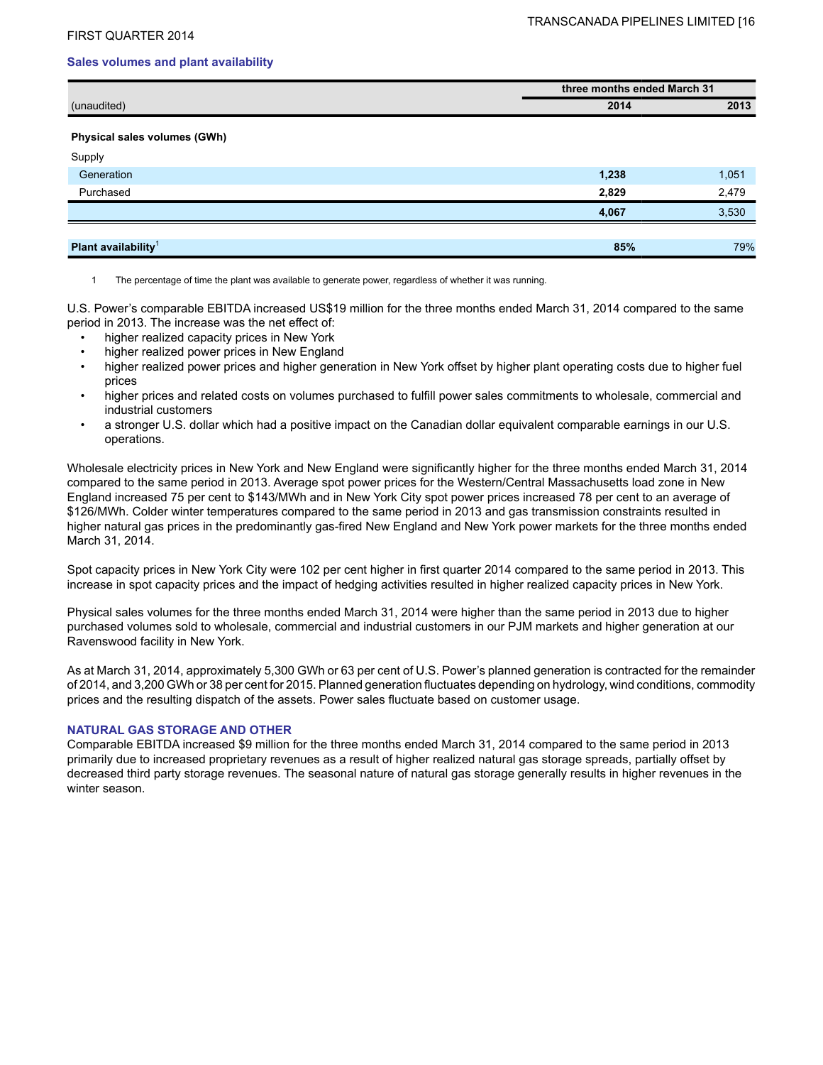#### **Sales volumes and plant availability**

|             | three months ended March 31 |      |
|-------------|-----------------------------|------|
| (unaudited) | 2014                        | 2013 |

#### **Physical sales volumes (GWh)**

| Supply                          |       |       |
|---------------------------------|-------|-------|
| Generation                      | 1,238 | 1,051 |
| Purchased                       | 2,829 | 2,479 |
|                                 | 4,067 | 3,530 |
|                                 |       |       |
| Plant availability <sup>1</sup> | 85%   | 79%   |

1 The percentage of time the plant was available to generate power, regardless of whether it was running.

U.S. Power's comparable EBITDA increased US\$19 million for the three months ended March 31, 2014 compared to the same period in 2013. The increase was the net effect of:

- higher realized capacity prices in New York
- higher realized power prices in New England
- higher realized power prices and higher generation in New York offset by higher plant operating costs due to higher fuel prices
- higher prices and related costs on volumes purchased to fulfill power sales commitments to wholesale, commercial and industrial customers
- a stronger U.S. dollar which had a positive impact on the Canadian dollar equivalent comparable earnings in our U.S. operations.

Wholesale electricity prices in New York and New England were significantly higher for the three months ended March 31, 2014 compared to the same period in 2013. Average spot power prices for the Western/Central Massachusetts load zone in New England increased 75 per cent to \$143/MWh and in New York City spot power prices increased 78 per cent to an average of \$126/MWh. Colder winter temperatures compared to the same period in 2013 and gas transmission constraints resulted in higher natural gas prices in the predominantly gas-fired New England and New York power markets for the three months ended March 31, 2014.

Spot capacity prices in New York City were 102 per cent higher in first quarter 2014 compared to the same period in 2013. This increase in spot capacity prices and the impact of hedging activities resulted in higher realized capacity prices in New York.

Physical sales volumes for the three months ended March 31, 2014 were higher than the same period in 2013 due to higher purchased volumes sold to wholesale, commercial and industrial customers in our PJM markets and higher generation at our Ravenswood facility in New York.

As at March 31, 2014, approximately 5,300 GWh or 63 per cent of U.S. Power's planned generation is contracted for the remainder of 2014, and 3,200 GWh or 38 per cent for 2015. Planned generation fluctuates depending on hydrology, wind conditions, commodity prices and the resulting dispatch of the assets. Power sales fluctuate based on customer usage.

### **NATURAL GAS STORAGE AND OTHER**

Comparable EBITDA increased \$9 million for the three months ended March 31, 2014 compared to the same period in 2013 primarily due to increased proprietary revenues as a result of higher realized natural gas storage spreads, partially offset by decreased third party storage revenues. The seasonal nature of natural gas storage generally results in higher revenues in the winter season.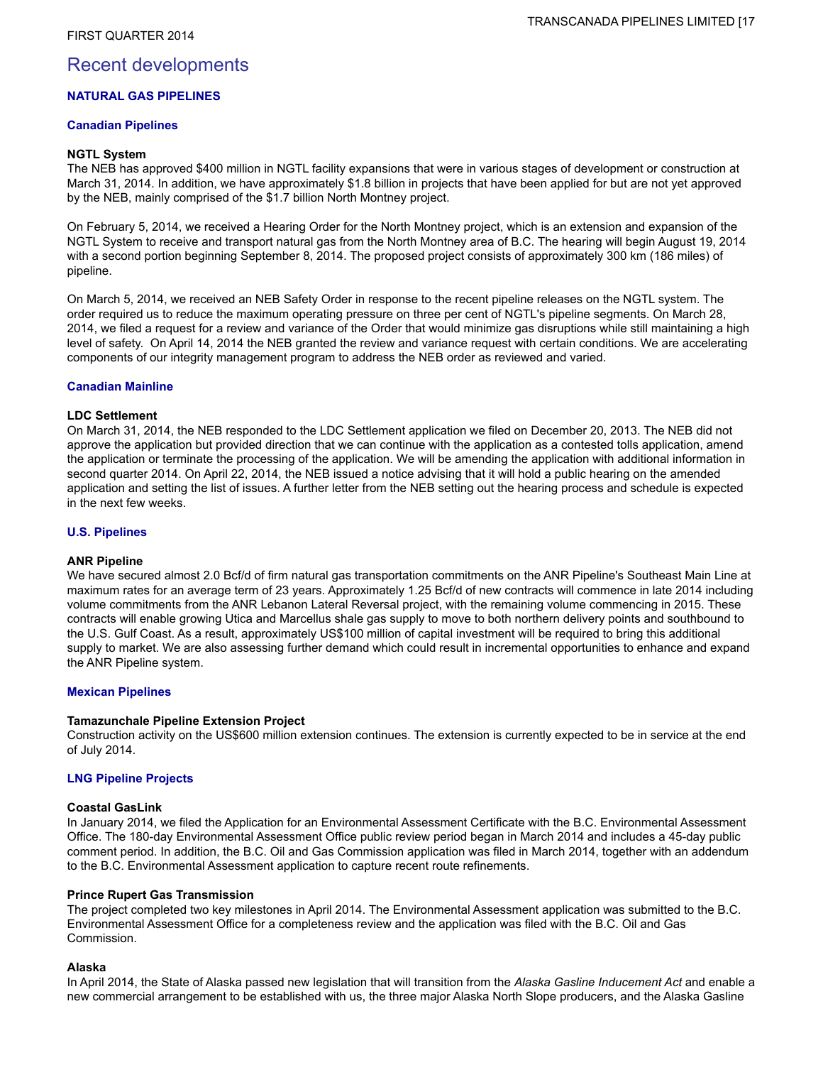## Recent developments

## **NATURAL GAS PIPELINES**

## **Canadian Pipelines**

## **NGTL System**

The NEB has approved \$400 million in NGTL facility expansions that were in various stages of development or construction at March 31, 2014. In addition, we have approximately \$1.8 billion in projects that have been applied for but are not yet approved by the NEB, mainly comprised of the \$1.7 billion North Montney project.

On February 5, 2014, we received a Hearing Order for the North Montney project, which is an extension and expansion of the NGTL System to receive and transport natural gas from the North Montney area of B.C. The hearing will begin August 19, 2014 with a second portion beginning September 8, 2014. The proposed project consists of approximately 300 km (186 miles) of pipeline.

On March 5, 2014, we received an NEB Safety Order in response to the recent pipeline releases on the NGTL system. The order required us to reduce the maximum operating pressure on three per cent of NGTL's pipeline segments. On March 28, 2014, we filed a request for a review and variance of the Order that would minimize gas disruptions while still maintaining a high level of safety. On April 14, 2014 the NEB granted the review and variance request with certain conditions. We are accelerating components of our integrity management program to address the NEB order as reviewed and varied.

### **Canadian Mainline**

### **LDC Settlement**

On March 31, 2014, the NEB responded to the LDC Settlement application we filed on December 20, 2013. The NEB did not approve the application but provided direction that we can continue with the application as a contested tolls application, amend the application or terminate the processing of the application. We will be amending the application with additional information in second quarter 2014. On April 22, 2014, the NEB issued a notice advising that it will hold a public hearing on the amended application and setting the list of issues. A further letter from the NEB setting out the hearing process and schedule is expected in the next few weeks.

#### **U.S. Pipelines**

### **ANR Pipeline**

We have secured almost 2.0 Bcf/d of firm natural gas transportation commitments on the ANR Pipeline's Southeast Main Line at maximum rates for an average term of 23 years. Approximately 1.25 Bcf/d of new contracts will commence in late 2014 including volume commitments from the ANR Lebanon Lateral Reversal project, with the remaining volume commencing in 2015. These contracts will enable growing Utica and Marcellus shale gas supply to move to both northern delivery points and southbound to the U.S. Gulf Coast. As a result, approximately US\$100 million of capital investment will be required to bring this additional supply to market. We are also assessing further demand which could result in incremental opportunities to enhance and expand the ANR Pipeline system.

### **Mexican Pipelines**

### **Tamazunchale Pipeline Extension Project**

Construction activity on the US\$600 million extension continues. The extension is currently expected to be in service at the end of July 2014.

#### **LNG Pipeline Projects**

### **Coastal GasLink**

In January 2014, we filed the Application for an Environmental Assessment Certificate with the B.C. Environmental Assessment Office. The 180-day Environmental Assessment Office public review period began in March 2014 and includes a 45-day public comment period. In addition, the B.C. Oil and Gas Commission application was filed in March 2014, together with an addendum to the B.C. Environmental Assessment application to capture recent route refinements.

### **Prince Rupert Gas Transmission**

The project completed two key milestones in April 2014. The Environmental Assessment application was submitted to the B.C. Environmental Assessment Office for a completeness review and the application was filed with the B.C. Oil and Gas Commission.

#### **Alaska**

In April 2014, the State of Alaska passed new legislation that will transition from the *Alaska Gasline Inducement Act* and enable a new commercial arrangement to be established with us, the three major Alaska North Slope producers, and the Alaska Gasline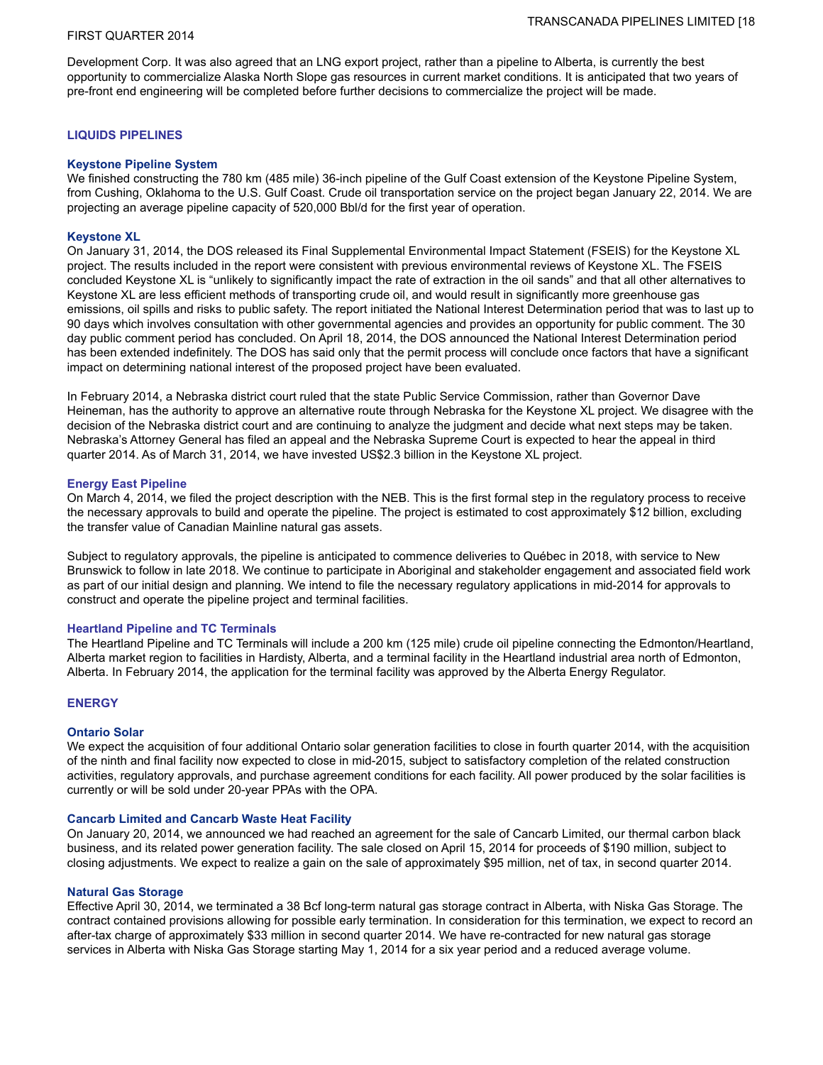Development Corp. It was also agreed that an LNG export project, rather than a pipeline to Alberta, is currently the best opportunity to commercialize Alaska North Slope gas resources in current market conditions. It is anticipated that two years of pre-front end engineering will be completed before further decisions to commercialize the project will be made.

## **LIQUIDS PIPELINES**

#### **Keystone Pipeline System**

We finished constructing the 780 km (485 mile) 36-inch pipeline of the Gulf Coast extension of the Keystone Pipeline System, from Cushing, Oklahoma to the U.S. Gulf Coast. Crude oil transportation service on the project began January 22, 2014. We are projecting an average pipeline capacity of 520,000 Bbl/d for the first year of operation.

### **Keystone XL**

On January 31, 2014, the DOS released its Final Supplemental Environmental Impact Statement (FSEIS) for the Keystone XL project. The results included in the report were consistent with previous environmental reviews of Keystone XL. The FSEIS concluded Keystone XL is "unlikely to significantly impact the rate of extraction in the oil sands" and that all other alternatives to Keystone XL are less efficient methods of transporting crude oil, and would result in significantly more greenhouse gas emissions, oil spills and risks to public safety. The report initiated the National Interest Determination period that was to last up to 90 days which involves consultation with other governmental agencies and provides an opportunity for public comment. The 30 day public comment period has concluded. On April 18, 2014, the DOS announced the National Interest Determination period has been extended indefinitely. The DOS has said only that the permit process will conclude once factors that have a significant impact on determining national interest of the proposed project have been evaluated.

In February 2014, a Nebraska district court ruled that the state Public Service Commission, rather than Governor Dave Heineman, has the authority to approve an alternative route through Nebraska for the Keystone XL project. We disagree with the decision of the Nebraska district court and are continuing to analyze the judgment and decide what next steps may be taken. Nebraska's Attorney General has filed an appeal and the Nebraska Supreme Court is expected to hear the appeal in third quarter 2014. As of March 31, 2014, we have invested US\$2.3 billion in the Keystone XL project.

### **Energy East Pipeline**

On March 4, 2014, we filed the project description with the NEB. This is the first formal step in the regulatory process to receive the necessary approvals to build and operate the pipeline. The project is estimated to cost approximately \$12 billion, excluding the transfer value of Canadian Mainline natural gas assets.

Subject to regulatory approvals, the pipeline is anticipated to commence deliveries to Québec in 2018, with service to New Brunswick to follow in late 2018. We continue to participate in Aboriginal and stakeholder engagement and associated field work as part of our initial design and planning. We intend to file the necessary regulatory applications in mid-2014 for approvals to construct and operate the pipeline project and terminal facilities.

#### **Heartland Pipeline and TC Terminals**

The Heartland Pipeline and TC Terminals will include a 200 km (125 mile) crude oil pipeline connecting the Edmonton/Heartland, Alberta market region to facilities in Hardisty, Alberta, and a terminal facility in the Heartland industrial area north of Edmonton, Alberta. In February 2014, the application for the terminal facility was approved by the Alberta Energy Regulator.

### **ENERGY**

#### **Ontario Solar**

We expect the acquisition of four additional Ontario solar generation facilities to close in fourth quarter 2014, with the acquisition of the ninth and final facility now expected to close in mid-2015, subject to satisfactory completion of the related construction activities, regulatory approvals, and purchase agreement conditions for each facility. All power produced by the solar facilities is currently or will be sold under 20-year PPAs with the OPA.

#### **Cancarb Limited and Cancarb Waste Heat Facility**

On January 20, 2014, we announced we had reached an agreement for the sale of Cancarb Limited, our thermal carbon black business, and its related power generation facility. The sale closed on April 15, 2014 for proceeds of \$190 million, subject to closing adjustments. We expect to realize a gain on the sale of approximately \$95 million, net of tax, in second quarter 2014.

#### **Natural Gas Storage**

Effective April 30, 2014, we terminated a 38 Bcf long-term natural gas storage contract in Alberta, with Niska Gas Storage. The contract contained provisions allowing for possible early termination. In consideration for this termination, we expect to record an after-tax charge of approximately \$33 million in second quarter 2014. We have re-contracted for new natural gas storage services in Alberta with Niska Gas Storage starting May 1, 2014 for a six year period and a reduced average volume.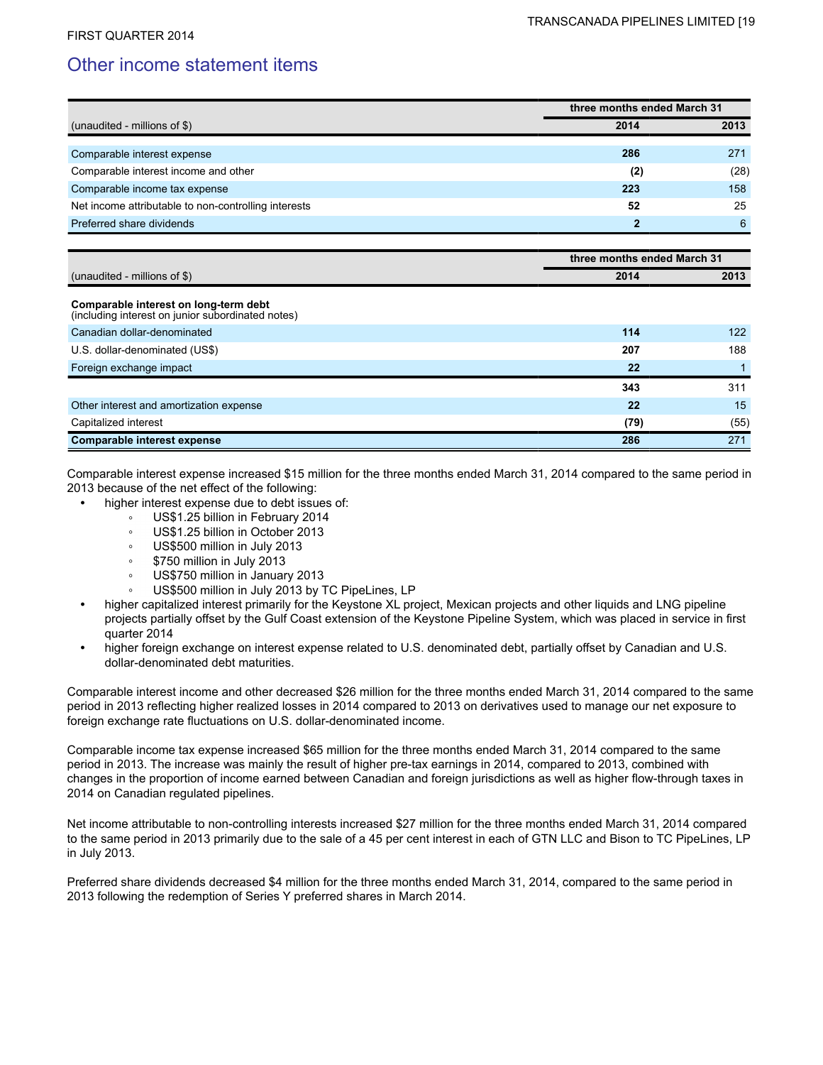## Other income statement items

|                                                      | three months ended March 31 |      |
|------------------------------------------------------|-----------------------------|------|
| (unaudited - millions of \$)                         | 2014                        | 2013 |
|                                                      |                             |      |
| Comparable interest expense                          | 286                         | 271  |
| Comparable interest income and other                 | (2)                         | (28) |
| Comparable income tax expense                        | 223                         | 158  |
| Net income attributable to non-controlling interests | 52                          | 25   |
| Preferred share dividends                            | 2                           | 6    |

|                                 | three months ended March 31 |      |
|---------------------------------|-----------------------------|------|
| millions of \$)<br>(unaudited - | 2014                        | 2013 |

#### **Comparable interest on long-term debt** (including interest on junior subordinated notes)

| Comparable interest expense             | 286  | 271  |
|-----------------------------------------|------|------|
| Capitalized interest                    | (79) | (55) |
| Other interest and amortization expense | 22   | 15   |
|                                         | 343  | 311  |
| Foreign exchange impact                 | 22   |      |
| U.S. dollar-denominated (US\$)          | 207  | 188  |
| Canadian dollar-denominated             | 114  | 122  |
|                                         |      |      |

Comparable interest expense increased \$15 million for the three months ended March 31, 2014 compared to the same period in 2013 because of the net effect of the following:

- higher interest expense due to debt issues of:
	- US\$1.25 billion in February 2014  $\alpha$
	- $\circ$ US\$1.25 billion in October 2013
	- US\$500 million in July 2013  $\circ$
	- \$750 million in July 2013
	- US\$750 million in January 2013
	- US\$500 million in July 2013 by TC PipeLines, LP
- higher capitalized interest primarily for the Keystone XL project, Mexican projects and other liquids and LNG pipeline projects partially offset by the Gulf Coast extension of the Keystone Pipeline System, which was placed in service in first quarter 2014
- higher foreign exchange on interest expense related to U.S. denominated debt, partially offset by Canadian and U.S. dollar-denominated debt maturities.

Comparable interest income and other decreased \$26 million for the three months ended March 31, 2014 compared to the same period in 2013 reflecting higher realized losses in 2014 compared to 2013 on derivatives used to manage our net exposure to foreign exchange rate fluctuations on U.S. dollar-denominated income.

Comparable income tax expense increased \$65 million for the three months ended March 31, 2014 compared to the same period in 2013. The increase was mainly the result of higher pre-tax earnings in 2014, compared to 2013, combined with changes in the proportion of income earned between Canadian and foreign jurisdictions as well as higher flow-through taxes in 2014 on Canadian regulated pipelines.

Net income attributable to non-controlling interests increased \$27 million for the three months ended March 31, 2014 compared to the same period in 2013 primarily due to the sale of a 45 per cent interest in each of GTN LLC and Bison to TC PipeLines, LP in July 2013.

Preferred share dividends decreased \$4 million for the three months ended March 31, 2014, compared to the same period in 2013 following the redemption of Series Y preferred shares in March 2014.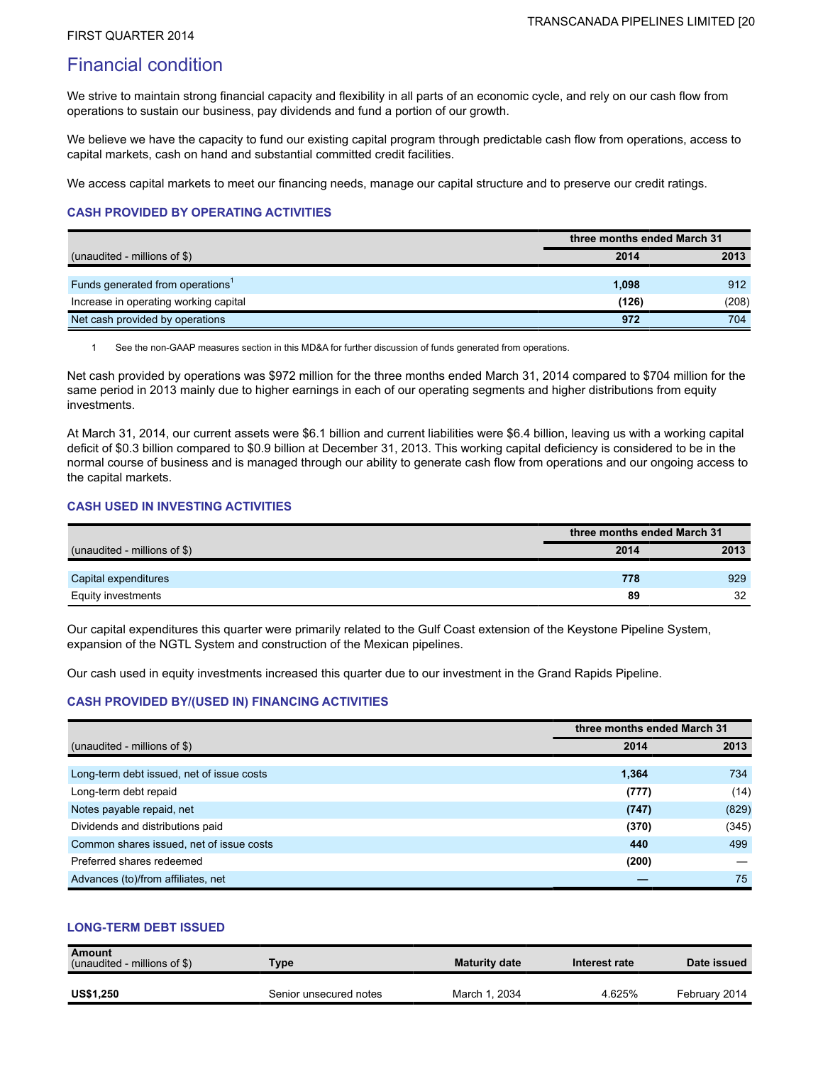### FIRST QUARTER 2014

## Financial condition

We strive to maintain strong financial capacity and flexibility in all parts of an economic cycle, and rely on our cash flow from operations to sustain our business, pay dividends and fund a portion of our growth.

We believe we have the capacity to fund our existing capital program through predictable cash flow from operations, access to capital markets, cash on hand and substantial committed credit facilities.

We access capital markets to meet our financing needs, manage our capital structure and to preserve our credit ratings.

## **CASH PROVIDED BY OPERATING ACTIVITIES**

|                                              | three months ended March 31 |       |
|----------------------------------------------|-----------------------------|-------|
| (unaudited - millions of $\$\$ )             | 2014                        | 2013  |
|                                              |                             |       |
| Funds generated from operations <sup>1</sup> | 1,098                       | 912   |
| Increase in operating working capital        | (126)                       | (208) |
| Net cash provided by operations              | 972                         | 704   |

1 See the non-GAAP measures section in this MD&A for further discussion of funds generated from operations.

Net cash provided by operations was \$972 million for the three months ended March 31, 2014 compared to \$704 million for the same period in 2013 mainly due to higher earnings in each of our operating segments and higher distributions from equity investments.

At March 31, 2014, our current assets were \$6.1 billion and current liabilities were \$6.4 billion, leaving us with a working capital deficit of \$0.3 billion compared to \$0.9 billion at December 31, 2013. This working capital deficiency is considered to be in the normal course of business and is managed through our ability to generate cash flow from operations and our ongoing access to the capital markets.

## **CASH USED IN INVESTING ACTIVITIES**

|                                  | three months ended March 31 |      |
|----------------------------------|-----------------------------|------|
| (unaudited - millions of $\$\$ ) | 2014                        | 2013 |
|                                  |                             |      |
| Capital expenditures             | 778                         | 929  |
| Equity investments               | 89                          | 32   |

Our capital expenditures this quarter were primarily related to the Gulf Coast extension of the Keystone Pipeline System, expansion of the NGTL System and construction of the Mexican pipelines.

Our cash used in equity investments increased this quarter due to our investment in the Grand Rapids Pipeline.

## **CASH PROVIDED BY/(USED IN) FINANCING ACTIVITIES**

|                                           | three months ended March 31 |       |
|-------------------------------------------|-----------------------------|-------|
| (unaudited - millions of $\$\$ )          | 2014                        | 2013  |
| Long-term debt issued, net of issue costs | 1,364                       | 734   |
|                                           |                             |       |
| Long-term debt repaid                     | (777)                       | (14)  |
| Notes payable repaid, net                 | (747)                       | (829) |
| Dividends and distributions paid          | (370)                       | (345) |
| Common shares issued, net of issue costs  | 440                         | 499   |
| Preferred shares redeemed                 | (200)                       |       |
| Advances (to)/from affiliates, net        |                             | 75    |

## **LONG-TERM DEBT ISSUED**

| Amount<br>(unaudited - millions of \$) | $_{\text{Type}}$       | <b>Maturity date</b> | Interest rate | Date issued   |
|----------------------------------------|------------------------|----------------------|---------------|---------------|
| <b>US\$1,250</b>                       | Senior unsecured notes | March 1, 2034        | 4.625%        | February 2014 |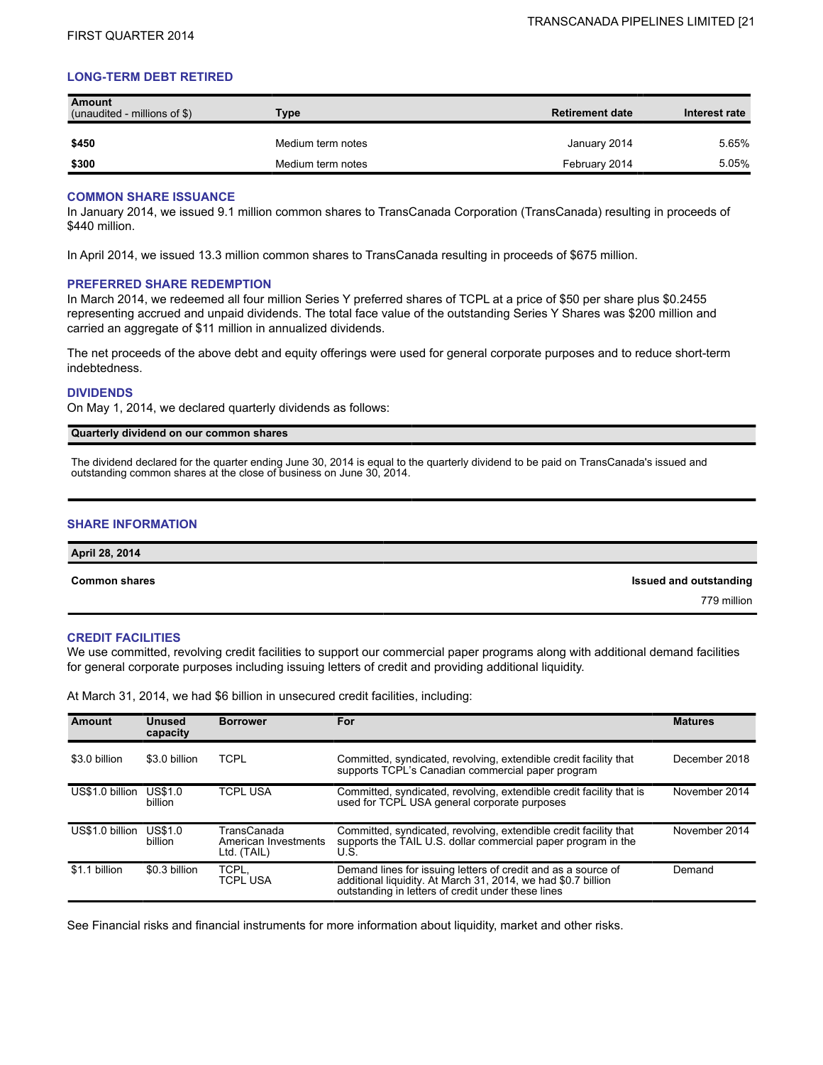## **LONG-TERM DEBT RETIRED**

| Amount<br>(unaudited - millions of \$) | <b>Type</b>       | <b>Retirement date</b> | Interest rate |
|----------------------------------------|-------------------|------------------------|---------------|
| \$450                                  | Medium term notes | January 2014           | 5.65%         |
| \$300                                  | Medium term notes | February 2014          | 5.05%         |

#### **COMMON SHARE ISSUANCE**

In January 2014, we issued 9.1 million common shares to TransCanada Corporation (TransCanada) resulting in proceeds of \$440 million.

In April 2014, we issued 13.3 million common shares to TransCanada resulting in proceeds of \$675 million.

#### **PREFERRED SHARE REDEMPTION**

In March 2014, we redeemed all four million Series Y preferred shares of TCPL at a price of \$50 per share plus \$0.2455 representing accrued and unpaid dividends. The total face value of the outstanding Series Y Shares was \$200 million and carried an aggregate of \$11 million in annualized dividends.

The net proceeds of the above debt and equity offerings were used for general corporate purposes and to reduce short-term indebtedness.

#### **DIVIDENDS**

On May 1, 2014, we declared quarterly dividends as follows:

#### **Quarterly dividend on our common shares**

The dividend declared for the quarter ending June 30, 2014 is equal to the quarterly dividend to be paid on TransCanada's issued and outstanding common shares at the close of business on June 30, 2014.

## **SHARE INFORMATION**

#### **April 28, 2014**

**Common shares Issued and outstanding**

779 million

#### **CREDIT FACILITIES**

We use committed, revolving credit facilities to support our commercial paper programs along with additional demand facilities for general corporate purposes including issuing letters of credit and providing additional liquidity.

|  | At March 31, 2014, we had \$6 billion in unsecured credit facilities, including: |  |  |  |
|--|----------------------------------------------------------------------------------|--|--|--|
|--|----------------------------------------------------------------------------------|--|--|--|

| Amount          | Unused<br>capacity        | <b>Borrower</b>                                    | <b>For</b>                                                                                                                                                                           | <b>Matures</b> |
|-----------------|---------------------------|----------------------------------------------------|--------------------------------------------------------------------------------------------------------------------------------------------------------------------------------------|----------------|
| \$3.0 billion   | \$3.0 billion             | <b>TCPL</b>                                        | Committed, syndicated, revolving, extendible credit facility that<br>supports TCPL's Canadian commercial paper program                                                               | December 2018  |
| US\$1.0 billion | <b>US\$1.0</b><br>billion | <b>TCPL USA</b>                                    | Committed, syndicated, revolving, extendible credit facility that is<br>used for TCPL USA general corporate purposes                                                                 | November 2014  |
| US\$1.0 billion | <b>US\$1.0</b><br>billion | TransCanada<br>American Investments<br>Ltd. (TAIL) | Committed, syndicated, revolving, extendible credit facility that<br>supports the TAIL U.S. dollar commercial paper program in the<br>U.S.                                           | November 2014  |
| \$1.1 billion   | \$0.3 billion             | TCPL.<br><b>TCPL USA</b>                           | Demand lines for issuing letters of credit and as a source of<br>additional liquidity. At March 31, 2014, we had \$0.7 billion<br>outstanding in letters of credit under these lines | Demand         |

See Financial risks and financial instruments for more information about liquidity, market and other risks.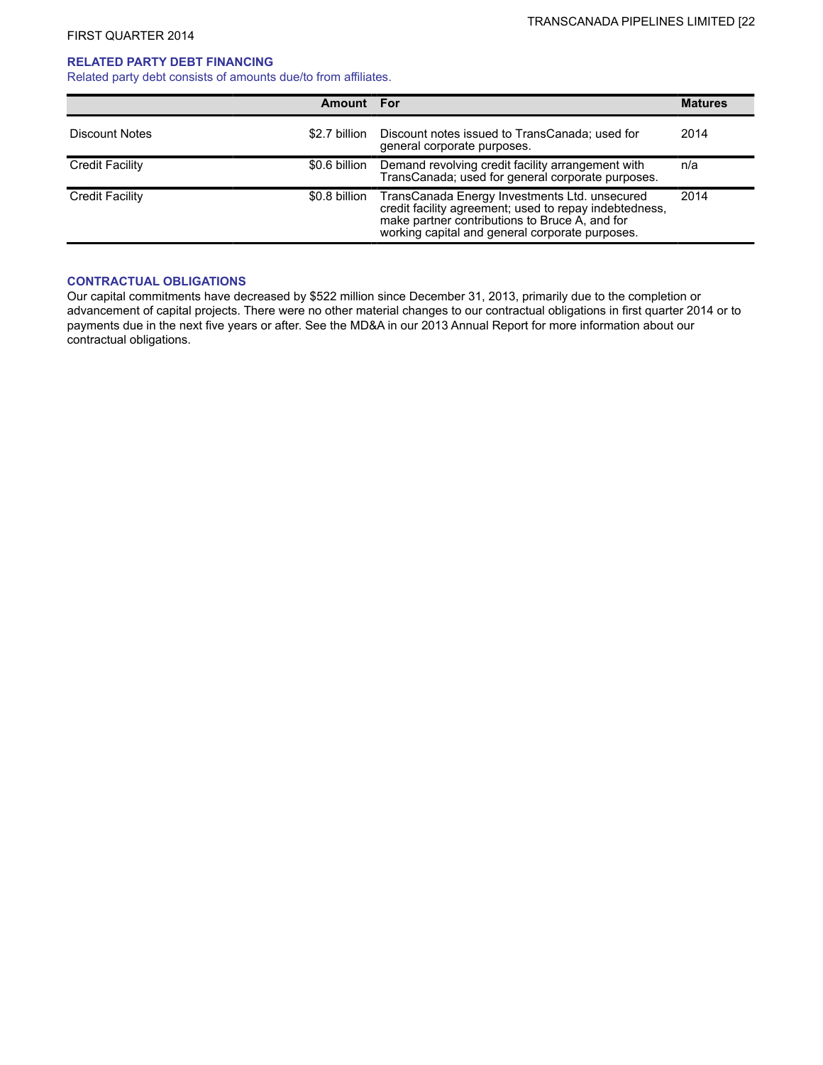#### **RELATED PARTY DEBT FINANCING**

Related party debt consists of amounts due/to from affiliates.

|                        | <b>Amoun</b>  | For                                                                                                                                                                                                          | <b>Matures</b> |
|------------------------|---------------|--------------------------------------------------------------------------------------------------------------------------------------------------------------------------------------------------------------|----------------|
| Discount Notes         | \$2.7 billion | Discount notes issued to TransCanada; used for<br>general corporate purposes.                                                                                                                                | 2014           |
| <b>Credit Facility</b> | \$0.6 billion | Demand revolving credit facility arrangement with<br>TransCanada; used for general corporate purposes.                                                                                                       | n/a            |
| Credit Facility        | \$0.8 billion | TransCanada Energy Investments Ltd. unsecured<br>credit facility agreement; used to repay indebtedness,<br>make partner contributions to Bruce A, and for<br>working capital and general corporate purposes. | 2014           |

## **CONTRACTUAL OBLIGATIONS**

Our capital commitments have decreased by \$522 million since December 31, 2013, primarily due to the completion or advancement of capital projects. There were no other material changes to our contractual obligations in first quarter 2014 or to payments due in the next five years or after. See the MD&A in our 2013 Annual Report for more information about our contractual obligations.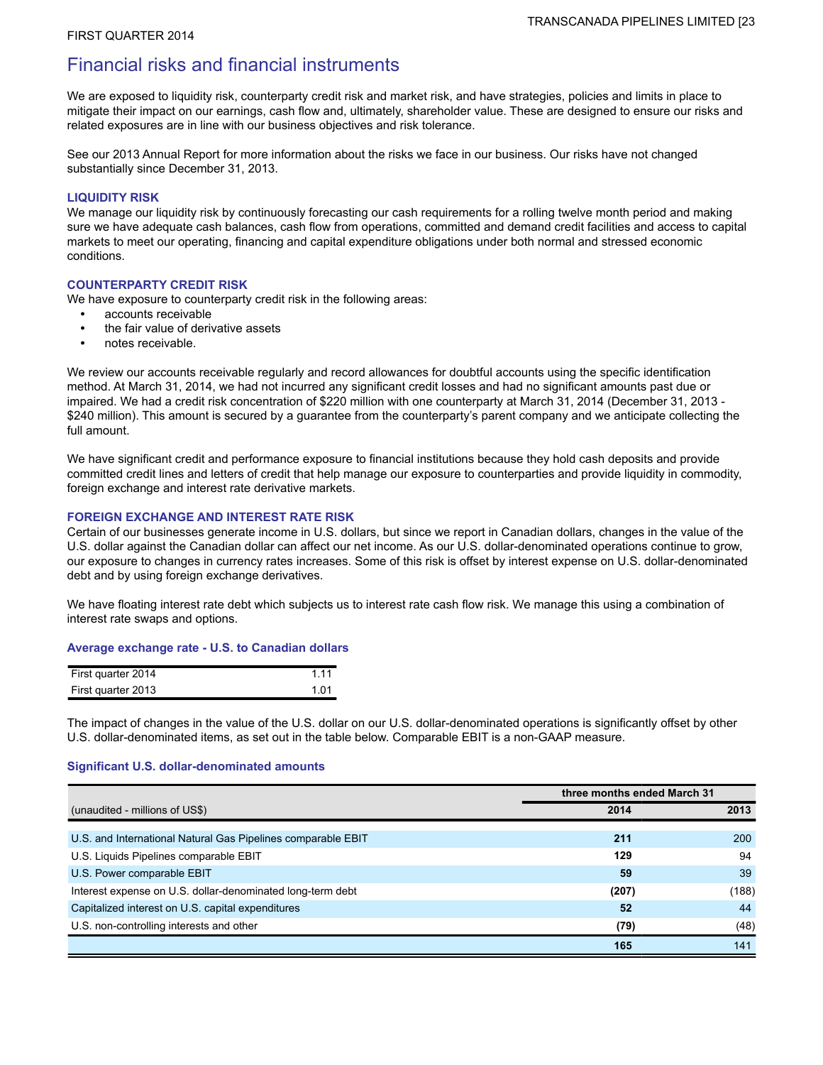## Financial risks and financial instruments

We are exposed to liquidity risk, counterparty credit risk and market risk, and have strategies, policies and limits in place to mitigate their impact on our earnings, cash flow and, ultimately, shareholder value. These are designed to ensure our risks and related exposures are in line with our business objectives and risk tolerance.

See our 2013 Annual Report for more information about the risks we face in our business. Our risks have not changed substantially since December 31, 2013.

### **LIQUIDITY RISK**

We manage our liquidity risk by continuously forecasting our cash requirements for a rolling twelve month period and making sure we have adequate cash balances, cash flow from operations, committed and demand credit facilities and access to capital markets to meet our operating, financing and capital expenditure obligations under both normal and stressed economic conditions.

### **COUNTERPARTY CREDIT RISK**

We have exposure to counterparty credit risk in the following areas:

- accounts receivable
- the fair value of derivative assets
- notes receivable.

We review our accounts receivable regularly and record allowances for doubtful accounts using the specific identification method. At March 31, 2014, we had not incurred any significant credit losses and had no significant amounts past due or impaired. We had a credit risk concentration of \$220 million with one counterparty at March 31, 2014 (December 31, 2013 - \$240 million). This amount is secured by a guarantee from the counterparty's parent company and we anticipate collecting the full amount.

We have significant credit and performance exposure to financial institutions because they hold cash deposits and provide committed credit lines and letters of credit that help manage our exposure to counterparties and provide liquidity in commodity, foreign exchange and interest rate derivative markets.

#### **FOREIGN EXCHANGE AND INTEREST RATE RISK**

Certain of our businesses generate income in U.S. dollars, but since we report in Canadian dollars, changes in the value of the U.S. dollar against the Canadian dollar can affect our net income. As our U.S. dollar-denominated operations continue to grow, our exposure to changes in currency rates increases. Some of this risk is offset by interest expense on U.S. dollar-denominated debt and by using foreign exchange derivatives.

We have floating interest rate debt which subjects us to interest rate cash flow risk. We manage this using a combination of interest rate swaps and options.

#### **Average exchange rate - U.S. to Canadian dollars**

| First quarter 2014 | 1 1 1 |
|--------------------|-------|
| First quarter 2013 | 1 01  |

The impact of changes in the value of the U.S. dollar on our U.S. dollar-denominated operations is significantly offset by other U.S. dollar-denominated items, as set out in the table below. Comparable EBIT is a non-GAAP measure.

#### **Significant U.S. dollar-denominated amounts**

|                                                              | three months ended March 31 |       |
|--------------------------------------------------------------|-----------------------------|-------|
| (unaudited - millions of US\$)                               | 2014                        | 2013  |
| U.S. and International Natural Gas Pipelines comparable EBIT | 211                         | 200   |
| U.S. Liquids Pipelines comparable EBIT                       | 129                         | 94    |
| U.S. Power comparable EBIT                                   | 59                          | 39    |
| Interest expense on U.S. dollar-denominated long-term debt   | (207)                       | (188) |
| Capitalized interest on U.S. capital expenditures            | 52                          | 44    |
| U.S. non-controlling interests and other                     | (79)                        | (48)  |
|                                                              | 165                         | 141   |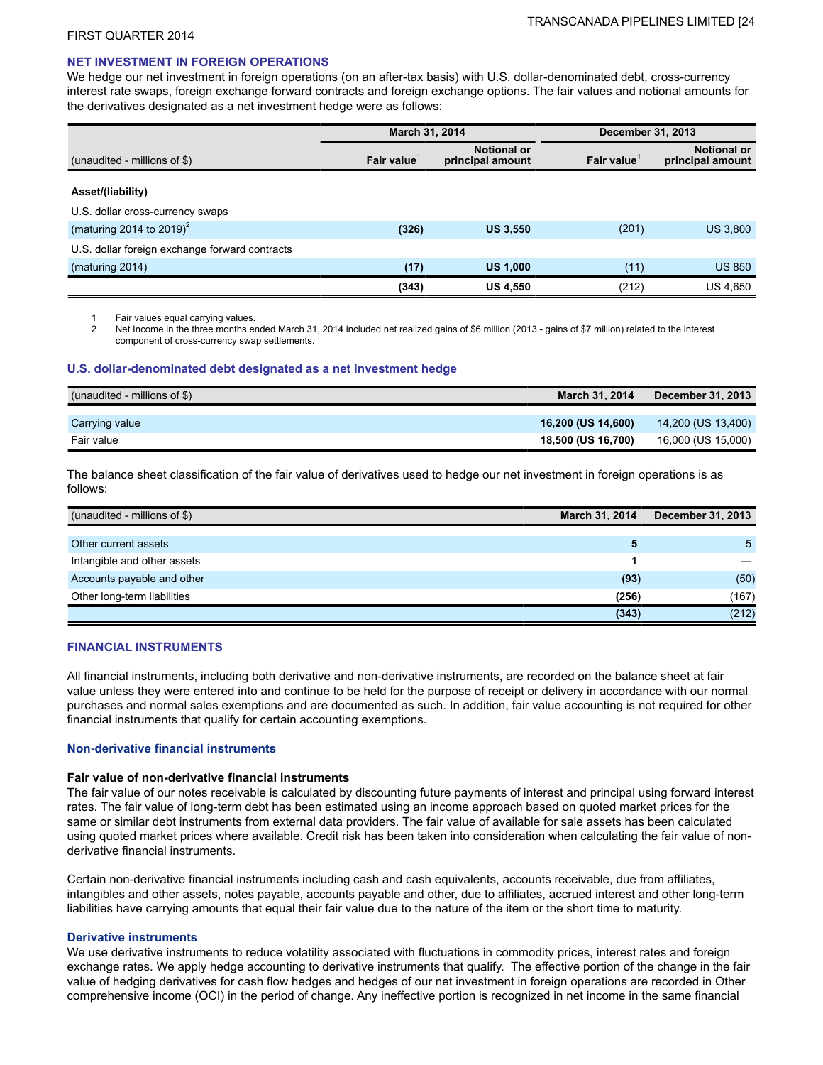## FIRST QUARTER 2014

#### **NET INVESTMENT IN FOREIGN OPERATIONS**

We hedge our net investment in foreign operations (on an after-tax basis) with U.S. dollar-denominated debt, cross-currency interest rate swaps, foreign exchange forward contracts and foreign exchange options. The fair values and notional amounts for the derivatives designated as a net investment hedge were as follows:

|                                                | March 31, 2014          |                                        |                         |                                 | December 31, 2013 |  |
|------------------------------------------------|-------------------------|----------------------------------------|-------------------------|---------------------------------|-------------------|--|
| (unaudited - millions of $\$\$ )               | Fair value <sup>1</sup> | <b>Notional or</b><br>principal amount | Fair value <sup>1</sup> | Notional or<br>principal amount |                   |  |
| Asset/(liability)                              |                         |                                        |                         |                                 |                   |  |
| U.S. dollar cross-currency swaps               |                         |                                        |                         |                                 |                   |  |
| (maturing 2014 to 2019) <sup>2</sup>           | (326)                   | <b>US 3,550</b>                        | (201)                   | <b>US 3,800</b>                 |                   |  |
| U.S. dollar foreign exchange forward contracts |                         |                                        |                         |                                 |                   |  |
| (maturity 2014)                                | (17)                    | <b>US 1,000</b>                        | (11)                    | <b>US 850</b>                   |                   |  |
|                                                | (343)                   | <b>US 4,550</b>                        | (212)                   | US 4,650                        |                   |  |

Fair values equal carrying values.

2 Net Income in the three months ended March 31, 2014 included net realized gains of \$6 million (2013 - gains of \$7 million) related to the interest component of cross-currency swap settlements.

#### **U.S. dollar-denominated debt designated as a net investment hedge**

| (unaudited - millions of $$)$ ) | <b>March 31, 2014</b>     | December 31, 2013  |
|---------------------------------|---------------------------|--------------------|
| Carrying value                  | <b>16,200 (US 14,600)</b> | 14,200 (US 13,400) |
| Fair value                      | 18,500 (US 16,700)        | 16,000 (US 15,000) |

The balance sheet classification of the fair value of derivatives used to hedge our net investment in foreign operations is as follows:

| (unaudited - millions of $$$ ) | <b>March 31, 2014</b> | <b>December 31, 2013</b> |
|--------------------------------|-----------------------|--------------------------|
|                                |                       |                          |
| Other current assets           | Ð                     | 5                        |
| Intangible and other assets    |                       |                          |
| Accounts payable and other     | (93)                  | (50)                     |
| Other long-term liabilities    | (256)                 | (167)                    |
|                                | (343)                 | (212)                    |

#### **FINANCIAL INSTRUMENTS**

All financial instruments, including both derivative and non-derivative instruments, are recorded on the balance sheet at fair value unless they were entered into and continue to be held for the purpose of receipt or delivery in accordance with our normal purchases and normal sales exemptions and are documented as such. In addition, fair value accounting is not required for other financial instruments that qualify for certain accounting exemptions.

#### **Non-derivative financial instruments**

#### **Fair value of non-derivative financial instruments**

The fair value of our notes receivable is calculated by discounting future payments of interest and principal using forward interest rates. The fair value of long-term debt has been estimated using an income approach based on quoted market prices for the same or similar debt instruments from external data providers. The fair value of available for sale assets has been calculated using quoted market prices where available. Credit risk has been taken into consideration when calculating the fair value of nonderivative financial instruments.

Certain non-derivative financial instruments including cash and cash equivalents, accounts receivable, due from affiliates, intangibles and other assets, notes payable, accounts payable and other, due to affiliates, accrued interest and other long-term liabilities have carrying amounts that equal their fair value due to the nature of the item or the short time to maturity.

#### **Derivative instruments**

We use derivative instruments to reduce volatility associated with fluctuations in commodity prices, interest rates and foreign exchange rates. We apply hedge accounting to derivative instruments that qualify. The effective portion of the change in the fair value of hedging derivatives for cash flow hedges and hedges of our net investment in foreign operations are recorded in Other comprehensive income (OCI) in the period of change. Any ineffective portion is recognized in net income in the same financial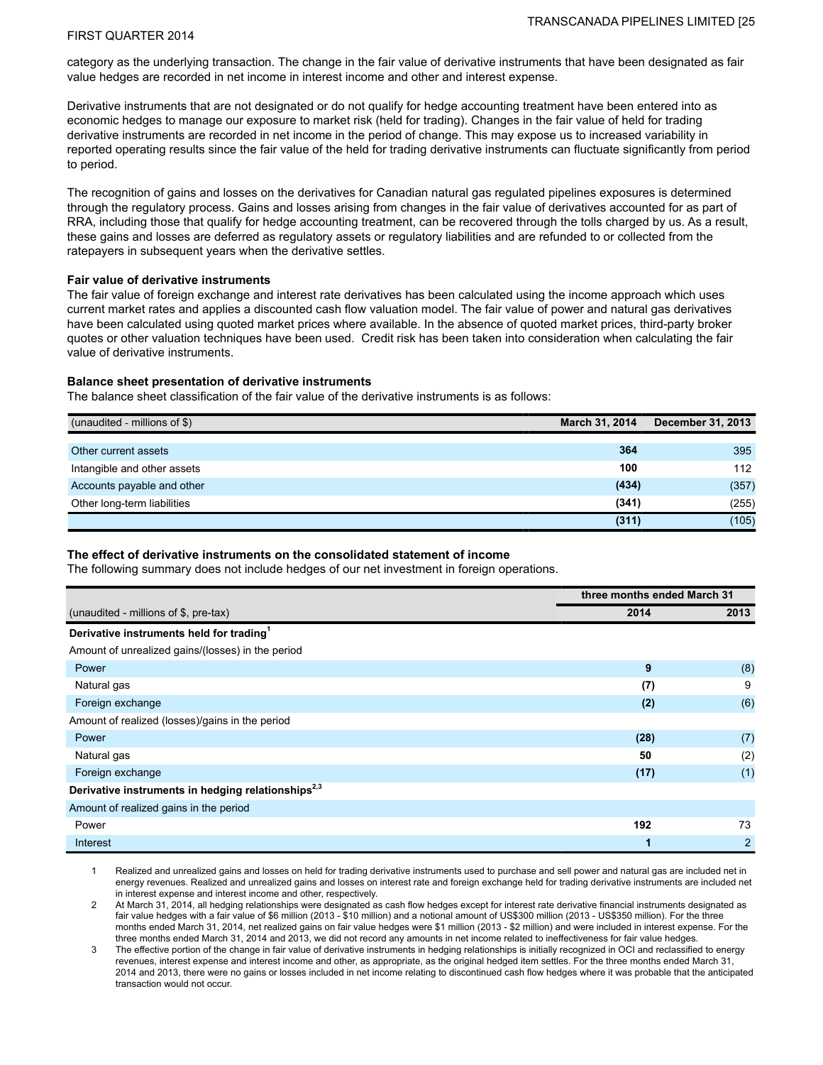#### FIRST QUARTER 2014

category as the underlying transaction. The change in the fair value of derivative instruments that have been designated as fair value hedges are recorded in net income in interest income and other and interest expense.

Derivative instruments that are not designated or do not qualify for hedge accounting treatment have been entered into as economic hedges to manage our exposure to market risk (held for trading). Changes in the fair value of held for trading derivative instruments are recorded in net income in the period of change. This may expose us to increased variability in reported operating results since the fair value of the held for trading derivative instruments can fluctuate significantly from period to period.

The recognition of gains and losses on the derivatives for Canadian natural gas regulated pipelines exposures is determined through the regulatory process. Gains and losses arising from changes in the fair value of derivatives accounted for as part of RRA, including those that qualify for hedge accounting treatment, can be recovered through the tolls charged by us. As a result, these gains and losses are deferred as regulatory assets or regulatory liabilities and are refunded to or collected from the ratepayers in subsequent years when the derivative settles.

#### **Fair value of derivative instruments**

The fair value of foreign exchange and interest rate derivatives has been calculated using the income approach which uses current market rates and applies a discounted cash flow valuation model. The fair value of power and natural gas derivatives have been calculated using quoted market prices where available. In the absence of quoted market prices, third-party broker quotes or other valuation techniques have been used. Credit risk has been taken into consideration when calculating the fair value of derivative instruments.

#### **Balance sheet presentation of derivative instruments**

The balance sheet classification of the fair value of the derivative instruments is as follows:

| (unaudited - millions of $\$\$ ) | March 31, 2014 | December 31, 2013 |
|----------------------------------|----------------|-------------------|
|                                  |                |                   |
| Other current assets             | 364            | 395               |
| Intangible and other assets      | 100            | 112               |
| Accounts payable and other       | (434)          | (357)             |
| Other long-term liabilities      | (341)          | (255)             |
|                                  | (311)          | (105)             |

#### **The effect of derivative instruments on the consolidated statement of income**

The following summary does not include hedges of our net investment in foreign operations.

|                                                                | three months ended March 31 |      |
|----------------------------------------------------------------|-----------------------------|------|
| (unaudited - millions of \$, pre-tax)                          | 2014                        | 2013 |
| Derivative instruments held for trading <sup>1</sup>           |                             |      |
| Amount of unrealized gains/(losses) in the period              |                             |      |
| Power                                                          | 9                           | (8)  |
| Natural gas                                                    | (7)                         | 9    |
| Foreign exchange                                               | (2)                         | (6)  |
| Amount of realized (losses)/gains in the period                |                             |      |
| Power                                                          | (28)                        | (7)  |
| Natural gas                                                    | 50                          | (2)  |
| Foreign exchange                                               | (17)                        | (1)  |
| Derivative instruments in hedging relationships <sup>2,3</sup> |                             |      |
| Amount of realized gains in the period                         |                             |      |
| Power                                                          | 192                         | 73   |
| Interest                                                       | 1                           | 2    |

1 Realized and unrealized gains and losses on held for trading derivative instruments used to purchase and sell power and natural gas are included net in energy revenues. Realized and unrealized gains and losses on interest rate and foreign exchange held for trading derivative instruments are included net in interest expense and interest income and other, respectively.

<sup>2</sup> At March 31, 2014, all hedging relationships were designated as cash flow hedges except for interest rate derivative financial instruments designated as fair value hedges with a fair value of \$6 million (2013 - \$10 million) and a notional amount of US\$300 million (2013 - US\$350 million). For the three months ended March 31, 2014, net realized gains on fair value hedges were \$1 million (2013 - \$2 million) and were included in interest expense. For the three months ended March 31, 2014 and 2013, we did not record any amounts in net income related to ineffectiveness for fair value hedges.

<sup>3</sup> The effective portion of the change in fair value of derivative instruments in hedging relationships is initially recognized in OCI and reclassified to energy revenues, interest expense and interest income and other, as appropriate, as the original hedged item settles. For the three months ended March 31, 2014 and 2013, there were no gains or losses included in net income relating to discontinued cash flow hedges where it was probable that the anticipated transaction would not occur.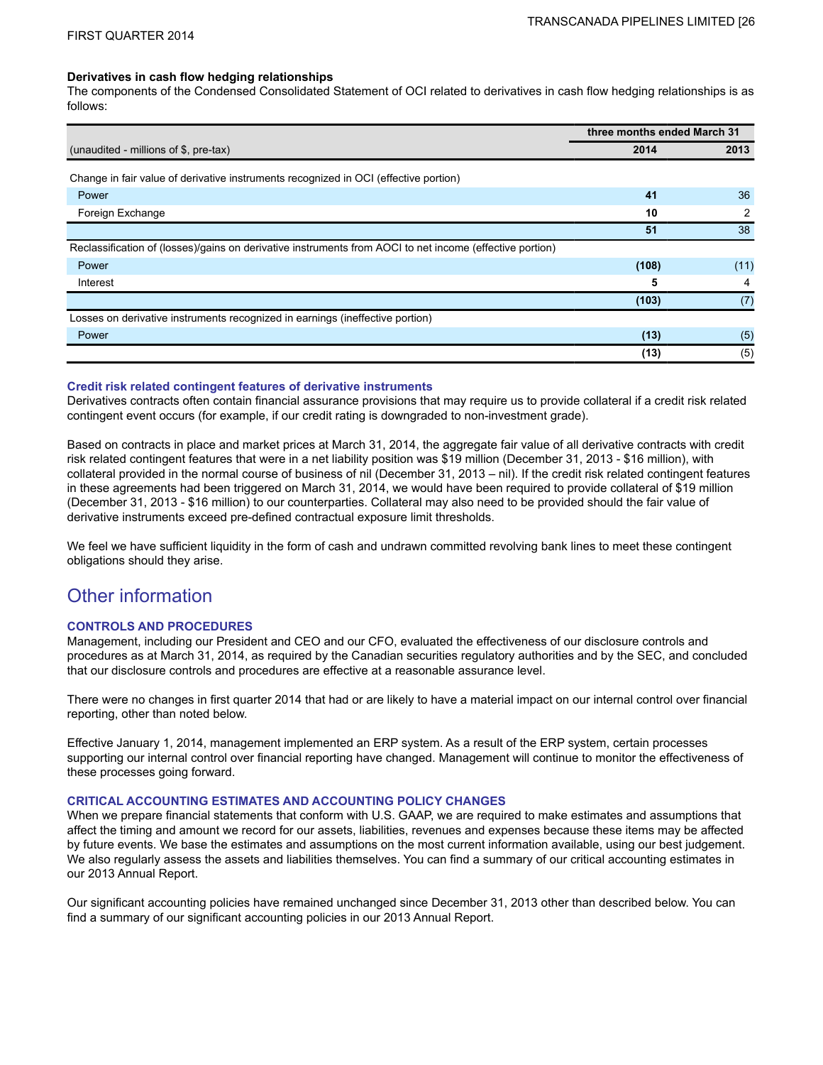### **Derivatives in cash flow hedging relationships**

The components of the Condensed Consolidated Statement of OCI related to derivatives in cash flow hedging relationships is as follows:

|                                                                                                          | three months ended March 31 |      |
|----------------------------------------------------------------------------------------------------------|-----------------------------|------|
| (unaudited - millions of \$, pre-tax)                                                                    | 2014                        | 2013 |
| Change in fair value of derivative instruments recognized in OCI (effective portion)                     |                             |      |
| Power                                                                                                    | 41                          | 36   |
| Foreign Exchange                                                                                         | 10                          | 2    |
|                                                                                                          | 51                          | 38   |
| Reclassification of (losses)/gains on derivative instruments from AOCI to net income (effective portion) |                             |      |
| Power                                                                                                    | (108)                       | (11) |
| Interest                                                                                                 | 5                           | 4    |
|                                                                                                          | (103)                       | (7)  |
| Losses on derivative instruments recognized in earnings (ineffective portion)                            |                             |      |
| Power                                                                                                    | (13)                        | (5)  |
|                                                                                                          | (13)                        | (5)  |

### **Credit risk related contingent features of derivative instruments**

Derivatives contracts often contain financial assurance provisions that may require us to provide collateral if a credit risk related contingent event occurs (for example, if our credit rating is downgraded to non-investment grade).

Based on contracts in place and market prices at March 31, 2014, the aggregate fair value of all derivative contracts with credit risk related contingent features that were in a net liability position was \$19 million (December 31, 2013 - \$16 million), with collateral provided in the normal course of business of nil (December 31, 2013 – nil). If the credit risk related contingent features in these agreements had been triggered on March 31, 2014, we would have been required to provide collateral of \$19 million (December 31, 2013 - \$16 million) to our counterparties. Collateral may also need to be provided should the fair value of derivative instruments exceed pre-defined contractual exposure limit thresholds.

We feel we have sufficient liquidity in the form of cash and undrawn committed revolving bank lines to meet these contingent obligations should they arise.

## Other information

### **CONTROLS AND PROCEDURES**

Management, including our President and CEO and our CFO, evaluated the effectiveness of our disclosure controls and procedures as at March 31, 2014, as required by the Canadian securities regulatory authorities and by the SEC, and concluded that our disclosure controls and procedures are effective at a reasonable assurance level.

There were no changes in first quarter 2014 that had or are likely to have a material impact on our internal control over financial reporting, other than noted below.

Effective January 1, 2014, management implemented an ERP system. As a result of the ERP system, certain processes supporting our internal control over financial reporting have changed. Management will continue to monitor the effectiveness of these processes going forward.

### **CRITICAL ACCOUNTING ESTIMATES AND ACCOUNTING POLICY CHANGES**

When we prepare financial statements that conform with U.S. GAAP, we are required to make estimates and assumptions that affect the timing and amount we record for our assets, liabilities, revenues and expenses because these items may be affected by future events. We base the estimates and assumptions on the most current information available, using our best judgement. We also regularly assess the assets and liabilities themselves. You can find a summary of our critical accounting estimates in our 2013 Annual Report.

Our significant accounting policies have remained unchanged since December 31, 2013 other than described below. You can find a summary of our significant accounting policies in our 2013 Annual Report.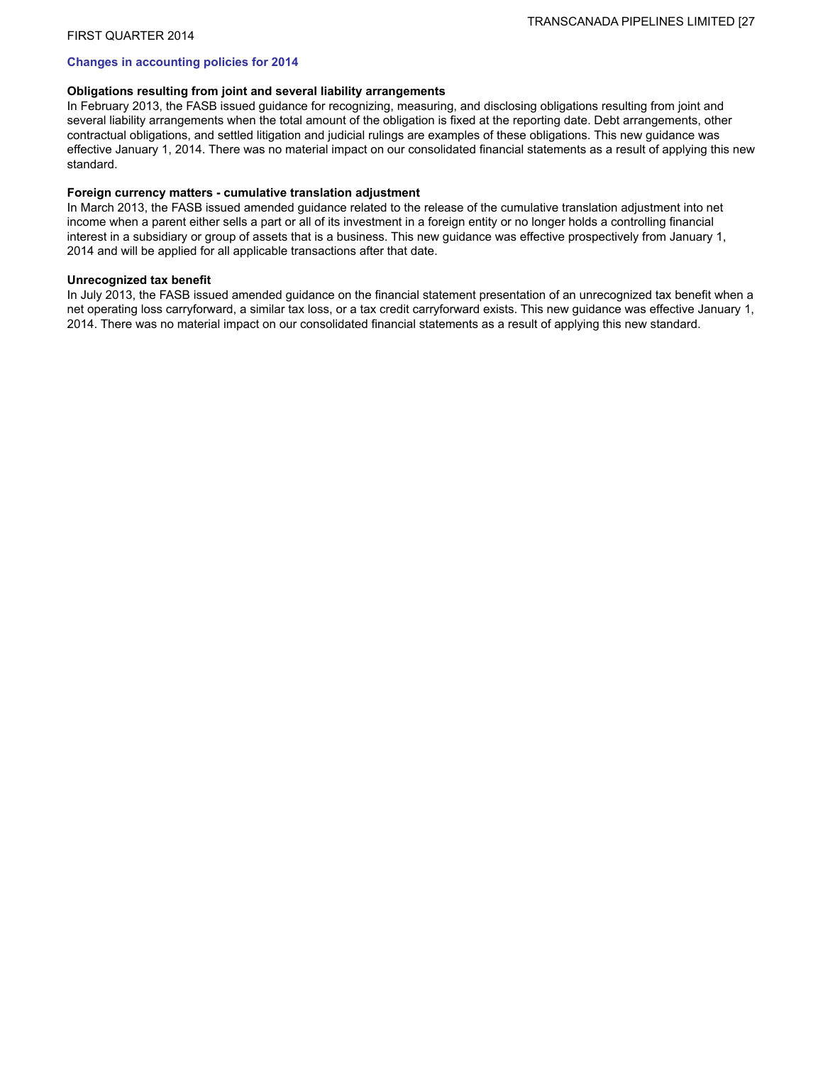## **Changes in accounting policies for 2014**

## **Obligations resulting from joint and several liability arrangements**

In February 2013, the FASB issued guidance for recognizing, measuring, and disclosing obligations resulting from joint and several liability arrangements when the total amount of the obligation is fixed at the reporting date. Debt arrangements, other contractual obligations, and settled litigation and judicial rulings are examples of these obligations. This new guidance was effective January 1, 2014. There was no material impact on our consolidated financial statements as a result of applying this new standard.

## **Foreign currency matters - cumulative translation adjustment**

In March 2013, the FASB issued amended guidance related to the release of the cumulative translation adjustment into net income when a parent either sells a part or all of its investment in a foreign entity or no longer holds a controlling financial interest in a subsidiary or group of assets that is a business. This new guidance was effective prospectively from January 1, 2014 and will be applied for all applicable transactions after that date.

## **Unrecognized tax benefit**

In July 2013, the FASB issued amended guidance on the financial statement presentation of an unrecognized tax benefit when a net operating loss carryforward, a similar tax loss, or a tax credit carryforward exists. This new guidance was effective January 1, 2014. There was no material impact on our consolidated financial statements as a result of applying this new standard.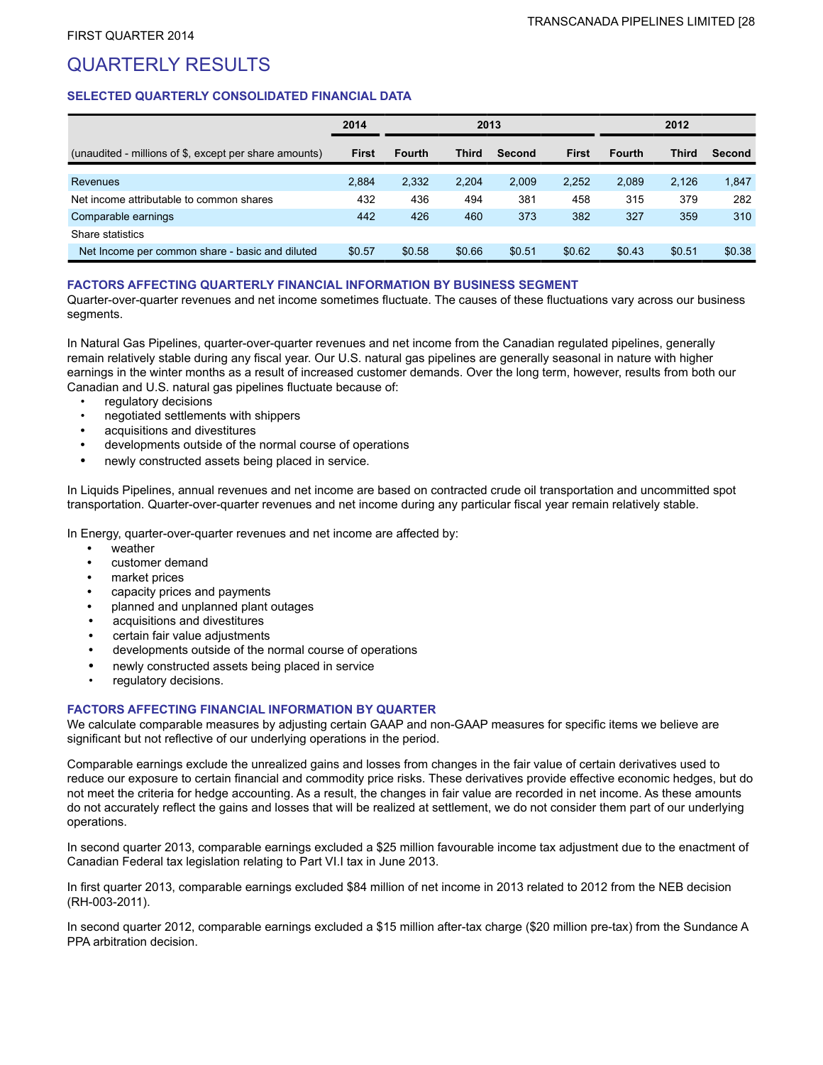## QUARTERLY RESULTS

## **SELECTED QUARTERLY CONSOLIDATED FINANCIAL DATA**

|                                                        | 2014         | 2013          |        |        |        | 2012          |        |        |
|--------------------------------------------------------|--------------|---------------|--------|--------|--------|---------------|--------|--------|
| (unaudited - millions of \$, except per share amounts) | <b>First</b> | <b>Fourth</b> | Third  | Second | First  | <b>Fourth</b> | Third  | Second |
| <b>Revenues</b>                                        | 2.884        | 2.332         | 2.204  | 2.009  | 2.252  | 2.089         | 2.126  | 1,847  |
| Net income attributable to common shares               | 432          | 436           | 494    | 381    | 458    | 315           | 379    | 282    |
| Comparable earnings                                    | 442          | 426           | 460    | 373    | 382    | 327           | 359    | 310    |
| Share statistics                                       |              |               |        |        |        |               |        |        |
| Net Income per common share - basic and diluted        | \$0.57       | \$0.58        | \$0.66 | \$0.51 | \$0.62 | \$0.43        | \$0.51 | \$0.38 |

## **FACTORS AFFECTING QUARTERLY FINANCIAL INFORMATION BY BUSINESS SEGMENT**

Quarter-over-quarter revenues and net income sometimes fluctuate. The causes of these fluctuations vary across our business segments.

In Natural Gas Pipelines, quarter-over-quarter revenues and net income from the Canadian regulated pipelines, generally remain relatively stable during any fiscal year. Our U.S. natural gas pipelines are generally seasonal in nature with higher earnings in the winter months as a result of increased customer demands. Over the long term, however, results from both our Canadian and U.S. natural gas pipelines fluctuate because of:

- regulatory decisions
- negotiated settlements with shippers
- acquisitions and divestitures
- developments outside of the normal course of operations
- newly constructed assets being placed in service.

In Liquids Pipelines, annual revenues and net income are based on contracted crude oil transportation and uncommitted spot transportation. Quarter-over-quarter revenues and net income during any particular fiscal year remain relatively stable.

In Energy, quarter-over-quarter revenues and net income are affected by:

- weather
- customer demand
- market prices
- capacity prices and payments
- planned and unplanned plant outages
- acquisitions and divestitures
- certain fair value adjustments
- developments outside of the normal course of operations
- newly constructed assets being placed in service
- regulatory decisions.

### **FACTORS AFFECTING FINANCIAL INFORMATION BY QUARTER**

We calculate comparable measures by adjusting certain GAAP and non-GAAP measures for specific items we believe are significant but not reflective of our underlying operations in the period.

Comparable earnings exclude the unrealized gains and losses from changes in the fair value of certain derivatives used to reduce our exposure to certain financial and commodity price risks. These derivatives provide effective economic hedges, but do not meet the criteria for hedge accounting. As a result, the changes in fair value are recorded in net income. As these amounts do not accurately reflect the gains and losses that will be realized at settlement, we do not consider them part of our underlying operations.

In second quarter 2013, comparable earnings excluded a \$25 million favourable income tax adjustment due to the enactment of Canadian Federal tax legislation relating to Part VI.I tax in June 2013.

In first quarter 2013, comparable earnings excluded \$84 million of net income in 2013 related to 2012 from the NEB decision (RH-003-2011).

In second quarter 2012, comparable earnings excluded a \$15 million after-tax charge (\$20 million pre-tax) from the Sundance A PPA arbitration decision.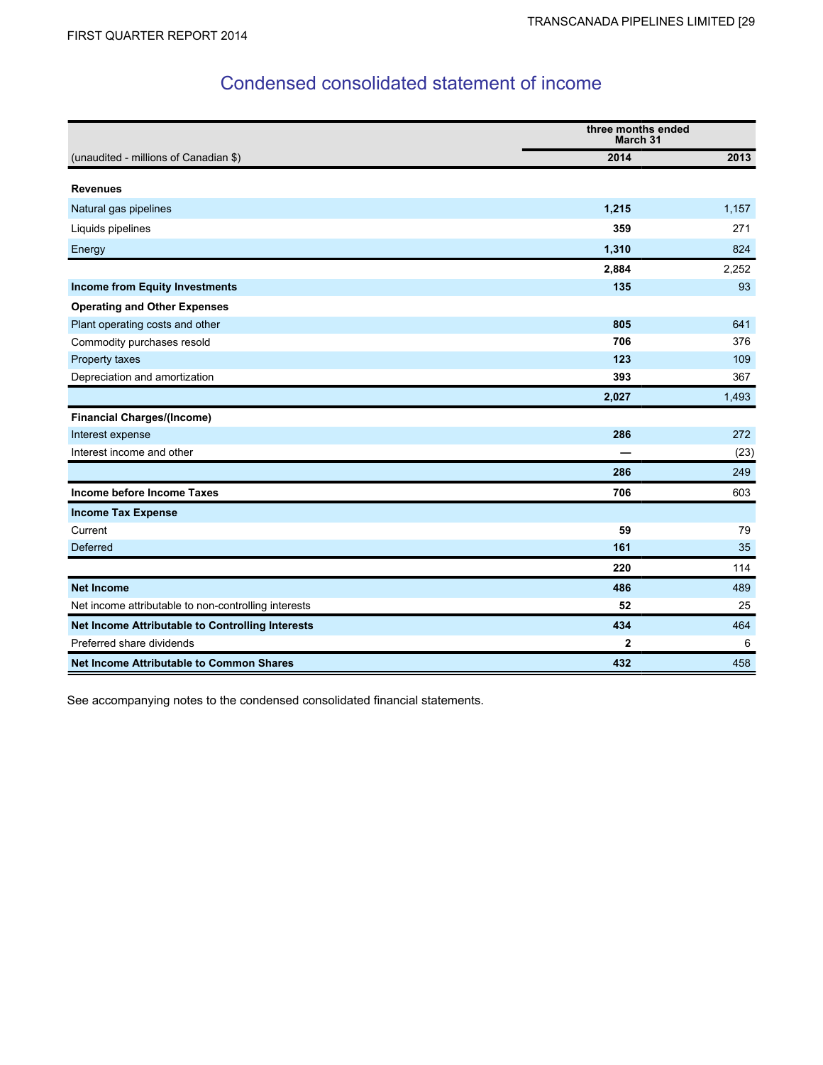## Condensed consolidated statement of income

|                                                      |       | three months ended<br>March 31 |
|------------------------------------------------------|-------|--------------------------------|
| (unaudited - millions of Canadian \$)                | 2014  | 2013                           |
| <b>Revenues</b>                                      |       |                                |
| Natural gas pipelines                                | 1,215 | 1,157                          |
| Liquids pipelines                                    | 359   | 271                            |
| Energy                                               | 1,310 | 824                            |
|                                                      | 2,884 | 2,252                          |
| <b>Income from Equity Investments</b>                | 135   | 93                             |
| <b>Operating and Other Expenses</b>                  |       |                                |
| Plant operating costs and other                      | 805   | 641                            |
| Commodity purchases resold                           | 706   | 376                            |
| Property taxes                                       | 123   | 109                            |
| Depreciation and amortization                        | 393   | 367                            |
|                                                      | 2,027 | 1,493                          |
| <b>Financial Charges/(Income)</b>                    |       |                                |
| Interest expense                                     | 286   | 272                            |
| Interest income and other                            |       | (23)                           |
|                                                      | 286   | 249                            |
| Income before Income Taxes                           | 706   | 603                            |
| <b>Income Tax Expense</b>                            |       |                                |
| Current                                              | 59    | 79                             |
| Deferred                                             | 161   | 35                             |
|                                                      | 220   | 114                            |
| <b>Net Income</b>                                    | 486   | 489                            |
| Net income attributable to non-controlling interests | 52    | 25                             |
| Net Income Attributable to Controlling Interests     | 434   | 464                            |
| Preferred share dividends                            | 2     | 6                              |
| <b>Net Income Attributable to Common Shares</b>      | 432   | 458                            |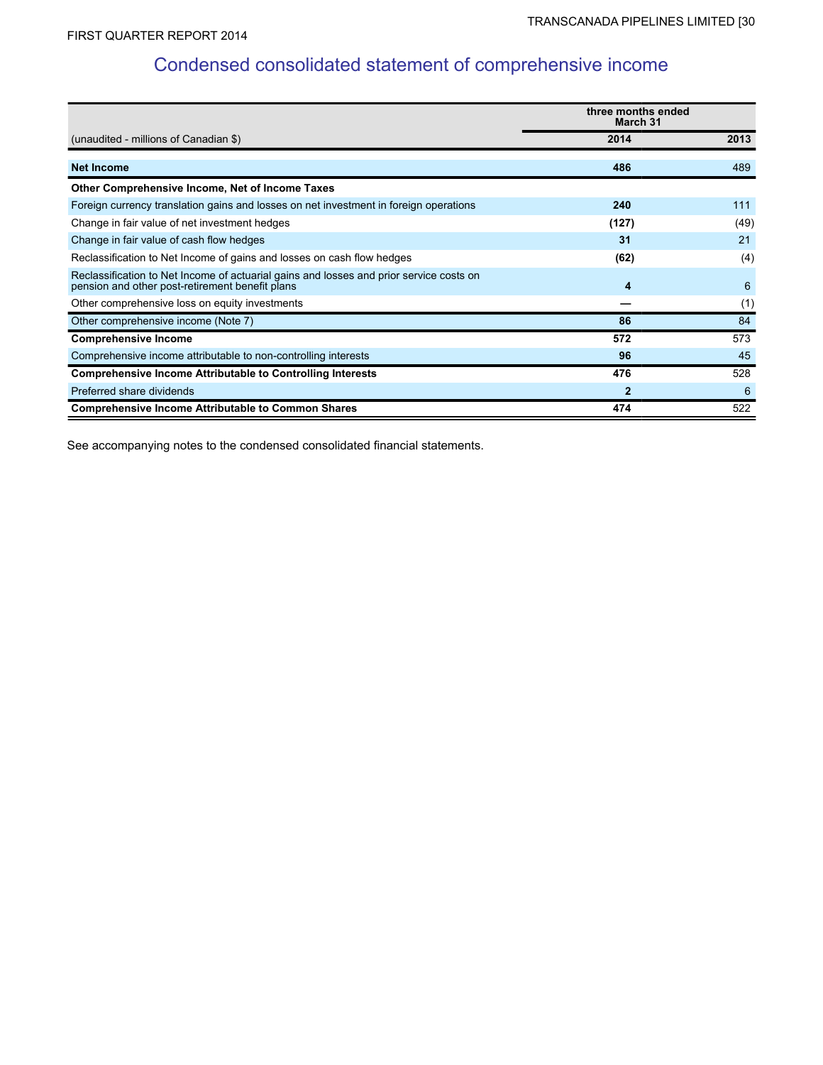## Condensed consolidated statement of comprehensive income

|                                                                                                                                            | three months ended<br>March 31 |      |
|--------------------------------------------------------------------------------------------------------------------------------------------|--------------------------------|------|
| (unaudited - millions of Canadian \$)                                                                                                      | 2014                           | 2013 |
| <b>Net Income</b>                                                                                                                          | 486                            | 489  |
| Other Comprehensive Income, Net of Income Taxes                                                                                            |                                |      |
| Foreign currency translation gains and losses on net investment in foreign operations                                                      | 240                            | 111  |
| Change in fair value of net investment hedges                                                                                              | (127)                          | (49) |
| Change in fair value of cash flow hedges                                                                                                   | 31                             | 21   |
| Reclassification to Net Income of gains and losses on cash flow hedges                                                                     | (62)                           | (4)  |
| Reclassification to Net Income of actuarial gains and losses and prior service costs on<br>pension and other post-retirement benefit plans | 4                              | 6    |
| Other comprehensive loss on equity investments                                                                                             |                                | (1)  |
| Other comprehensive income (Note 7)                                                                                                        | 86                             | 84   |
| <b>Comprehensive Income</b>                                                                                                                | 572                            | 573  |
| Comprehensive income attributable to non-controlling interests                                                                             | 96                             | 45   |
| <b>Comprehensive Income Attributable to Controlling Interests</b>                                                                          | 476                            | 528  |
| Preferred share dividends                                                                                                                  | $\mathbf{2}$                   | 6    |
| <b>Comprehensive Income Attributable to Common Shares</b>                                                                                  | 474                            | 522  |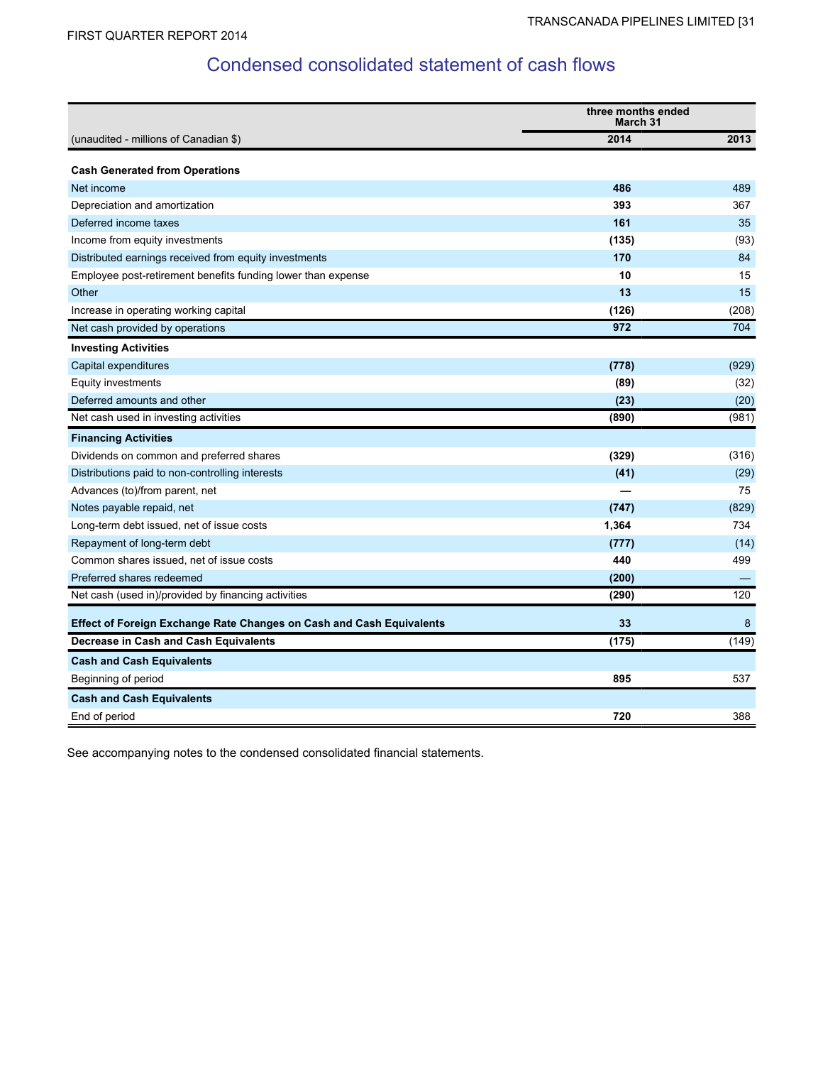## Condensed consolidated statement of cash flows

|                                                                      | three months ended<br>March 31 |       |
|----------------------------------------------------------------------|--------------------------------|-------|
| (unaudited - millions of Canadian \$)                                | 2014                           | 2013  |
| <b>Cash Generated from Operations</b>                                |                                |       |
| Net income                                                           | 486                            | 489   |
| Depreciation and amortization                                        | 393                            | 367   |
| Deferred income taxes                                                | 161                            | 35    |
| Income from equity investments                                       | (135)                          | (93)  |
| Distributed earnings received from equity investments                | 170                            | 84    |
| Employee post-retirement benefits funding lower than expense         | 10                             | 15    |
| Other                                                                | 13                             | 15    |
| Increase in operating working capital                                | (126)                          | (208) |
| Net cash provided by operations                                      | 972                            | 704   |
| <b>Investing Activities</b>                                          |                                |       |
| Capital expenditures                                                 | (778)                          | (929) |
| <b>Equity investments</b>                                            | (89)                           | (32)  |
| Deferred amounts and other                                           | (23)                           | (20)  |
| Net cash used in investing activities                                | (890)                          | (981) |
| <b>Financing Activities</b>                                          |                                |       |
| Dividends on common and preferred shares                             | (329)                          | (316) |
| Distributions paid to non-controlling interests                      | (41)                           | (29)  |
| Advances (to)/from parent, net                                       |                                | 75    |
| Notes payable repaid, net                                            | (747)                          | (829) |
| Long-term debt issued, net of issue costs                            | 1,364                          | 734   |
| Repayment of long-term debt                                          | (777)                          | (14)  |
| Common shares issued, net of issue costs                             | 440                            | 499   |
| Preferred shares redeemed                                            | (200)                          |       |
| Net cash (used in)/provided by financing activities                  | (290)                          | 120   |
| Effect of Foreign Exchange Rate Changes on Cash and Cash Equivalents | 33                             | 8     |
| Decrease in Cash and Cash Equivalents                                | (175)                          | (149) |
| <b>Cash and Cash Equivalents</b>                                     |                                |       |
| Beginning of period                                                  | 895                            | 537   |
| <b>Cash and Cash Equivalents</b>                                     |                                |       |
| End of period                                                        | 720                            | 388   |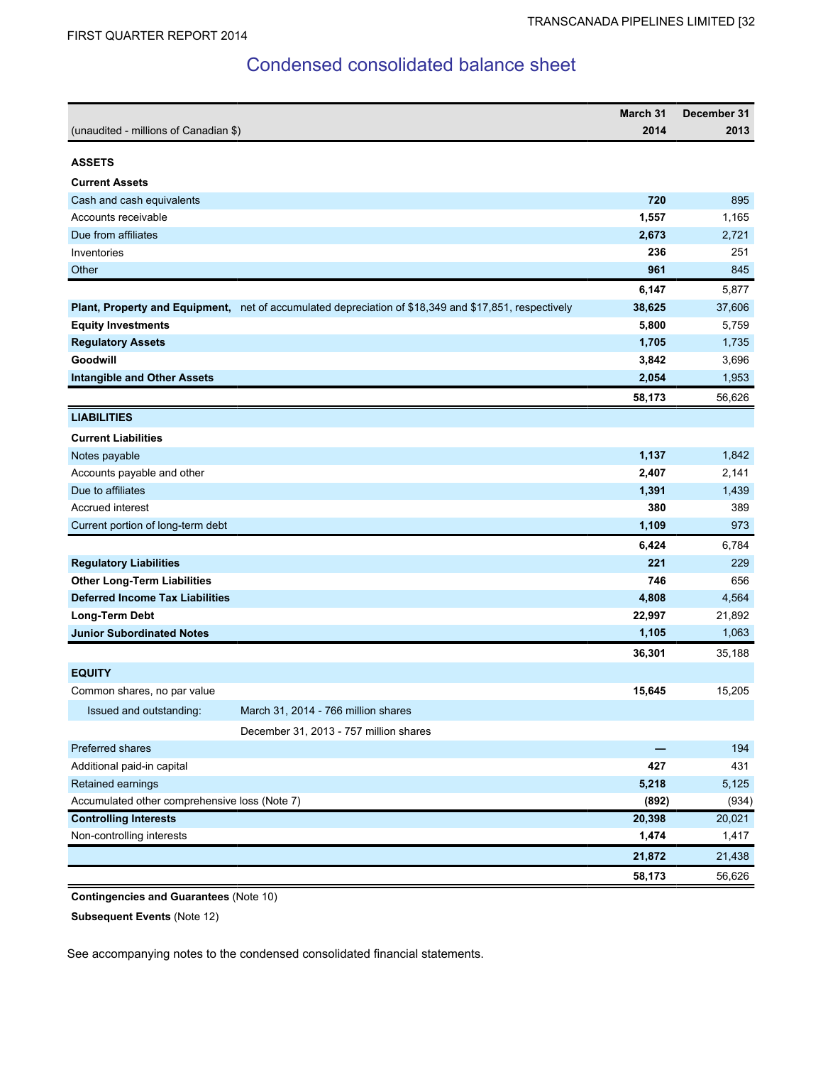## Condensed consolidated balance sheet

|                                               |                                                                                                       | March 31 | December 31 |
|-----------------------------------------------|-------------------------------------------------------------------------------------------------------|----------|-------------|
| (unaudited - millions of Canadian \$)         |                                                                                                       | 2014     | 2013        |
| <b>ASSETS</b>                                 |                                                                                                       |          |             |
| <b>Current Assets</b>                         |                                                                                                       |          |             |
| Cash and cash equivalents                     |                                                                                                       | 720      | 895         |
| Accounts receivable                           |                                                                                                       | 1,557    | 1,165       |
| Due from affiliates                           |                                                                                                       | 2,673    | 2,721       |
| Inventories                                   |                                                                                                       | 236      | 251         |
| Other                                         |                                                                                                       | 961      | 845         |
|                                               |                                                                                                       | 6,147    | 5,877       |
|                                               | Plant, Property and Equipment, net of accumulated depreciation of \$18,349 and \$17,851, respectively | 38,625   | 37,606      |
| <b>Equity Investments</b>                     |                                                                                                       | 5,800    | 5,759       |
| <b>Regulatory Assets</b>                      |                                                                                                       | 1,705    | 1,735       |
| <b>Goodwill</b>                               |                                                                                                       | 3,842    | 3,696       |
| <b>Intangible and Other Assets</b>            |                                                                                                       | 2,054    | 1,953       |
|                                               |                                                                                                       | 58,173   | 56,626      |
| <b>LIABILITIES</b>                            |                                                                                                       |          |             |
| <b>Current Liabilities</b>                    |                                                                                                       |          |             |
| Notes payable                                 |                                                                                                       | 1,137    | 1,842       |
| Accounts payable and other                    |                                                                                                       | 2,407    | 2,141       |
| Due to affiliates                             |                                                                                                       | 1,391    | 1,439       |
| Accrued interest                              |                                                                                                       | 380      | 389         |
| Current portion of long-term debt             |                                                                                                       | 1,109    | 973         |
|                                               |                                                                                                       | 6,424    | 6,784       |
| <b>Regulatory Liabilities</b>                 |                                                                                                       | 221      | 229         |
| <b>Other Long-Term Liabilities</b>            |                                                                                                       | 746      | 656         |
| <b>Deferred Income Tax Liabilities</b>        |                                                                                                       | 4,808    | 4,564       |
| Long-Term Debt                                |                                                                                                       | 22,997   | 21,892      |
| <b>Junior Subordinated Notes</b>              |                                                                                                       | 1,105    | 1,063       |
|                                               |                                                                                                       | 36,301   | 35,188      |
| <b>EQUITY</b>                                 |                                                                                                       |          |             |
| Common shares, no par value                   |                                                                                                       | 15,645   | 15,205      |
| Issued and outstanding:                       | March 31, 2014 - 766 million shares                                                                   |          |             |
|                                               | December 31, 2013 - 757 million shares                                                                |          |             |
| <b>Preferred shares</b>                       |                                                                                                       |          | 194         |
| Additional paid-in capital                    |                                                                                                       | 427      | 431         |
| Retained earnings                             |                                                                                                       | 5,218    | 5,125       |
| Accumulated other comprehensive loss (Note 7) |                                                                                                       | (892)    | (934)       |
| <b>Controlling Interests</b>                  |                                                                                                       | 20,398   | 20,021      |
| Non-controlling interests                     |                                                                                                       | 1,474    | 1,417       |
|                                               |                                                                                                       | 21,872   | 21,438      |
|                                               |                                                                                                       | 58,173   | 56,626      |
|                                               |                                                                                                       |          |             |

**Contingencies and Guarantees** (Note 10)

**Subsequent Events** (Note 12)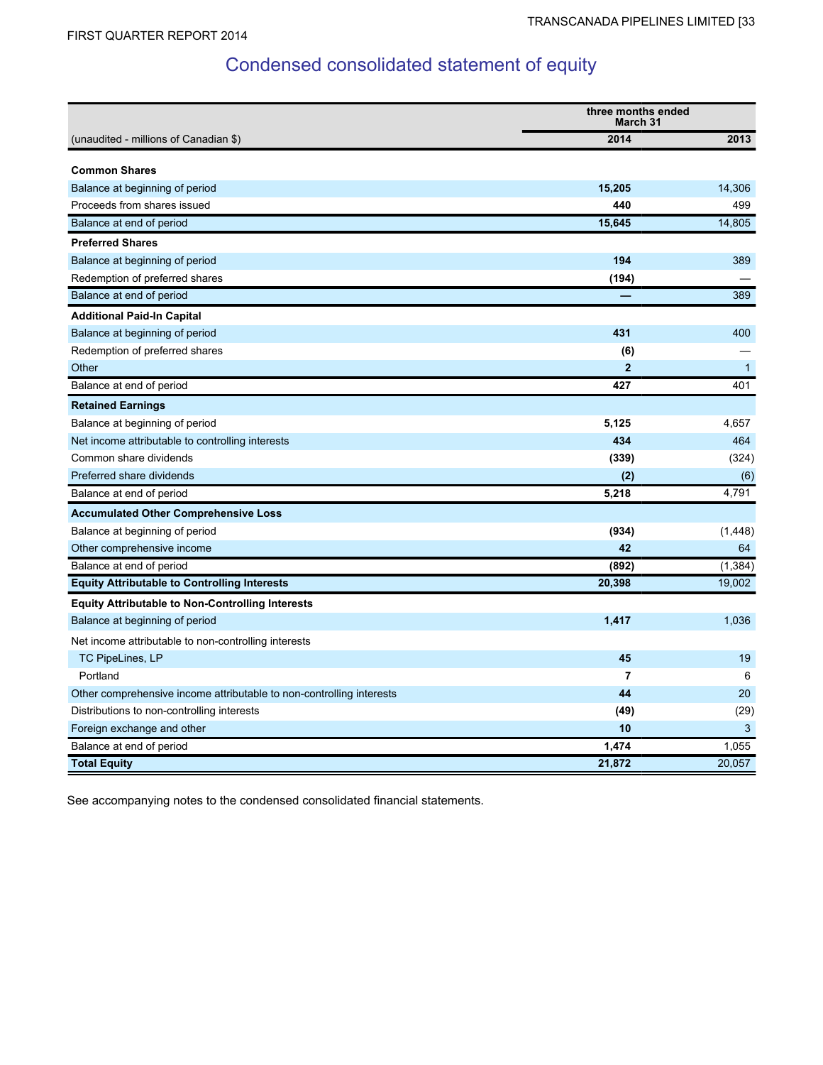## Condensed consolidated statement of equity

|                                                                      | three months ended<br>March 31 |                |
|----------------------------------------------------------------------|--------------------------------|----------------|
| (unaudited - millions of Canadian \$)                                | 2014                           | 2013           |
| <b>Common Shares</b>                                                 |                                |                |
| Balance at beginning of period                                       | 15,205                         | 14,306         |
| Proceeds from shares issued                                          | 440                            | 499            |
| Balance at end of period                                             | 15,645                         | 14,805         |
| <b>Preferred Shares</b>                                              |                                |                |
| Balance at beginning of period                                       | 194                            | 389            |
| Redemption of preferred shares                                       | (194)                          |                |
| Balance at end of period                                             |                                | 389            |
| <b>Additional Paid-In Capital</b>                                    |                                |                |
| Balance at beginning of period                                       | 431                            | 400            |
| Redemption of preferred shares                                       | (6)                            |                |
| Other                                                                | $\overline{2}$                 | $\overline{1}$ |
| Balance at end of period                                             | 427                            | 401            |
| <b>Retained Earnings</b>                                             |                                |                |
| Balance at beginning of period                                       | 5,125                          | 4,657          |
| Net income attributable to controlling interests                     | 434                            | 464            |
| Common share dividends                                               | (339)                          | (324)          |
| Preferred share dividends                                            | (2)                            | (6)            |
| Balance at end of period                                             | 5,218                          | 4,791          |
| <b>Accumulated Other Comprehensive Loss</b>                          |                                |                |
| Balance at beginning of period                                       | (934)                          | (1, 448)       |
| Other comprehensive income                                           | 42                             | 64             |
| Balance at end of period                                             | (892)                          | (1, 384)       |
| <b>Equity Attributable to Controlling Interests</b>                  | 20,398                         | 19,002         |
| <b>Equity Attributable to Non-Controlling Interests</b>              |                                |                |
| Balance at beginning of period                                       | 1,417                          | 1,036          |
| Net income attributable to non-controlling interests                 |                                |                |
| TC PipeLines, LP                                                     | 45                             | 19             |
| Portland                                                             | 7                              | 6              |
| Other comprehensive income attributable to non-controlling interests | 44                             | 20             |
| Distributions to non-controlling interests                           | (49)                           | (29)           |
| Foreign exchange and other                                           | 10                             | 3              |
| Balance at end of period                                             | 1,474                          | 1,055          |
| <b>Total Equity</b>                                                  | 21,872                         | 20,057         |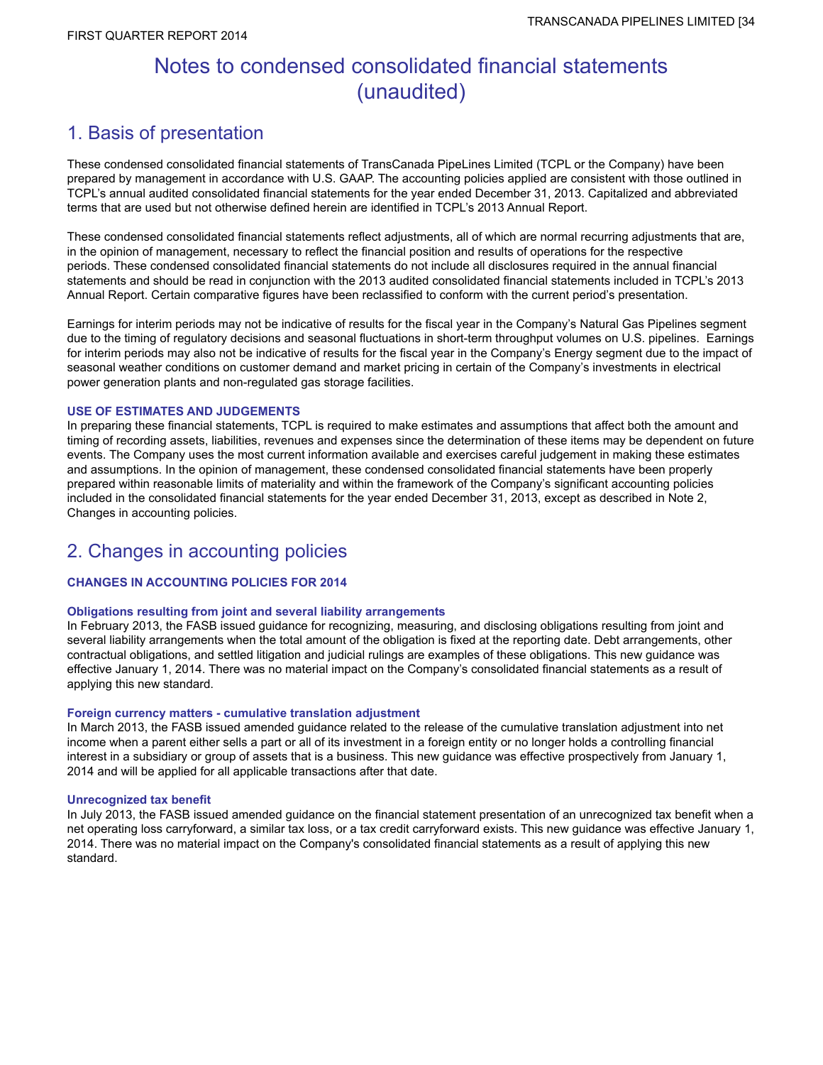## Notes to condensed consolidated financial statements (unaudited)

## 1. Basis of presentation

These condensed consolidated financial statements of TransCanada PipeLines Limited (TCPL or the Company) have been prepared by management in accordance with U.S. GAAP. The accounting policies applied are consistent with those outlined in TCPL's annual audited consolidated financial statements for the year ended December 31, 2013. Capitalized and abbreviated terms that are used but not otherwise defined herein are identified in TCPL's 2013 Annual Report.

These condensed consolidated financial statements reflect adjustments, all of which are normal recurring adjustments that are, in the opinion of management, necessary to reflect the financial position and results of operations for the respective periods. These condensed consolidated financial statements do not include all disclosures required in the annual financial statements and should be read in conjunction with the 2013 audited consolidated financial statements included in TCPL's 2013 Annual Report. Certain comparative figures have been reclassified to conform with the current period's presentation.

Earnings for interim periods may not be indicative of results for the fiscal year in the Company's Natural Gas Pipelines segment due to the timing of regulatory decisions and seasonal fluctuations in short-term throughput volumes on U.S. pipelines. Earnings for interim periods may also not be indicative of results for the fiscal year in the Company's Energy segment due to the impact of seasonal weather conditions on customer demand and market pricing in certain of the Company's investments in electrical power generation plants and non-regulated gas storage facilities.

## **USE OF ESTIMATES AND JUDGEMENTS**

In preparing these financial statements, TCPL is required to make estimates and assumptions that affect both the amount and timing of recording assets, liabilities, revenues and expenses since the determination of these items may be dependent on future events. The Company uses the most current information available and exercises careful judgement in making these estimates and assumptions. In the opinion of management, these condensed consolidated financial statements have been properly prepared within reasonable limits of materiality and within the framework of the Company's significant accounting policies included in the consolidated financial statements for the year ended December 31, 2013, except as described in Note 2, Changes in accounting policies.

## 2. Changes in accounting policies

## **CHANGES IN ACCOUNTING POLICIES FOR 2014**

## **Obligations resulting from joint and several liability arrangements**

In February 2013, the FASB issued guidance for recognizing, measuring, and disclosing obligations resulting from joint and several liability arrangements when the total amount of the obligation is fixed at the reporting date. Debt arrangements, other contractual obligations, and settled litigation and judicial rulings are examples of these obligations. This new guidance was effective January 1, 2014. There was no material impact on the Company's consolidated financial statements as a result of applying this new standard.

### **Foreign currency matters - cumulative translation adjustment**

In March 2013, the FASB issued amended guidance related to the release of the cumulative translation adjustment into net income when a parent either sells a part or all of its investment in a foreign entity or no longer holds a controlling financial interest in a subsidiary or group of assets that is a business. This new guidance was effective prospectively from January 1, 2014 and will be applied for all applicable transactions after that date.

### **Unrecognized tax benefit**

In July 2013, the FASB issued amended guidance on the financial statement presentation of an unrecognized tax benefit when a net operating loss carryforward, a similar tax loss, or a tax credit carryforward exists. This new guidance was effective January 1, 2014. There was no material impact on the Company's consolidated financial statements as a result of applying this new standard.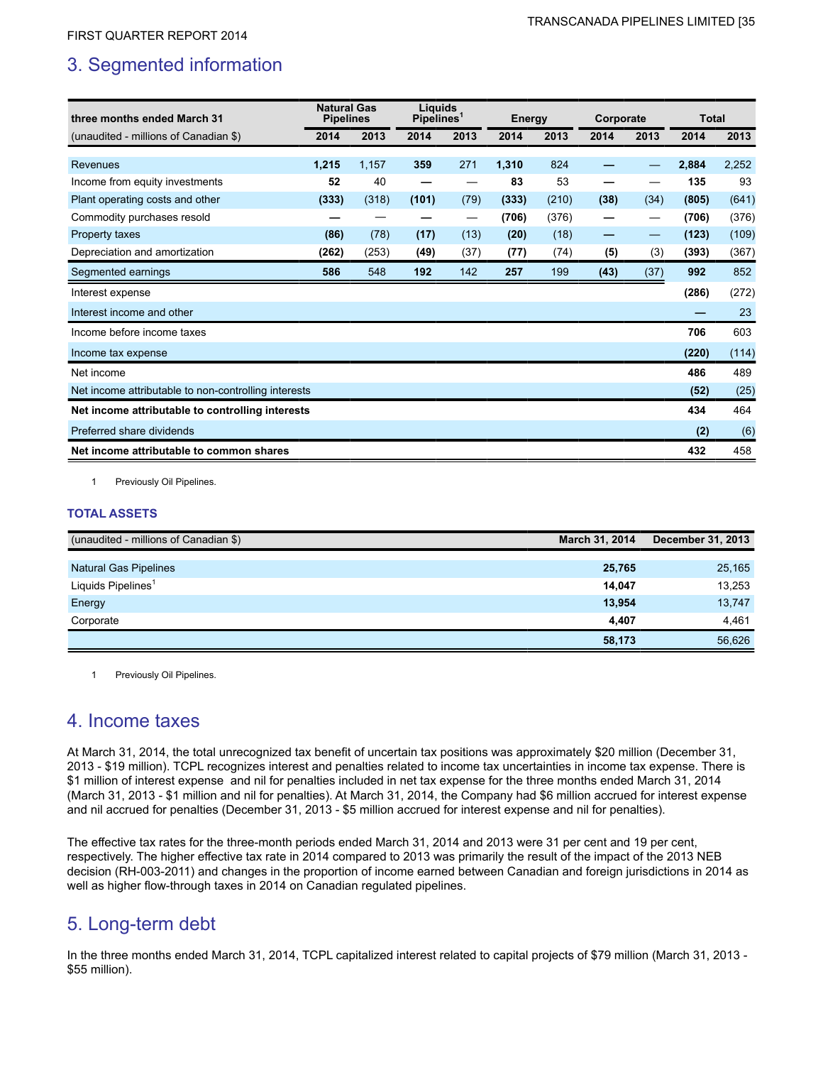## 3. Segmented information

| three months ended March 31                          | <b>Natural Gas</b><br><b>Pipelines</b> |       | Liquids<br>Pipelines <sup>1</sup> |      | Energy |       | Corporate |      | <b>Total</b> |       |
|------------------------------------------------------|----------------------------------------|-------|-----------------------------------|------|--------|-------|-----------|------|--------------|-------|
| (unaudited - millions of Canadian \$)                | 2014                                   | 2013  | 2014                              | 2013 | 2014   | 2013  | 2014      | 2013 | 2014         | 2013  |
|                                                      |                                        |       | 359                               | 271  |        | 824   |           |      |              |       |
| Revenues                                             | 1,215                                  | 1,157 |                                   |      | 1,310  |       |           |      | 2,884        | 2,252 |
| Income from equity investments                       | 52                                     | 40    | –                                 |      | 83     | 53    |           |      | 135          | 93    |
| Plant operating costs and other                      | (333)                                  | (318) | (101)                             | (79) | (333)  | (210) | (38)      | (34) | (805)        | (641) |
| Commodity purchases resold                           |                                        |       |                                   |      | (706)  | (376) | –         | —    | (706)        | (376) |
| Property taxes                                       | (86)                                   | (78)  | (17)                              | (13) | (20)   | (18)  |           | —    | (123)        | (109) |
| Depreciation and amortization                        | (262)                                  | (253) | (49)                              | (37) | (77)   | (74)  | (5)       | (3)  | (393)        | (367) |
| Segmented earnings                                   | 586                                    | 548   | 192                               | 142  | 257    | 199   | (43)      | (37) | 992          | 852   |
| Interest expense                                     |                                        |       |                                   |      |        |       |           |      | (286)        | (272) |
| Interest income and other                            |                                        |       |                                   |      |        |       |           |      |              | 23    |
| Income before income taxes                           |                                        |       |                                   |      |        |       |           |      | 706          | 603   |
| Income tax expense                                   |                                        |       |                                   |      |        |       |           |      | (220)        | (114) |
| Net income                                           |                                        |       |                                   |      |        |       |           |      | 486          | 489   |
| Net income attributable to non-controlling interests |                                        |       |                                   |      |        |       |           |      | (52)         | (25)  |
| Net income attributable to controlling interests     |                                        |       |                                   |      |        |       |           |      | 434          | 464   |
| Preferred share dividends                            |                                        |       |                                   |      |        |       |           |      | (2)          | (6)   |
| Net income attributable to common shares             |                                        |       |                                   |      |        |       |           |      | 432          | 458   |

1 Previously Oil Pipelines.

## **TOTAL ASSETS**

| (unaudited - millions of Canadian \$) | March 31, 2014 | <b>December 31, 2013</b> |
|---------------------------------------|----------------|--------------------------|
|                                       |                |                          |
| <b>Natural Gas Pipelines</b>          | 25,765         | 25,165                   |
| Liquids Pipelines <sup>1</sup>        | 14.047         | 13,253                   |
| Energy                                | 13,954         | 13,747                   |
| Corporate                             | 4,407          | 4,461                    |
|                                       | 58,173         | 56,626                   |

1 Previously Oil Pipelines.

## 4. Income taxes

At March 31, 2014, the total unrecognized tax benefit of uncertain tax positions was approximately \$20 million (December 31, 2013 - \$19 million). TCPL recognizes interest and penalties related to income tax uncertainties in income tax expense. There is \$1 million of interest expense and nil for penalties included in net tax expense for the three months ended March 31, 2014 (March 31, 2013 - \$1 million and nil for penalties). At March 31, 2014, the Company had \$6 million accrued for interest expense and nil accrued for penalties (December 31, 2013 - \$5 million accrued for interest expense and nil for penalties).

The effective tax rates for the three-month periods ended March 31, 2014 and 2013 were 31 per cent and 19 per cent, respectively. The higher effective tax rate in 2014 compared to 2013 was primarily the result of the impact of the 2013 NEB decision (RH-003-2011) and changes in the proportion of income earned between Canadian and foreign jurisdictions in 2014 as well as higher flow-through taxes in 2014 on Canadian regulated pipelines.

## 5. Long-term debt

In the three months ended March 31, 2014, TCPL capitalized interest related to capital projects of \$79 million (March 31, 2013 - \$55 million).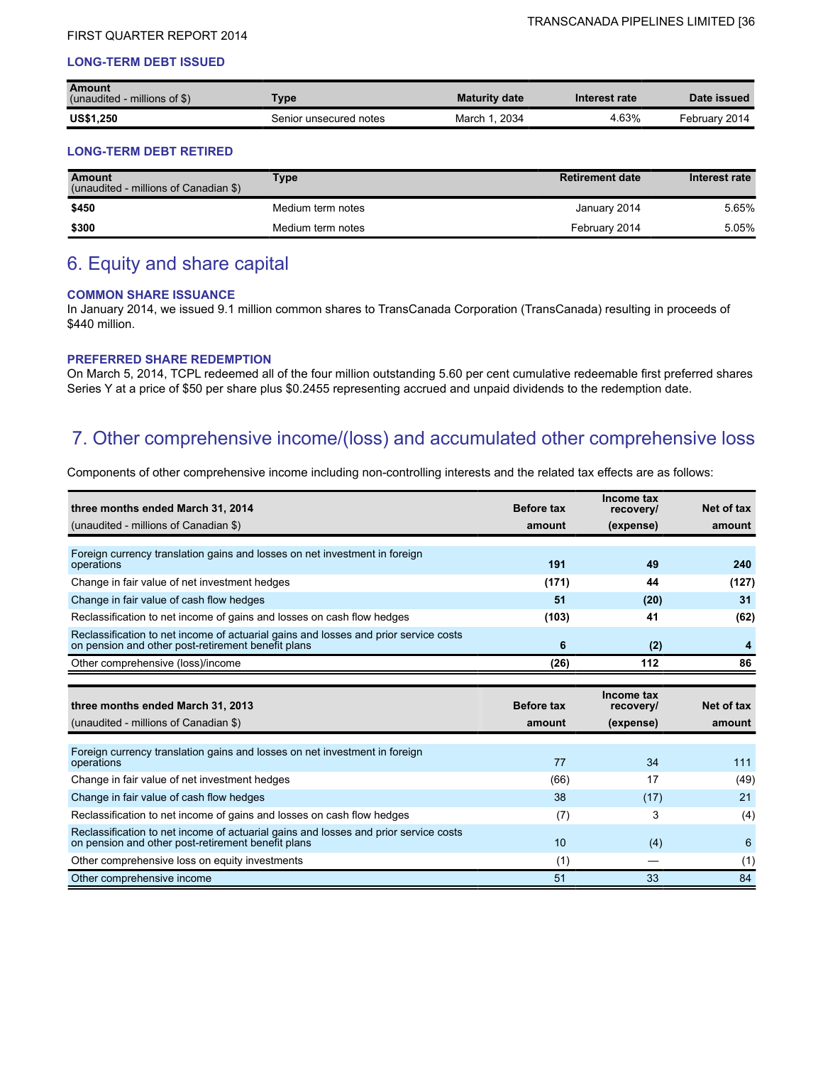#### **LONG-TERM DEBT ISSUED**

| <b>Amount</b><br>(unaudited - millions of \$) | Type                   | <b>Maturity date</b> | Interest rate | Date issued   |
|-----------------------------------------------|------------------------|----------------------|---------------|---------------|
| <b>US\$1,250</b>                              | Senior unsecured notes | March 1, 2034        | 4.63%         | February 2014 |

#### **LONG-TERM DEBT RETIRED**

| Amount<br>(unaudited - millions of Canadian \$) | <b>Type</b>       | <b>Retirement date</b> | Interest rate |
|-------------------------------------------------|-------------------|------------------------|---------------|
| \$450                                           | Medium term notes | January 2014           | 5.65%         |
| \$300                                           | Medium term notes | February 2014          | 5.05%         |

## 6. Equity and share capital

#### **COMMON SHARE ISSUANCE**

In January 2014, we issued 9.1 million common shares to TransCanada Corporation (TransCanada) resulting in proceeds of \$440 million.

#### **PREFERRED SHARE REDEMPTION**

On March 5, 2014, TCPL redeemed all of the four million outstanding 5.60 per cent cumulative redeemable first preferred shares Series Y at a price of \$50 per share plus \$0.2455 representing accrued and unpaid dividends to the redemption date.

## 7. Other comprehensive income/(loss) and accumulated other comprehensive loss

Components of other comprehensive income including non-controlling interests and the related tax effects are as follows:

| three months ended March 31, 2014                                                                                                          | <b>Before tax</b> | Income tax<br>recovery/ | Net of tax |
|--------------------------------------------------------------------------------------------------------------------------------------------|-------------------|-------------------------|------------|
| (unaudited - millions of Canadian \$)                                                                                                      | amount            | (expense)               | amount     |
|                                                                                                                                            |                   |                         |            |
| Foreign currency translation gains and losses on net investment in foreign<br>operations                                                   | 191               | 49                      | 240        |
| Change in fair value of net investment hedges                                                                                              | (171)             | 44                      | (127)      |
| Change in fair value of cash flow hedges                                                                                                   | 51                | (20)                    | 31         |
| Reclassification to net income of gains and losses on cash flow hedges                                                                     | (103)             | 41                      | (62)       |
| Reclassification to net income of actuarial gains and losses and prior service costs<br>on pension and other post-retirement benefit plans | 6                 | (2)                     |            |
| Other comprehensive (loss)/income                                                                                                          | (26)              | 112                     | 86         |
|                                                                                                                                            |                   |                         |            |
|                                                                                                                                            |                   |                         |            |
|                                                                                                                                            |                   | Income tax              |            |
| three months ended March 31, 2013                                                                                                          | <b>Before tax</b> | recovery/               | Net of tax |
| (unaudited - millions of Canadian \$)                                                                                                      | amount            | (expense)               | amount     |
| Foreign currency translation gains and losses on net investment in foreign<br>operations                                                   | 77                | 34                      | 111        |
| Change in fair value of net investment hedges                                                                                              | (66)              | 17                      | (49)       |
| Change in fair value of cash flow hedges                                                                                                   | 38                | (17)                    | 21         |
| Reclassification to net income of gains and losses on cash flow hedges                                                                     | (7)               | 3                       | (4)        |
| Reclassification to net income of actuarial gains and losses and prior service costs<br>on pension and other post-retirement benefit plans | 10                | (4)                     | 6          |
| Other comprehensive loss on equity investments                                                                                             | (1)               |                         | (1)        |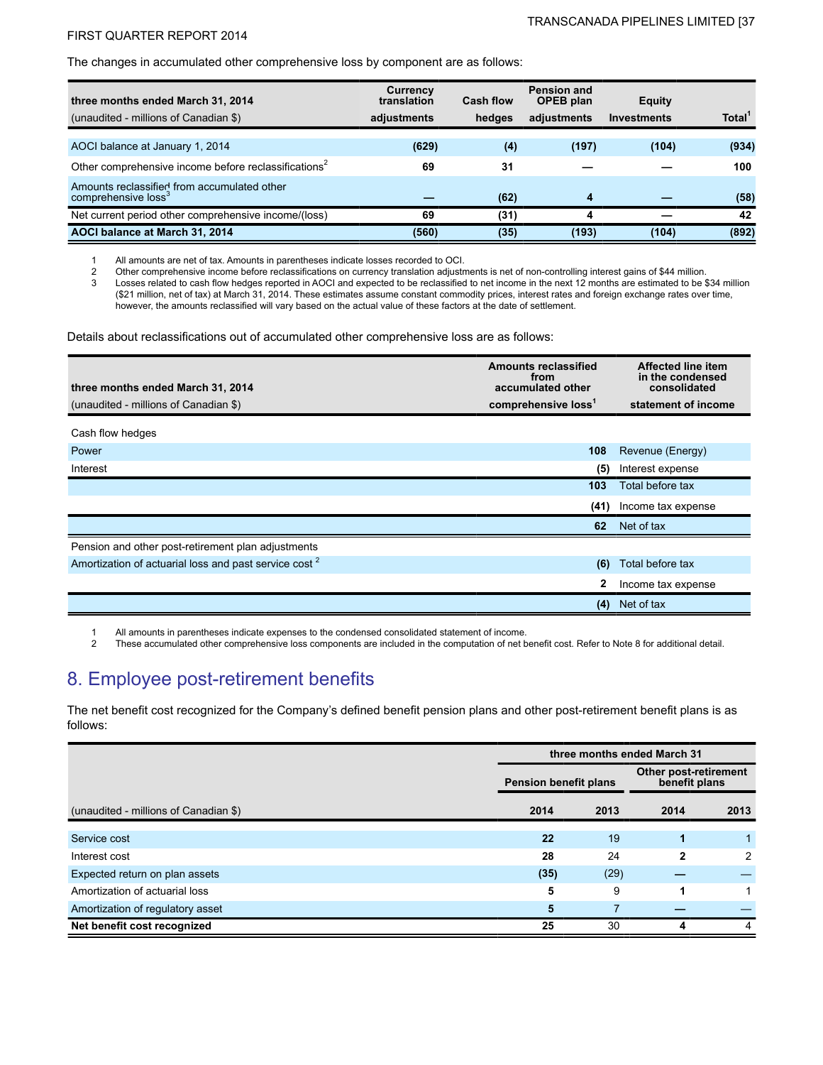The changes in accumulated other comprehensive loss by component are as follows:

| three months ended March 31, 2014<br>(unaudited - millions of Canadian \$)     | Currency<br>translation<br>adjustments | <b>Cash flow</b><br>hedges | Pension and<br>OPEB plan<br>adjustments | <b>Equity</b><br><b>Investments</b> | Total <sup>1</sup> |
|--------------------------------------------------------------------------------|----------------------------------------|----------------------------|-----------------------------------------|-------------------------------------|--------------------|
| AOCI balance at January 1, 2014                                                | (629)                                  | (4)                        | (197)                                   | (104)                               | (934)              |
| Other comprehensive income before reclassifications <sup>2</sup>               | 69                                     | 31                         |                                         |                                     | 100                |
| Amounts reclassified from accumulated other<br>comprehensive loss <sup>3</sup> |                                        | (62)                       | 4                                       |                                     | (58)               |
| Net current period other comprehensive income/(loss)                           | 69                                     | (31)                       | 4                                       |                                     | 42                 |
| AOCI balance at March 31, 2014                                                 | (560)                                  | (35)                       | (193)                                   | (104)                               | (892)              |

1 All amounts are net of tax. Amounts in parentheses indicate losses recorded to OCI.

2 Other comprehensive income before reclassifications on currency translation adjustments is net of non-controlling interest gains of \$44 million.

3 Losses related to cash flow hedges reported in AOCI and expected to be reclassified to net income in the next 12 months are estimated to be \$34 million (\$21 million, net of tax) at March 31, 2014. These estimates assume constant commodity prices, interest rates and foreign exchange rates over time, however, the amounts reclassified will vary based on the actual value of these factors at the date of settlement.

Details about reclassifications out of accumulated other comprehensive loss are as follows:

| three months ended March 31, 2014                                 | <b>Amounts reclassified</b><br>from<br>accumulated other | <b>Affected line item</b><br>in the condensed<br>consolidated |
|-------------------------------------------------------------------|----------------------------------------------------------|---------------------------------------------------------------|
| (unaudited - millions of Canadian \$)                             | comprehensive loss <sup>1</sup>                          | statement of income                                           |
| Cash flow hedges                                                  |                                                          |                                                               |
| Power                                                             | 108                                                      | Revenue (Energy)                                              |
| Interest                                                          | (5)                                                      | Interest expense                                              |
|                                                                   | 103                                                      | Total before tax                                              |
|                                                                   | (41)                                                     | Income tax expense                                            |
|                                                                   | 62                                                       | Net of tax                                                    |
| Pension and other post-retirement plan adjustments                |                                                          |                                                               |
| Amortization of actuarial loss and past service cost <sup>2</sup> | (6)                                                      | Total before tax                                              |
|                                                                   | 2                                                        | Income tax expense                                            |
|                                                                   | (4)                                                      | Net of tax                                                    |

1 All amounts in parentheses indicate expenses to the condensed consolidated statement of income.<br>2 These accumulated other comprehensive loss components are included in the computation of net b

2 These accumulated other comprehensive loss components are included in the computation of net benefit cost. Refer to Note 8 for additional detail.

## 8. Employee post-retirement benefits

The net benefit cost recognized for the Company's defined benefit pension plans and other post-retirement benefit plans is as follows:

|                                       | three months ended March 31  |      |                                        |      |  |
|---------------------------------------|------------------------------|------|----------------------------------------|------|--|
|                                       | <b>Pension benefit plans</b> |      | Other post-retirement<br>benefit plans |      |  |
| (unaudited - millions of Canadian \$) | 2014                         | 2013 | 2014                                   | 2013 |  |
| Service cost                          | 22                           | 19   |                                        |      |  |
| Interest cost                         | 28                           | 24   | $\mathbf{2}$                           | 2    |  |
| Expected return on plan assets        | (35)                         | (29) |                                        |      |  |
| Amortization of actuarial loss        | 5                            | 9    |                                        |      |  |
| Amortization of regulatory asset      | 5                            | 7    |                                        |      |  |
| Net benefit cost recognized           | 25                           | 30   |                                        | 4    |  |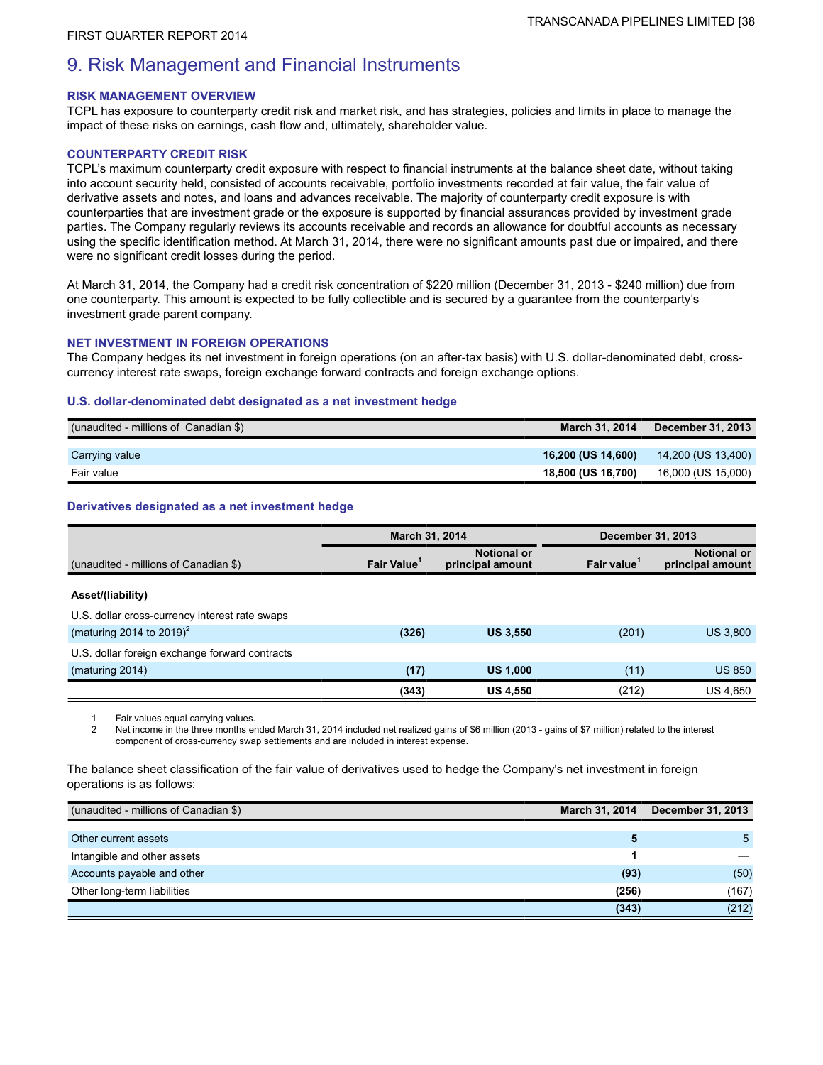## 9. Risk Management and Financial Instruments

### **RISK MANAGEMENT OVERVIEW**

TCPL has exposure to counterparty credit risk and market risk, and has strategies, policies and limits in place to manage the impact of these risks on earnings, cash flow and, ultimately, shareholder value.

## **COUNTERPARTY CREDIT RISK**

TCPL's maximum counterparty credit exposure with respect to financial instruments at the balance sheet date, without taking into account security held, consisted of accounts receivable, portfolio investments recorded at fair value, the fair value of derivative assets and notes, and loans and advances receivable. The majority of counterparty credit exposure is with counterparties that are investment grade or the exposure is supported by financial assurances provided by investment grade parties. The Company regularly reviews its accounts receivable and records an allowance for doubtful accounts as necessary using the specific identification method. At March 31, 2014, there were no significant amounts past due or impaired, and there were no significant credit losses during the period.

At March 31, 2014, the Company had a credit risk concentration of \$220 million (December 31, 2013 - \$240 million) due from one counterparty. This amount is expected to be fully collectible and is secured by a guarantee from the counterparty's investment grade parent company.

### **NET INVESTMENT IN FOREIGN OPERATIONS**

The Company hedges its net investment in foreign operations (on an after-tax basis) with U.S. dollar-denominated debt, crosscurrency interest rate swaps, foreign exchange forward contracts and foreign exchange options.

#### **U.S. dollar-denominated debt designated as a net investment hedge**

| (unaudited - millions of Canadian \$) | March 31, 2014     | December 31, 2013  |
|---------------------------------------|--------------------|--------------------|
|                                       |                    |                    |
| Carrying value                        | 16,200 (US 14,600) | 14,200 (US 13,400) |
| Fair value                            | 18,500 (US 16,700) | 16,000 (US 15,000) |

#### **Derivatives designated as a net investment hedge**

|                                                | March 31, 2014          |                                        |                         | December 31, 2013               |  |
|------------------------------------------------|-------------------------|----------------------------------------|-------------------------|---------------------------------|--|
| (unaudited - millions of Canadian \$)          | Fair Value <sup>1</sup> | <b>Notional or</b><br>principal amount | Fair value <sup>1</sup> | Notional or<br>principal amount |  |
| Asset/(liability)                              |                         |                                        |                         |                                 |  |
| U.S. dollar cross-currency interest rate swaps |                         |                                        |                         |                                 |  |
| (maturing 2014 to 2019) <sup>2</sup>           | (326)                   | <b>US 3,550</b>                        | (201)                   | <b>US 3,800</b>                 |  |
| U.S. dollar foreign exchange forward contracts |                         |                                        |                         |                                 |  |
| (maturing 2014)                                | (17)                    | <b>US 1,000</b>                        | (11)                    | <b>US 850</b>                   |  |
|                                                | (343)                   | <b>US 4,550</b>                        | (212)                   | US 4,650                        |  |

1 Fair values equal carrying values.

2 Net income in the three months ended March 31, 2014 included net realized gains of \$6 million (2013 - gains of \$7 million) related to the interest component of cross-currency swap settlements and are included in interest expense.

The balance sheet classification of the fair value of derivatives used to hedge the Company's net investment in foreign operations is as follows:

| (unaudited - millions of Canadian \$) | <b>March 31, 2014</b> | December 31, 2013 |
|---------------------------------------|-----------------------|-------------------|
|                                       |                       |                   |
| Other current assets                  |                       | 5.                |
| Intangible and other assets           |                       |                   |
| Accounts payable and other            | (93)                  | (50)              |
| Other long-term liabilities           | (256)                 | (167)             |
|                                       | (343)                 | (212)             |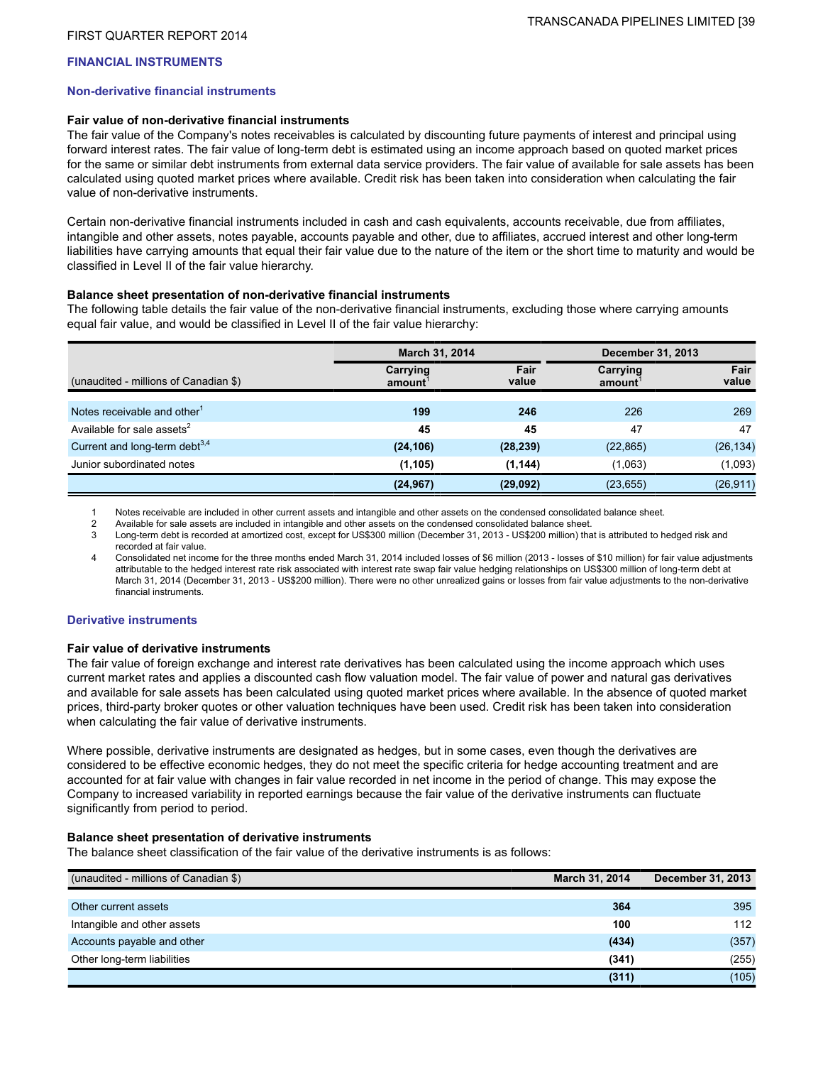### **FINANCIAL INSTRUMENTS**

### **Non-derivative financial instruments**

#### **Fair value of non-derivative financial instruments**

The fair value of the Company's notes receivables is calculated by discounting future payments of interest and principal using forward interest rates. The fair value of long-term debt is estimated using an income approach based on quoted market prices for the same or similar debt instruments from external data service providers. The fair value of available for sale assets has been calculated using quoted market prices where available. Credit risk has been taken into consideration when calculating the fair value of non-derivative instruments.

Certain non-derivative financial instruments included in cash and cash equivalents, accounts receivable, due from affiliates, intangible and other assets, notes payable, accounts payable and other, due to affiliates, accrued interest and other long-term liabilities have carrying amounts that equal their fair value due to the nature of the item or the short time to maturity and would be classified in Level II of the fair value hierarchy.

#### **Balance sheet presentation of non-derivative financial instruments**

The following table details the fair value of the non-derivative financial instruments, excluding those where carrying amounts equal fair value, and would be classified in Level II of the fair value hierarchy:

|                                           | March 31, 2014     |               | <b>December 31, 2013</b> |               |  |
|-------------------------------------------|--------------------|---------------|--------------------------|---------------|--|
| (unaudited - millions of Canadian \$)     | Carrying<br>amount | Fair<br>value | Carrying<br>amount       | Fair<br>value |  |
|                                           |                    |               |                          |               |  |
| Notes receivable and other                | 199                | 246           | 226                      | 269           |  |
| Available for sale assets <sup>2</sup>    | 45                 | 45            | 47                       | 47            |  |
| Current and long-term debt <sup>3,4</sup> | (24, 106)          | (28, 239)     | (22, 865)                | (26, 134)     |  |
| Junior subordinated notes                 | (1, 105)           | (1, 144)      | (1,063)                  | (1,093)       |  |
|                                           | (24, 967)          | (29,092)      | (23, 655)                | (26, 911)     |  |

1 Notes receivable are included in other current assets and intangible and other assets on the condensed consolidated balance sheet.

2 Available for sale assets are included in intangible and other assets on the condensed consolidated balance sheet.

3 Long-term debt is recorded at amortized cost, except for US\$300 million (December 31, 2013 - US\$200 million) that is attributed to hedged risk and recorded at fair value.

4 Consolidated net income for the three months ended March 31, 2014 included losses of \$6 million (2013 - losses of \$10 million) for fair value adjustments attributable to the hedged interest rate risk associated with interest rate swap fair value hedging relationships on US\$300 million of long-term debt at March 31, 2014 (December 31, 2013 - US\$200 million). There were no other unrealized gains or losses from fair value adjustments to the non-derivative financial instruments.

## **Derivative instruments**

### **Fair value of derivative instruments**

The fair value of foreign exchange and interest rate derivatives has been calculated using the income approach which uses current market rates and applies a discounted cash flow valuation model. The fair value of power and natural gas derivatives and available for sale assets has been calculated using quoted market prices where available. In the absence of quoted market prices, third-party broker quotes or other valuation techniques have been used. Credit risk has been taken into consideration when calculating the fair value of derivative instruments.

Where possible, derivative instruments are designated as hedges, but in some cases, even though the derivatives are considered to be effective economic hedges, they do not meet the specific criteria for hedge accounting treatment and are accounted for at fair value with changes in fair value recorded in net income in the period of change. This may expose the Company to increased variability in reported earnings because the fair value of the derivative instruments can fluctuate significantly from period to period.

### **Balance sheet presentation of derivative instruments**

The balance sheet classification of the fair value of the derivative instruments is as follows:

| (unaudited - millions of Canadian \$) | <b>March 31, 2014</b> | December 31, 2013 |
|---------------------------------------|-----------------------|-------------------|
|                                       |                       |                   |
| Other current assets                  | 364                   | 395               |
| Intangible and other assets           | 100                   | 112               |
| Accounts payable and other            | (434)                 | (357)             |
| Other long-term liabilities           | (341)                 | (255)             |
|                                       | (311)                 | (105)             |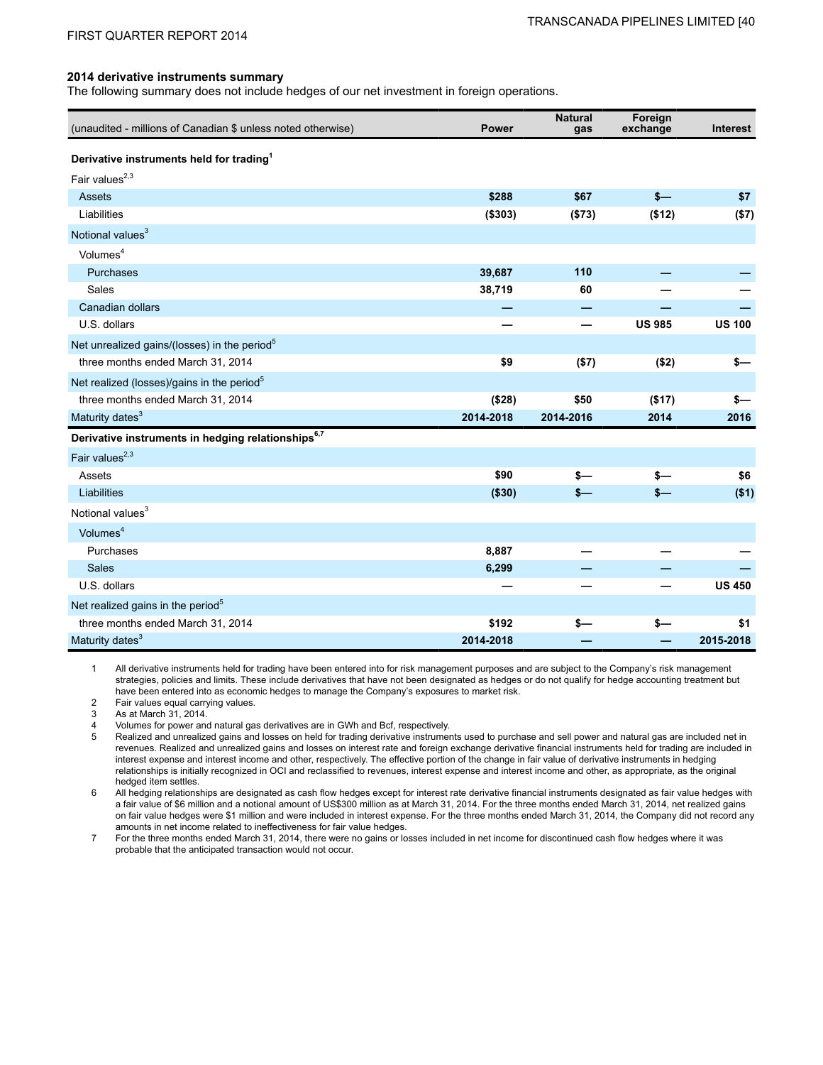#### **2014 derivative instruments summary**

The following summary does not include hedges of our net investment in foreign operations.

| (unaudited - millions of Canadian \$ unless noted otherwise)   | <b>Power</b> | <b>Natural</b><br>gas | Foreign<br>exchange | <b>Interest</b> |
|----------------------------------------------------------------|--------------|-----------------------|---------------------|-----------------|
| Derivative instruments held for trading <sup>1</sup>           |              |                       |                     |                 |
| Fair values <sup>2,3</sup>                                     |              |                       |                     |                 |
| <b>Assets</b>                                                  | \$288        | \$67                  | $s-$                | \$7             |
| Liabilities                                                    | (\$303)      | (\$73)                | (\$12)              | (\$7)           |
| Notional values <sup>3</sup>                                   |              |                       |                     |                 |
| Volumes <sup>4</sup>                                           |              |                       |                     |                 |
| Purchases                                                      | 39,687       | 110                   |                     |                 |
| Sales                                                          | 38,719       | 60                    |                     |                 |
| Canadian dollars                                               |              | -                     |                     |                 |
| U.S. dollars                                                   |              |                       | <b>US 985</b>       | <b>US 100</b>   |
| Net unrealized gains/(losses) in the period <sup>5</sup>       |              |                       |                     |                 |
| three months ended March 31, 2014                              | \$9          | (\$7)                 | (\$2)               | \$—             |
| Net realized (losses)/gains in the period <sup>5</sup>         |              |                       |                     |                 |
| three months ended March 31, 2014                              | (\$28)       | \$50                  | ( \$17)             | \$—             |
| Maturity dates <sup>3</sup>                                    | 2014-2018    | 2014-2016             | 2014                | 2016            |
| Derivative instruments in hedging relationships <sup>6,7</sup> |              |                       |                     |                 |
| Fair values <sup>2,3</sup>                                     |              |                       |                     |                 |
| Assets                                                         | \$90         | $s-$                  | $s-$                | \$6             |
| Liabilities                                                    | (\$30)       | $s-$                  | $s-$                | ( \$1)          |
| Notional values <sup>3</sup>                                   |              |                       |                     |                 |
| Volumes <sup>4</sup>                                           |              |                       |                     |                 |
| Purchases                                                      | 8,887        |                       |                     |                 |
| <b>Sales</b>                                                   | 6,299        |                       |                     |                 |
| U.S. dollars                                                   |              |                       |                     | <b>US 450</b>   |
| Net realized gains in the period <sup>5</sup>                  |              |                       |                     |                 |
| three months ended March 31, 2014                              | \$192        | \$—                   | s—                  | \$1             |
| Maturity dates <sup>3</sup>                                    | 2014-2018    |                       |                     | 2015-2018       |

1 All derivative instruments held for trading have been entered into for risk management purposes and are subject to the Company's risk management strategies, policies and limits. These include derivatives that have not been designated as hedges or do not qualify for hedge accounting treatment but have been entered into as economic hedges to manage the Company's exposures to market risk.

2 Fair values equal carrying values.

3 As at March 31, 2014.

4 Volumes for power and natural gas derivatives are in GWh and Bcf, respectively.

5 Realized and unrealized gains and losses on held for trading derivative instruments used to purchase and sell power and natural gas are included net in revenues. Realized and unrealized gains and losses on interest rate and foreign exchange derivative financial instruments held for trading are included in interest expense and interest income and other, respectively. The effective portion of the change in fair value of derivative instruments in hedging relationships is initially recognized in OCI and reclassified to revenues, interest expense and interest income and other, as appropriate, as the original hedged item settles.

6 All hedging relationships are designated as cash flow hedges except for interest rate derivative financial instruments designated as fair value hedges with a fair value of \$6 million and a notional amount of US\$300 million as at March 31, 2014. For the three months ended March 31, 2014, net realized gains on fair value hedges were \$1 million and were included in interest expense. For the three months ended March 31, 2014, the Company did not record any amounts in net income related to ineffectiveness for fair value hedges.

7 For the three months ended March 31, 2014, there were no gains or losses included in net income for discontinued cash flow hedges where it was probable that the anticipated transaction would not occur.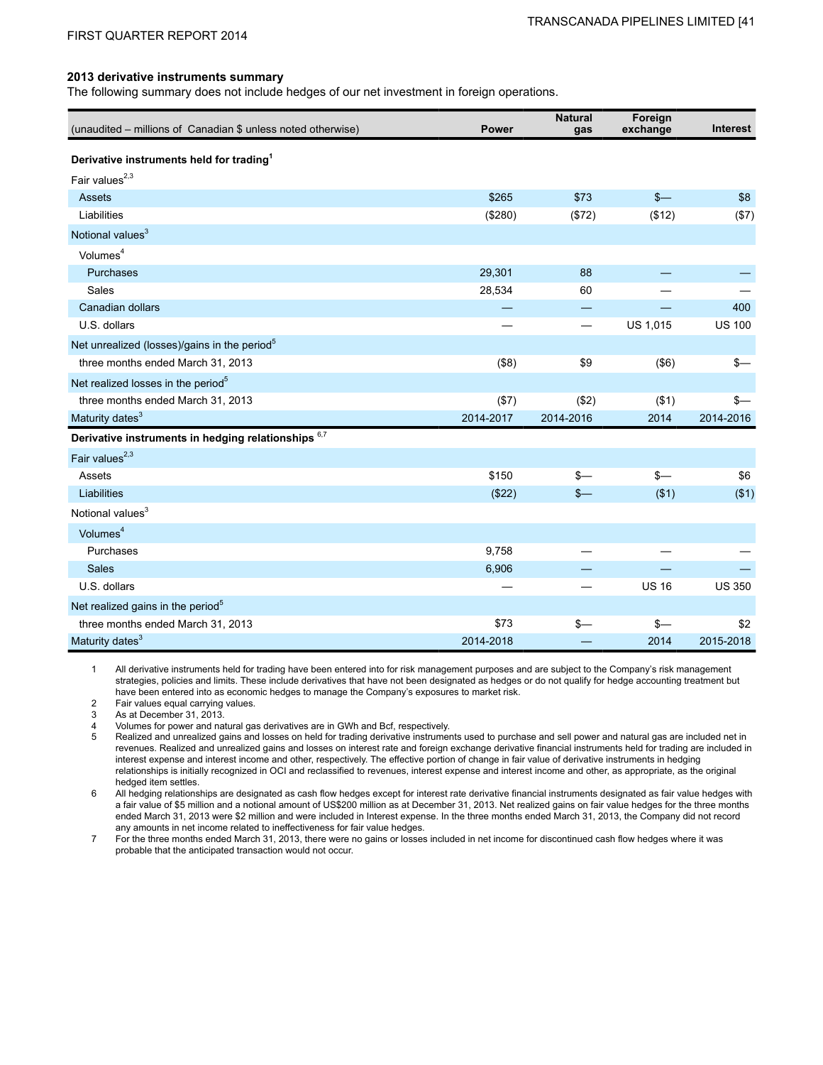#### **2013 derivative instruments summary**

The following summary does not include hedges of our net investment in foreign operations.

| (unaudited - millions of Canadian \$ unless noted otherwise) | <b>Power</b> | <b>Natural</b><br>gas    | Foreign<br>exchange | <b>Interest</b> |
|--------------------------------------------------------------|--------------|--------------------------|---------------------|-----------------|
| Derivative instruments held for trading <sup>1</sup>         |              |                          |                     |                 |
| Fair values <sup>2,3</sup>                                   |              |                          |                     |                 |
| <b>Assets</b>                                                | \$265        | \$73                     | $s-$                | \$8             |
| Liabilities                                                  | (\$280)      | (\$72)                   | (\$12)              | (\$7)           |
| Notional values <sup>3</sup>                                 |              |                          |                     |                 |
| Volumes <sup>4</sup>                                         |              |                          |                     |                 |
| Purchases                                                    | 29,301       | 88                       |                     |                 |
| Sales                                                        | 28,534       | 60                       |                     |                 |
| Canadian dollars                                             |              |                          |                     | 400             |
| U.S. dollars                                                 |              |                          | US 1,015            | <b>US 100</b>   |
| Net unrealized (losses)/gains in the period <sup>5</sup>     |              |                          |                     |                 |
| three months ended March 31, 2013                            | ( \$8)       | \$9                      | $($ \$6)            | $s-$            |
| Net realized losses in the period <sup>5</sup>               |              |                          |                     |                 |
| three months ended March 31, 2013                            | (\$7)        | (\$2)                    | ( \$1)              | $s-$            |
| Maturity dates <sup>3</sup>                                  | 2014-2017    | 2014-2016                | 2014                | 2014-2016       |
| Derivative instruments in hedging relationships 6,7          |              |                          |                     |                 |
| Fair values <sup>2,3</sup>                                   |              |                          |                     |                 |
| Assets                                                       | \$150        | $s-$                     | $s-$                | \$6             |
| Liabilities                                                  | (\$22)       | $s-$                     | (\$1)               | ( \$1)          |
| Notional values <sup>3</sup>                                 |              |                          |                     |                 |
| Volumes <sup>4</sup>                                         |              |                          |                     |                 |
| Purchases                                                    | 9,758        |                          |                     |                 |
| <b>Sales</b>                                                 | 6,906        |                          |                     |                 |
| U.S. dollars                                                 |              |                          | <b>US 16</b>        | <b>US 350</b>   |
| Net realized gains in the period <sup>5</sup>                |              |                          |                     |                 |
| three months ended March 31, 2013                            | \$73         | $s-$                     | $s-$                | \$2             |
| Maturity dates <sup>3</sup>                                  | 2014-2018    | $\overline{\phantom{0}}$ | 2014                | 2015-2018       |

1 All derivative instruments held for trading have been entered into for risk management purposes and are subject to the Company's risk management strategies, policies and limits. These include derivatives that have not been designated as hedges or do not qualify for hedge accounting treatment but have been entered into as economic hedges to manage the Company's exposures to market risk.

2 Fair values equal carrying values.

3 As at December 31, 2013.

4 Volumes for power and natural gas derivatives are in GWh and Bcf, respectively.

5 Realized and unrealized gains and losses on held for trading derivative instruments used to purchase and sell power and natural gas are included net in revenues. Realized and unrealized gains and losses on interest rate and foreign exchange derivative financial instruments held for trading are included in interest expense and interest income and other, respectively. The effective portion of change in fair value of derivative instruments in hedging relationships is initially recognized in OCI and reclassified to revenues, interest expense and interest income and other, as appropriate, as the original hedged item settles

6 All hedging relationships are designated as cash flow hedges except for interest rate derivative financial instruments designated as fair value hedges with a fair value of \$5 million and a notional amount of US\$200 million as at December 31, 2013. Net realized gains on fair value hedges for the three months ended March 31, 2013 were \$2 million and were included in Interest expense. In the three months ended March 31, 2013, the Company did not record any amounts in net income related to ineffectiveness for fair value hedges.

7 For the three months ended March 31, 2013, there were no gains or losses included in net income for discontinued cash flow hedges where it was probable that the anticipated transaction would not occur.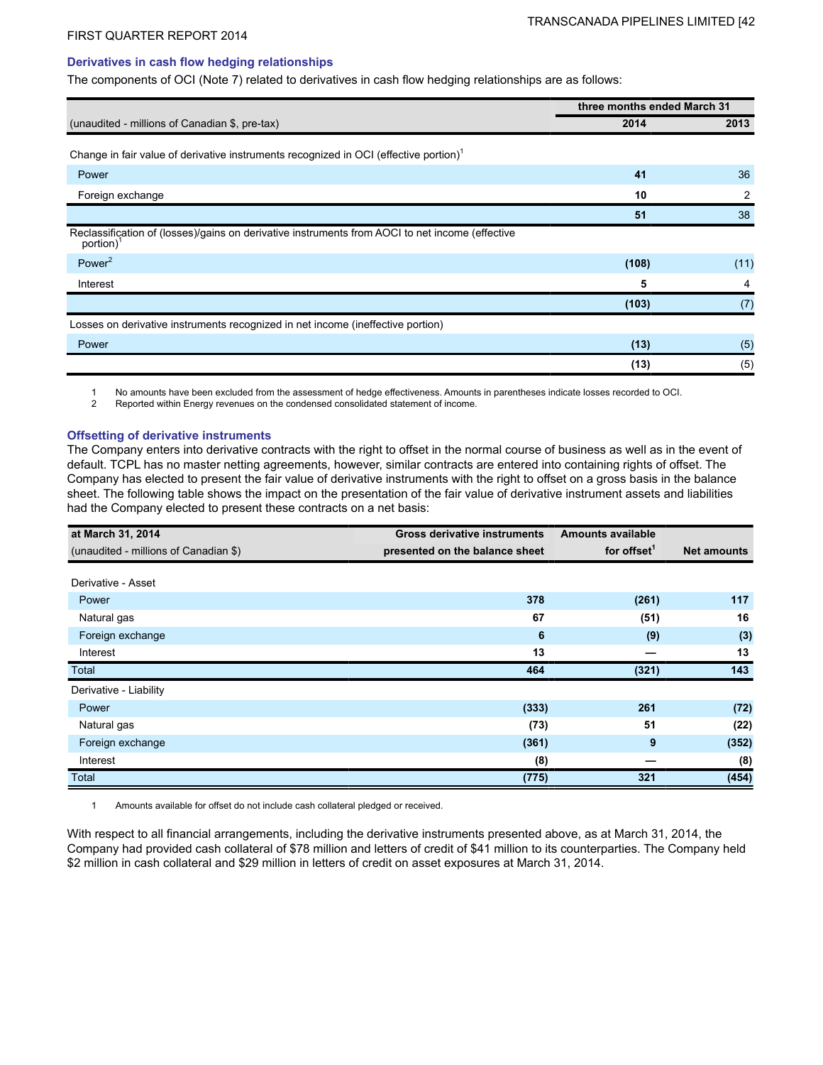### **Derivatives in cash flow hedging relationships**

The components of OCI (Note 7) related to derivatives in cash flow hedging relationships are as follows:

|                                                                                                                 | three months ended March 31 |      |
|-----------------------------------------------------------------------------------------------------------------|-----------------------------|------|
| (unaudited - millions of Canadian \$, pre-tax)                                                                  | 2014                        | 2013 |
| Change in fair value of derivative instruments recognized in OCI (effective portion) <sup>1</sup>               |                             |      |
| Power                                                                                                           | 41                          | 36   |
| Foreign exchange                                                                                                | 10                          | 2    |
|                                                                                                                 | 51                          | 38   |
| Reclassification of (losses)/gains on derivative instruments from AOCI to net income (effective<br>$portion)^1$ |                             |      |
| Power <sup>2</sup>                                                                                              | (108)                       | (11) |
| Interest                                                                                                        | 5                           |      |
|                                                                                                                 | (103)                       | (7)  |
| Losses on derivative instruments recognized in net income (ineffective portion)                                 |                             |      |
| Power                                                                                                           | (13)                        | (5)  |
|                                                                                                                 | (13)                        | (5)  |

1 No amounts have been excluded from the assessment of hedge effectiveness. Amounts in parentheses indicate losses recorded to OCI.

2 Reported within Energy revenues on the condensed consolidated statement of income.

#### **Offsetting of derivative instruments**

The Company enters into derivative contracts with the right to offset in the normal course of business as well as in the event of default. TCPL has no master netting agreements, however, similar contracts are entered into containing rights of offset. The Company has elected to present the fair value of derivative instruments with the right to offset on a gross basis in the balance sheet. The following table shows the impact on the presentation of the fair value of derivative instrument assets and liabilities had the Company elected to present these contracts on a net basis:

| at March 31, 2014                     | <b>Gross derivative instruments</b> | <b>Amounts available</b> |                    |
|---------------------------------------|-------------------------------------|--------------------------|--------------------|
| (unaudited - millions of Canadian \$) | presented on the balance sheet      | for offset <sup>1</sup>  | <b>Net amounts</b> |
|                                       |                                     |                          |                    |
| Derivative - Asset                    |                                     |                          |                    |
| Power                                 | 378                                 | (261)                    | 117                |
| Natural gas                           | 67                                  | (51)                     | 16                 |
| Foreign exchange                      | 6                                   | (9)                      | (3)                |
| Interest                              | 13                                  |                          | 13                 |
| Total                                 | 464                                 | (321)                    | 143                |
| Derivative - Liability                |                                     |                          |                    |
| Power                                 | (333)                               | 261                      | (72)               |
| Natural gas                           | (73)                                | 51                       | (22)               |
| Foreign exchange                      | (361)                               | 9                        | (352)              |
| Interest                              | (8)                                 |                          | (8)                |
| Total                                 | (775)                               | 321                      | (454)              |

1 Amounts available for offset do not include cash collateral pledged or received.

With respect to all financial arrangements, including the derivative instruments presented above, as at March 31, 2014, the Company had provided cash collateral of \$78 million and letters of credit of \$41 million to its counterparties. The Company held \$2 million in cash collateral and \$29 million in letters of credit on asset exposures at March 31, 2014.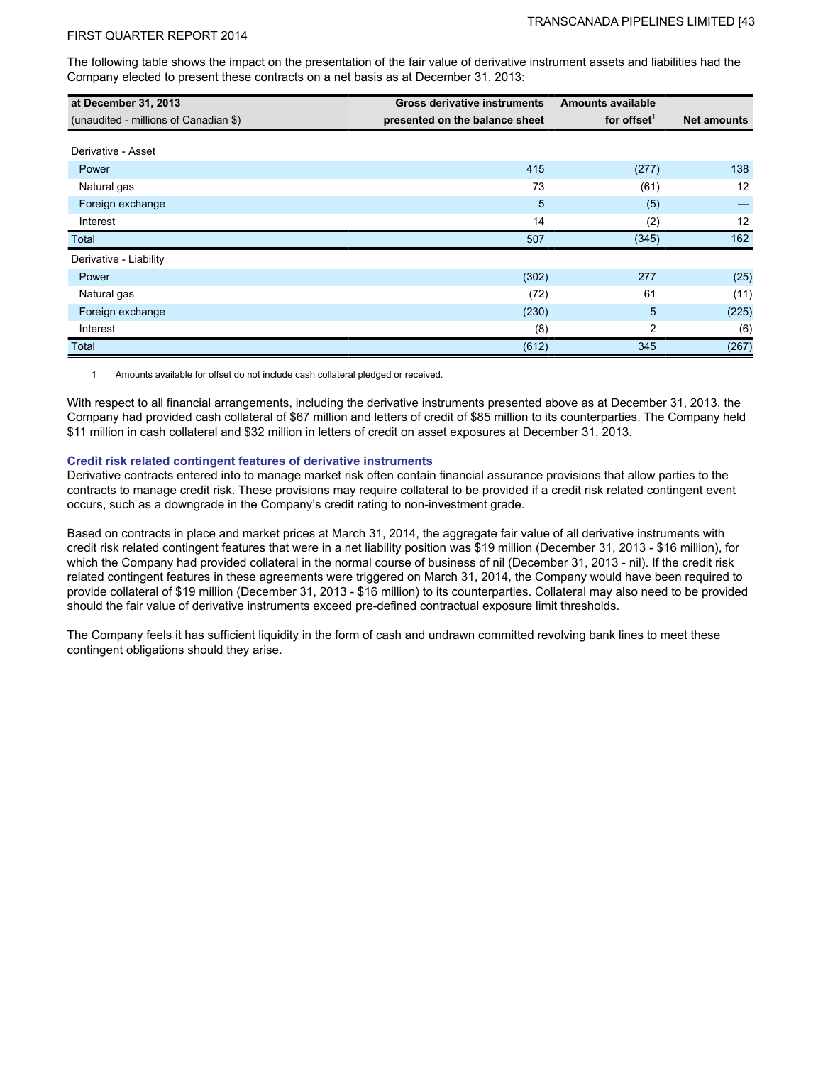The following table shows the impact on the presentation of the fair value of derivative instrument assets and liabilities had the Company elected to present these contracts on a net basis as at December 31, 2013:

| at December 31, 2013                  | <b>Gross derivative instruments</b> | <b>Amounts available</b> |                    |
|---------------------------------------|-------------------------------------|--------------------------|--------------------|
| (unaudited - millions of Canadian \$) | presented on the balance sheet      | for offset $1$           | <b>Net amounts</b> |
|                                       |                                     |                          |                    |
| Derivative - Asset                    |                                     |                          |                    |
| Power                                 | 415                                 | (277)                    | 138                |
| Natural gas                           | 73                                  | (61)                     | 12                 |
| Foreign exchange                      | 5                                   | (5)                      |                    |
| Interest                              | 14                                  | (2)                      | 12                 |
| Total                                 | 507                                 | (345)                    | 162                |
| Derivative - Liability                |                                     |                          |                    |
| Power                                 | (302)                               | 277                      | (25)               |
| Natural gas                           | (72)                                | 61                       | (11)               |
| Foreign exchange                      | (230)                               | 5                        | (225)              |
| Interest                              | (8)                                 | $\overline{2}$           | (6)                |
| Total                                 | (612)                               | 345                      | (267)              |

1 Amounts available for offset do not include cash collateral pledged or received.

With respect to all financial arrangements, including the derivative instruments presented above as at December 31, 2013, the Company had provided cash collateral of \$67 million and letters of credit of \$85 million to its counterparties. The Company held \$11 million in cash collateral and \$32 million in letters of credit on asset exposures at December 31, 2013.

#### **Credit risk related contingent features of derivative instruments**

Derivative contracts entered into to manage market risk often contain financial assurance provisions that allow parties to the contracts to manage credit risk. These provisions may require collateral to be provided if a credit risk related contingent event occurs, such as a downgrade in the Company's credit rating to non-investment grade.

Based on contracts in place and market prices at March 31, 2014, the aggregate fair value of all derivative instruments with credit risk related contingent features that were in a net liability position was \$19 million (December 31, 2013 - \$16 million), for which the Company had provided collateral in the normal course of business of nil (December 31, 2013 - nil). If the credit risk related contingent features in these agreements were triggered on March 31, 2014, the Company would have been required to provide collateral of \$19 million (December 31, 2013 - \$16 million) to its counterparties. Collateral may also need to be provided should the fair value of derivative instruments exceed pre-defined contractual exposure limit thresholds.

The Company feels it has sufficient liquidity in the form of cash and undrawn committed revolving bank lines to meet these contingent obligations should they arise.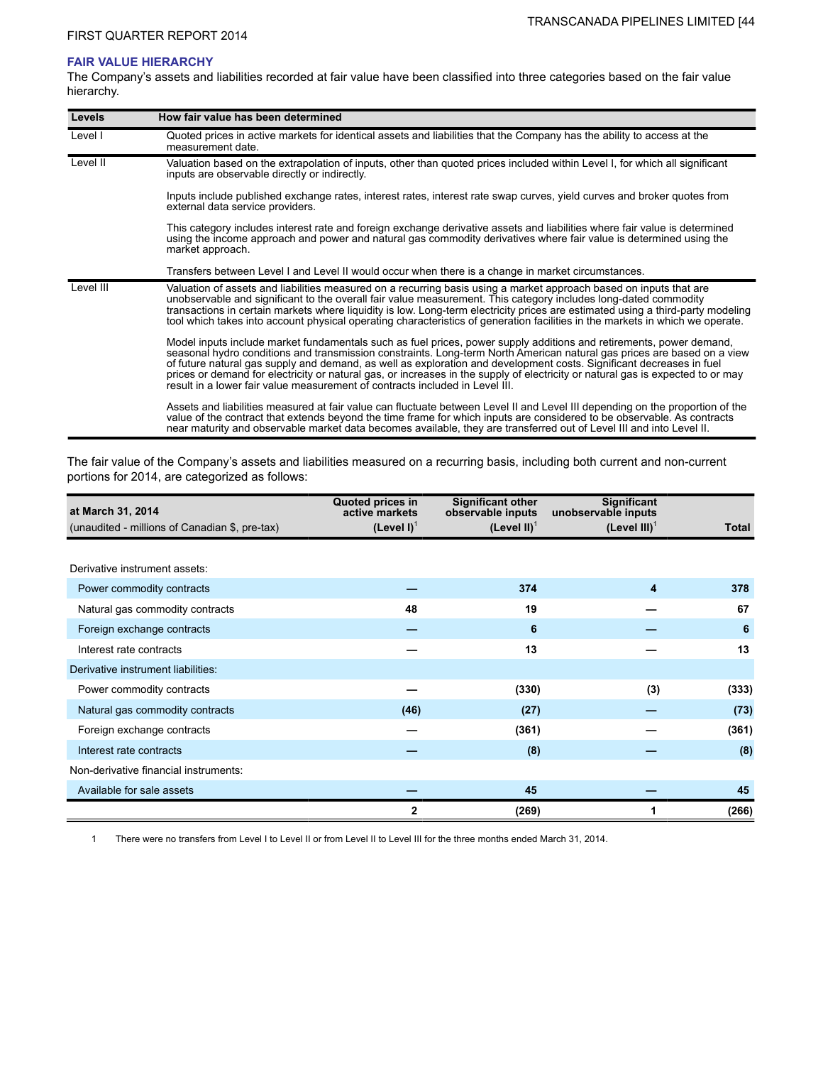### **FAIR VALUE HIERARCHY**

The Company's assets and liabilities recorded at fair value have been classified into three categories based on the fair value hierarchy.

| <b>Levels</b> | How fair value has been determined                                                                                                                                                                                                                                                                                                                                                                                                                                                                                                                                                        |
|---------------|-------------------------------------------------------------------------------------------------------------------------------------------------------------------------------------------------------------------------------------------------------------------------------------------------------------------------------------------------------------------------------------------------------------------------------------------------------------------------------------------------------------------------------------------------------------------------------------------|
| Level I       | Quoted prices in active markets for identical assets and liabilities that the Company has the ability to access at the<br>measurement date.                                                                                                                                                                                                                                                                                                                                                                                                                                               |
| Level II      | Valuation based on the extrapolation of inputs, other than quoted prices included within Level I, for which all significant<br>inputs are observable directly or indirectly.                                                                                                                                                                                                                                                                                                                                                                                                              |
|               | Inputs include published exchange rates, interest rates, interest rate swap curves, yield curves and broker quotes from<br>external data service providers.                                                                                                                                                                                                                                                                                                                                                                                                                               |
|               | This category includes interest rate and foreign exchange derivative assets and liabilities where fair value is determined<br>using the income approach and power and natural gas commodity derivatives where fair value is determined using the<br>market approach.                                                                                                                                                                                                                                                                                                                      |
|               | Transfers between Level I and Level II would occur when there is a change in market circumstances.                                                                                                                                                                                                                                                                                                                                                                                                                                                                                        |
| Level III     | Valuation of assets and liabilities measured on a recurring basis using a market approach based on inputs that are<br>unobservable and significant to the overall fair value measurement. This category includes long-dated commodity<br>transactions in certain markets where liquidity is low. Long-term electricity prices are estimated using a third-party modeling<br>tool which takes into account physical operating characteristics of generation facilities in the markets in which we operate.                                                                                 |
|               | Model inputs include market fundamentals such as fuel prices, power supply additions and retirements, power demand,<br>seasonal hydro conditions and transmission constraints. Long-term North American natural gas prices are based on a view<br>of future natural gas supply and demand, as well as exploration and development costs. Significant decreases in fuel<br>prices or demand for electricity or natural gas, or increases in the supply of electricity or natural gas is expected to or may<br>result in a lower fair value measurement of contracts included in Level III. |
|               | Assets and liabilities measured at fair value can fluctuate between Level II and Level III depending on the proportion of the<br>value of the contract that extends beyond the time frame for which inputs are considered to be observable. As contracts<br>near maturity and observable market data becomes available, they are transferred out of Level III and into Level II.                                                                                                                                                                                                          |

The fair value of the Company's assets and liabilities measured on a recurring basis, including both current and non-current portions for 2014, are categorized as follows:

| at March 31, 2014                              | <b>Quoted prices in</b><br>active markets | <b>Significant other</b><br>observable inputs | Significant<br>unobservable inputs |              |
|------------------------------------------------|-------------------------------------------|-----------------------------------------------|------------------------------------|--------------|
| (unaudited - millions of Canadian \$, pre-tax) | (Level I) $1$                             | (Level II) $1$                                | (Level $III$ ) <sup>1</sup>        | <b>Total</b> |
|                                                |                                           |                                               |                                    |              |
| Derivative instrument assets:                  |                                           |                                               |                                    |              |
| Power commodity contracts                      |                                           | 374                                           | 4                                  | 378          |
| Natural gas commodity contracts                | 48                                        | 19                                            |                                    | 67           |
| Foreign exchange contracts                     |                                           | 6                                             |                                    | 6            |
| Interest rate contracts                        |                                           | 13                                            |                                    | 13           |
| Derivative instrument liabilities:             |                                           |                                               |                                    |              |
| Power commodity contracts                      |                                           | (330)                                         | (3)                                | (333)        |
| Natural gas commodity contracts                | (46)                                      | (27)                                          |                                    | (73)         |
| Foreign exchange contracts                     |                                           | (361)                                         |                                    | (361)        |
| Interest rate contracts                        |                                           | (8)                                           |                                    | (8)          |
| Non-derivative financial instruments:          |                                           |                                               |                                    |              |
| Available for sale assets                      |                                           | 45                                            |                                    | 45           |
|                                                | $\mathbf{2}$                              | (269)                                         | 1                                  | (266)        |

1 There were no transfers from Level I to Level II or from Level II to Level III for the three months ended March 31, 2014.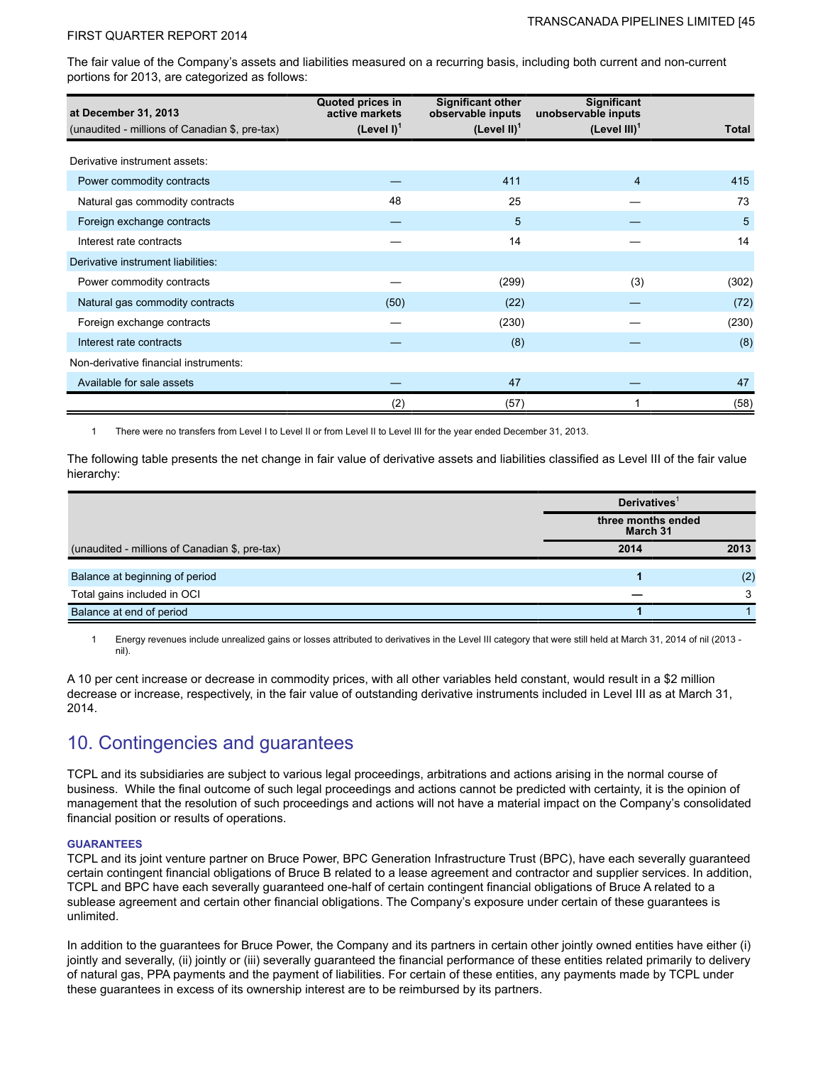The fair value of the Company's assets and liabilities measured on a recurring basis, including both current and non-current portions for 2013, are categorized as follows:

| at December 31, 2013                           | <b>Quoted prices in</b><br>active markets | <b>Significant other</b><br>observable inputs | <b>Significant</b><br>unobservable inputs |              |
|------------------------------------------------|-------------------------------------------|-----------------------------------------------|-------------------------------------------|--------------|
| (unaudited - millions of Canadian \$, pre-tax) | (Level I) <sup>1</sup>                    | $(Level II)^T$                                | (Level $III$ ) <sup>1</sup>               | <b>Total</b> |
| Derivative instrument assets:                  |                                           |                                               |                                           |              |
| Power commodity contracts                      |                                           | 411                                           | 4                                         | 415          |
| Natural gas commodity contracts                | 48                                        | 25                                            |                                           | 73           |
| Foreign exchange contracts                     |                                           | 5                                             |                                           | 5            |
| Interest rate contracts                        |                                           | 14                                            |                                           | 14           |
| Derivative instrument liabilities:             |                                           |                                               |                                           |              |
| Power commodity contracts                      |                                           | (299)                                         | (3)                                       | (302)        |
| Natural gas commodity contracts                | (50)                                      | (22)                                          |                                           | (72)         |
| Foreign exchange contracts                     |                                           | (230)                                         |                                           | (230)        |
| Interest rate contracts                        |                                           | (8)                                           |                                           | (8)          |
| Non-derivative financial instruments:          |                                           |                                               |                                           |              |
| Available for sale assets                      |                                           | 47                                            |                                           | 47           |
|                                                | (2)                                       | (57)                                          |                                           | (58)         |

1 There were no transfers from Level I to Level II or from Level II to Level III for the year ended December 31, 2013.

The following table presents the net change in fair value of derivative assets and liabilities classified as Level III of the fair value hierarchy:

|                                                | Derivatives <sup>1</sup>       |      |  |
|------------------------------------------------|--------------------------------|------|--|
|                                                | three months ended<br>March 31 |      |  |
| (unaudited - millions of Canadian \$, pre-tax) | 2014                           | 2013 |  |
| Balance at beginning of period                 |                                | (2)  |  |
| Total gains included in OCI                    |                                | 3    |  |
| Balance at end of period                       |                                |      |  |

1 Energy revenues include unrealized gains or losses attributed to derivatives in the Level III category that were still held at March 31, 2014 of nil (2013 nil).

A 10 per cent increase or decrease in commodity prices, with all other variables held constant, would result in a \$2 million decrease or increase, respectively, in the fair value of outstanding derivative instruments included in Level III as at March 31, 2014.

## 10. Contingencies and guarantees

TCPL and its subsidiaries are subject to various legal proceedings, arbitrations and actions arising in the normal course of business. While the final outcome of such legal proceedings and actions cannot be predicted with certainty, it is the opinion of management that the resolution of such proceedings and actions will not have a material impact on the Company's consolidated financial position or results of operations.

### **GUARANTEES**

TCPL and its joint venture partner on Bruce Power, BPC Generation Infrastructure Trust (BPC), have each severally guaranteed certain contingent financial obligations of Bruce B related to a lease agreement and contractor and supplier services. In addition, TCPL and BPC have each severally guaranteed one-half of certain contingent financial obligations of Bruce A related to a sublease agreement and certain other financial obligations. The Company's exposure under certain of these guarantees is unlimited.

In addition to the guarantees for Bruce Power, the Company and its partners in certain other jointly owned entities have either (i) jointly and severally, (ii) jointly or (iii) severally guaranteed the financial performance of these entities related primarily to delivery of natural gas, PPA payments and the payment of liabilities. For certain of these entities, any payments made by TCPL under these guarantees in excess of its ownership interest are to be reimbursed by its partners.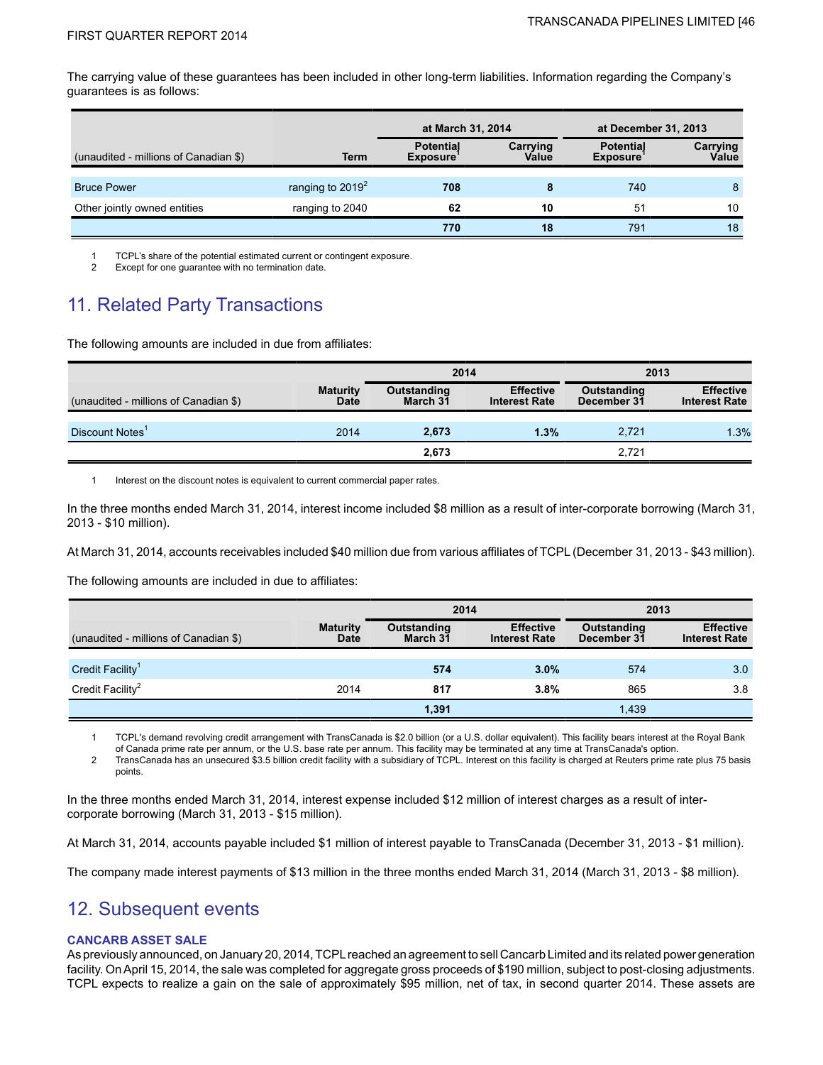The carrying value of these guarantees has been included in other long-term liabilities. Information regarding the Company's guarantees is as follows:

|                                       |                     | at March 31, 2014                         |                   |                                           | at December 31, 2013 |
|---------------------------------------|---------------------|-------------------------------------------|-------------------|-------------------------------------------|----------------------|
| (unaudited - millions of Canadian \$) | Term                | <b>Potential</b><br>Exposure <sup>1</sup> | Carrying<br>Value | <b>Potential</b><br>Exposure <sup>1</sup> | Carrying<br>Value    |
|                                       |                     |                                           |                   |                                           |                      |
| <b>Bruce Power</b>                    | ranging to $2019^2$ | 708                                       |                   | 740                                       | 8                    |
| Other jointly owned entities          | ranging to 2040     | 62                                        | 10                | 51                                        | 10                   |
|                                       |                     | 770                                       | 18                | 791                                       | 18                   |

1 TCPL's share of the potential estimated current or contingent exposure.<br>2 Except for one quarantee with no termination date

Except for one guarantee with no termination date.

## 11. Related Party Transactions

The following amounts are included in due from affiliates:

|                                       |                                | 2014                    |                                          | 2013                       |                                          |
|---------------------------------------|--------------------------------|-------------------------|------------------------------------------|----------------------------|------------------------------------------|
| (unaudited - millions of Canadian \$) | <b>Maturity</b><br><b>Date</b> | Outstanding<br>March 31 | <b>Effective</b><br><b>Interest Rate</b> | Outstanding<br>December 31 | <b>Effective</b><br><b>Interest Rate</b> |
|                                       |                                |                         |                                          |                            |                                          |
| Discount Notes                        | 2014                           | 2.673                   | 1.3%                                     | 2.721                      | 1.3%                                     |
|                                       |                                | 2.673                   |                                          | 2.721                      |                                          |

1 Interest on the discount notes is equivalent to current commercial paper rates.

In the three months ended March 31, 2014, interest income included \$8 million as a result of inter-corporate borrowing (March 31, 2013 - \$10 million).

At March 31, 2014, accounts receivables included \$40 million due from various affiliates of TCPL (December 31, 2013 - \$43 million).

The following amounts are included in due to affiliates:

|                                       |                                | 2014                    |                                          | 2013                       |                                          |
|---------------------------------------|--------------------------------|-------------------------|------------------------------------------|----------------------------|------------------------------------------|
| (unaudited - millions of Canadian \$) | <b>Maturity</b><br><b>Date</b> | Outstanding<br>March 31 | <b>Effective</b><br><b>Interest Rate</b> | Outstanding<br>December 31 | <b>Effective</b><br><b>Interest Rate</b> |
|                                       |                                |                         |                                          |                            |                                          |
| Credit Facility <sup>1</sup>          |                                | 574                     | 3.0%                                     | 574                        | 3.0                                      |
| Credit Facility <sup>2</sup>          | 2014                           | 817                     | 3.8%                                     | 865                        | 3.8                                      |
|                                       |                                | 1,391                   |                                          | 1,439                      |                                          |

1 TCPL's demand revolving credit arrangement with TransCanada is \$2.0 billion (or a U.S. dollar equivalent). This facility bears interest at the Royal Bank of Canada prime rate per annum, or the U.S. base rate per annum. This facility may be terminated at any time at TransCanada's option.

2 TransCanada has an unsecured \$3.5 billion credit facility with a subsidiary of TCPL. Interest on this facility is charged at Reuters prime rate plus 75 basis points.

In the three months ended March 31, 2014, interest expense included \$12 million of interest charges as a result of intercorporate borrowing (March 31, 2013 - \$15 million).

At March 31, 2014, accounts payable included \$1 million of interest payable to TransCanada (December 31, 2013 - \$1 million).

The company made interest payments of \$13 million in the three months ended March 31, 2014 (March 31, 2013 - \$8 million).

## 12. Subsequent events

### **CANCARB ASSET SALE**

As previously announced, on January 20, 2014, TCPLreached an agreement to sell Cancarb Limited and its related power generation facility. On April 15, 2014, the sale was completed for aggregate gross proceeds of \$190 million, subject to post-closing adjustments. TCPL expects to realize a gain on the sale of approximately \$95 million, net of tax, in second quarter 2014. These assets are